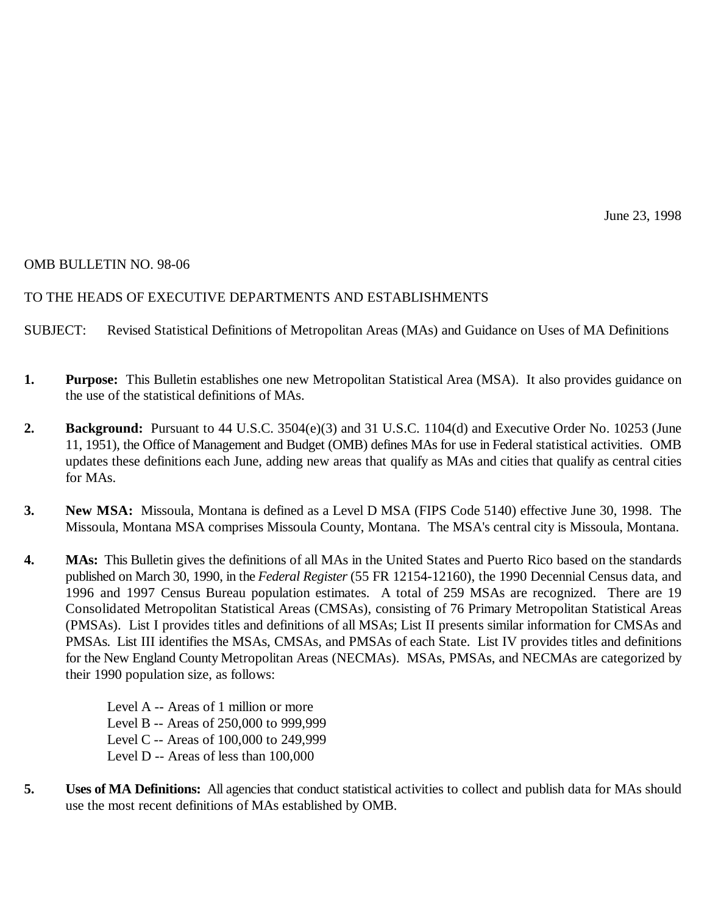# OMB BULLETIN NO. 98-06

# TO THE HEADS OF EXECUTIVE DEPARTMENTS AND ESTABLISHMENTS

SUBJECT: Revised Statistical Definitions of Metropolitan Areas (MAs) and Guidance on Uses of MA Definitions

- **1. Purpose:** This Bulletin establishes one new Metropolitan Statistical Area (MSA). It also provides guidance on the use of the statistical definitions of MAs.
- **2. Background:** Pursuant to 44 U.S.C. 3504(e)(3) and 31 U.S.C. 1104(d) and Executive Order No. 10253 (June 11, 1951), the Office of Management and Budget (OMB) defines MAs for use in Federal statistical activities. OMB updates these definitions each June, adding new areas that qualify as MAs and cities that qualify as central cities for MAs.
- **3. New MSA:** Missoula, Montana is defined as a Level D MSA (FIPS Code 5140) effective June 30, 1998. The Missoula, Montana MSA comprises Missoula County, Montana. The MSA's central city is Missoula, Montana.
- **4. MAs:** This Bulletin gives the definitions of all MAs in the United States and Puerto Rico based on the standards published on March 30, 1990, in the *Federal Register* (55 FR 12154-12160), the 1990 Decennial Census data, and 1996 and 1997 Census Bureau population estimates. A total of 259 MSAs are recognized. There are 19 Consolidated Metropolitan Statistical Areas (CMSAs), consisting of 76 Primary Metropolitan Statistical Areas (PMSAs). List I provides titles and definitions of all MSAs; List II presents similar information for CMSAs and PMSAs. List III identifies the MSAs, CMSAs, and PMSAs of each State. List IV provides titles and definitions for the New England County Metropolitan Areas (NECMAs). MSAs, PMSAs, and NECMAs are categorized by their 1990 population size, as follows:

Level A -- Areas of 1 million or more Level B -- Areas of 250,000 to 999,999 Level C -- Areas of 100,000 to 249,999 Level D -- Areas of less than 100,000

**5. Uses of MA Definitions:** All agencies that conduct statistical activities to collect and publish data for MAs should use the most recent definitions of MAs established by OMB.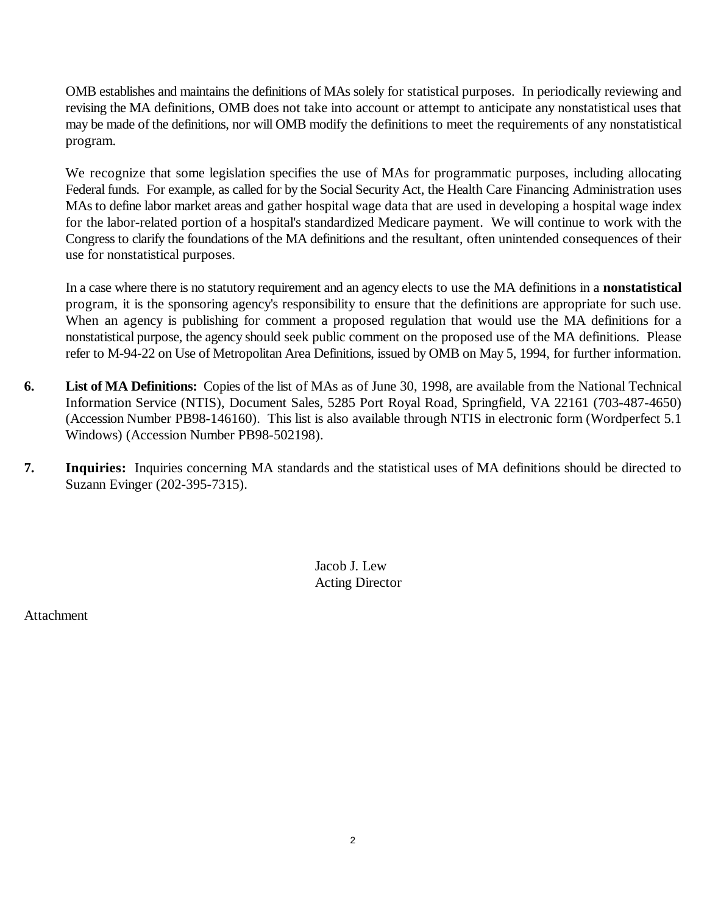OMB establishes and maintains the definitions of MAs solely for statistical purposes. In periodically reviewing and revising the MA definitions, OMB does not take into account or attempt to anticipate any nonstatistical uses that may be made of the definitions, nor will OMB modify the definitions to meet the requirements of any nonstatistical program.

We recognize that some legislation specifies the use of MAs for programmatic purposes, including allocating Federal funds. For example, as called for by the Social Security Act, the Health Care Financing Administration uses MAs to define labor market areas and gather hospital wage data that are used in developing a hospital wage index for the labor-related portion of a hospital's standardized Medicare payment. We will continue to work with the Congress to clarify the foundations of the MA definitions and the resultant, often unintended consequences of their use for nonstatistical purposes.

In a case where there is no statutory requirement and an agency elects to use the MA definitions in a **nonstatistical** program, it is the sponsoring agency's responsibility to ensure that the definitions are appropriate for such use. When an agency is publishing for comment a proposed regulation that would use the MA definitions for a nonstatistical purpose, the agency should seek public comment on the proposed use of the MA definitions. Please refer to M-94-22 on Use of Metropolitan Area Definitions, issued by OMB on May 5, 1994, for further information.

- **6. List of MA Definitions:** Copies of the list of MAs as of June 30, 1998, are available from the National Technical Information Service (NTIS), Document Sales, 5285 Port Royal Road, Springfield, VA 22161 (703-487-4650) (Accession Number PB98-146160). This list is also available through NTIS in electronic form (Wordperfect 5.1 Windows) (Accession Number PB98-502198).
- **7. Inquiries:** Inquiries concerning MA standards and the statistical uses of MA definitions should be directed to Suzann Evinger (202-395-7315).

Jacob J. Lew Acting Director

**Attachment**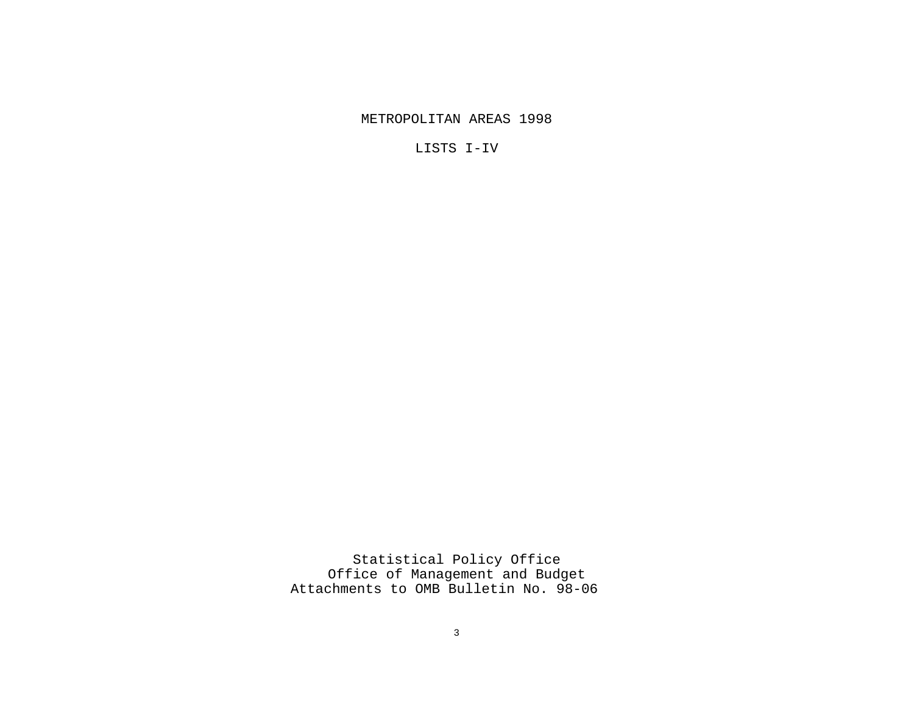METROPOLITAN AREAS 1998

LISTS I-IV

Statistical Policy Office Office of Management and Budget Attachments to OMB Bulletin No. 98-06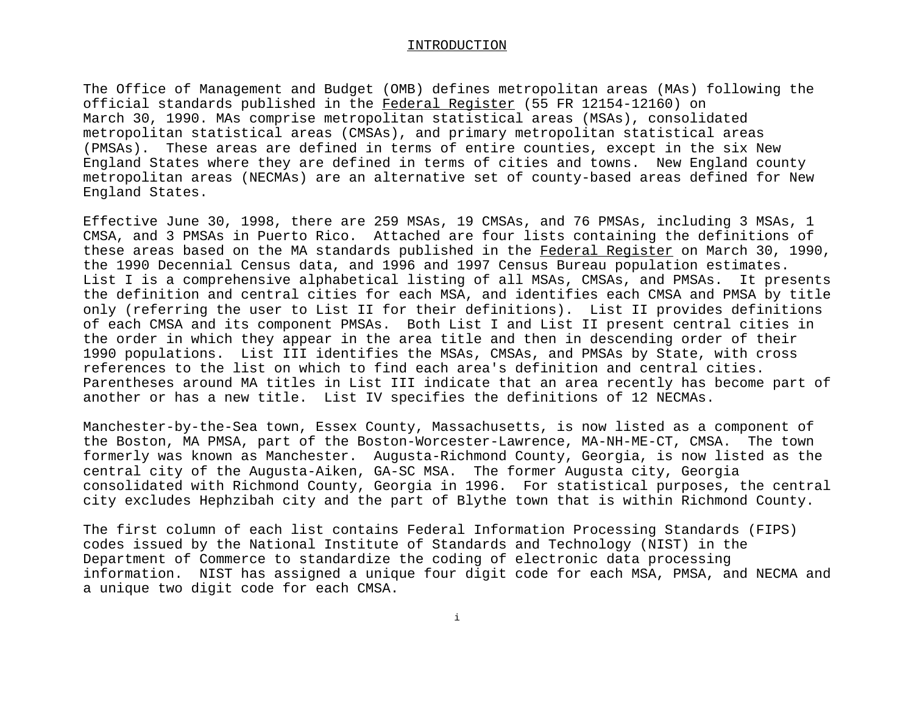#### INTRODUCTION

The Office of Management and Budget (OMB) defines metropolitan areas (MAs) following the official standards published in the Federal Register (55 FR 12154-12160) on March 30, 1990. MAs comprise metropolitan statistical areas (MSAs), consolidated metropolitan statistical areas (CMSAs), and primary metropolitan statistical areas (PMSAs). These areas are defined in terms of entire counties, except in the six New England States where they are defined in terms of cities and towns. New England county metropolitan areas (NECMAs) are an alternative set of county-based areas defined for New England States.

Effective June 30, 1998, there are 259 MSAs, 19 CMSAs, and 76 PMSAs, including 3 MSAs, 1 CMSA, and 3 PMSAs in Puerto Rico. Attached are four lists containing the definitions of these areas based on the MA standards published in the Federal Register on March 30, 1990, the 1990 Decennial Census data, and 1996 and 1997 Census Bureau population estimates. List I is a comprehensive alphabetical listing of all MSAs, CMSAs, and PMSAs. It presents the definition and central cities for each MSA, and identifies each CMSA and PMSA by title only (referring the user to List II for their definitions). List II provides definitions of each CMSA and its component PMSAs. Both List I and List II present central cities in the order in which they appear in the area title and then in descending order of their 1990 populations. List III identifies the MSAs, CMSAs, and PMSAs by State, with cross references to the list on which to find each area's definition and central cities. Parentheses around MA titles in List III indicate that an area recently has become part of another or has a new title. List IV specifies the definitions of 12 NECMAs.

Manchester-by-the-Sea town, Essex County, Massachusetts, is now listed as a component of the Boston, MA PMSA, part of the Boston-Worcester-Lawrence, MA-NH-ME-CT, CMSA. The town formerly was known as Manchester. Augusta-Richmond County, Georgia, is now listed as the central city of the Augusta-Aiken, GA-SC MSA. The former Augusta city, Georgia consolidated with Richmond County, Georgia in 1996. For statistical purposes, the central city excludes Hephzibah city and the part of Blythe town that is within Richmond County.

The first column of each list contains Federal Information Processing Standards (FIPS) codes issued by the National Institute of Standards and Technology (NIST) in the Department of Commerce to standardize the coding of electronic data processing information. NIST has assigned a unique four digit code for each MSA, PMSA, and NECMA and a unique two digit code for each CMSA.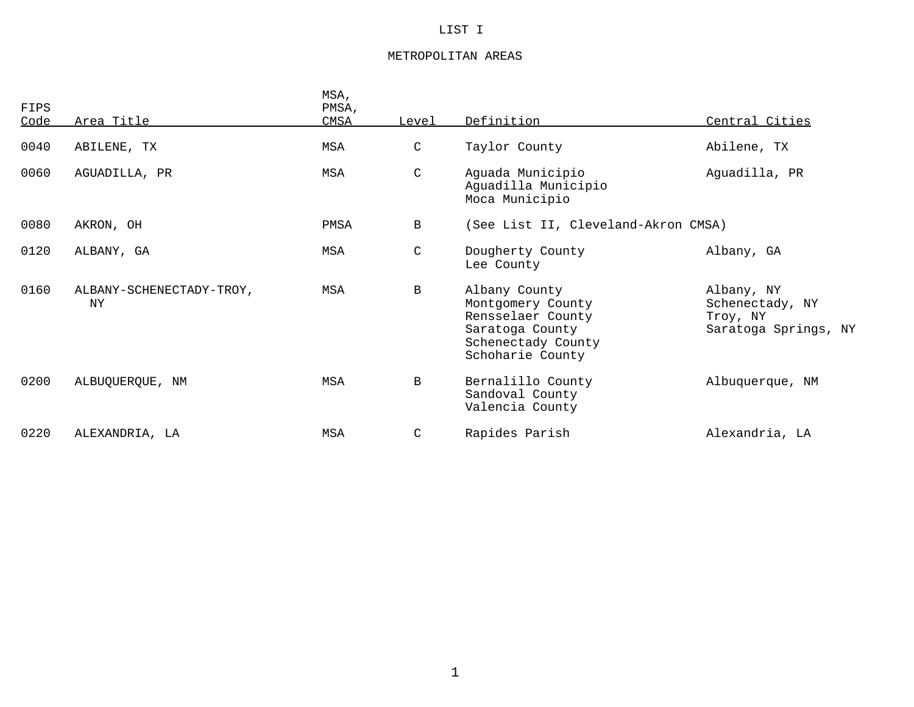### LIST I

### METROPOLITAN AREAS

| FIPS<br>Code | Area Title                      | MSA,<br>PMSA,<br>CMSA | Level         | Definition                                                                                                           | Central Cities                                                    |
|--------------|---------------------------------|-----------------------|---------------|----------------------------------------------------------------------------------------------------------------------|-------------------------------------------------------------------|
| 0040         | ABILENE, TX                     | MSA                   | $\mathsf C$   | Taylor County                                                                                                        | Abilene, TX                                                       |
| 0060         | AGUADILLA, PR                   | MSA                   | $\mathsf C$   | Aguada Municipio<br>Aguadilla Municipio<br>Moca Municipio                                                            | Aguadilla, PR                                                     |
| 0080         | AKRON, OH                       | PMSA                  | $\mathbf{B}$  | (See List II, Cleveland-Akron CMSA)                                                                                  |                                                                   |
| 0120         | ALBANY, GA                      | MSA                   | $\mathsf{C}$  | Dougherty County<br>Lee County                                                                                       | Albany, GA                                                        |
| 0160         | ALBANY-SCHENECTADY-TROY,<br>NY. | MSA                   | B             | Albany County<br>Montgomery County<br>Rensselaer County<br>Saratoga County<br>Schenectady County<br>Schoharie County | Albany, NY<br>Schenectady, NY<br>Troy, NY<br>Saratoga Springs, NY |
| 0200         | ALBUQUERQUE, NM                 | MSA                   | B             | Bernalillo County<br>Sandoval County<br>Valencia County                                                              | Albuquerque, NM                                                   |
| 0220         | ALEXANDRIA, LA                  | MSA                   | $\mathcal{C}$ | Rapides Parish                                                                                                       | Alexandria, LA                                                    |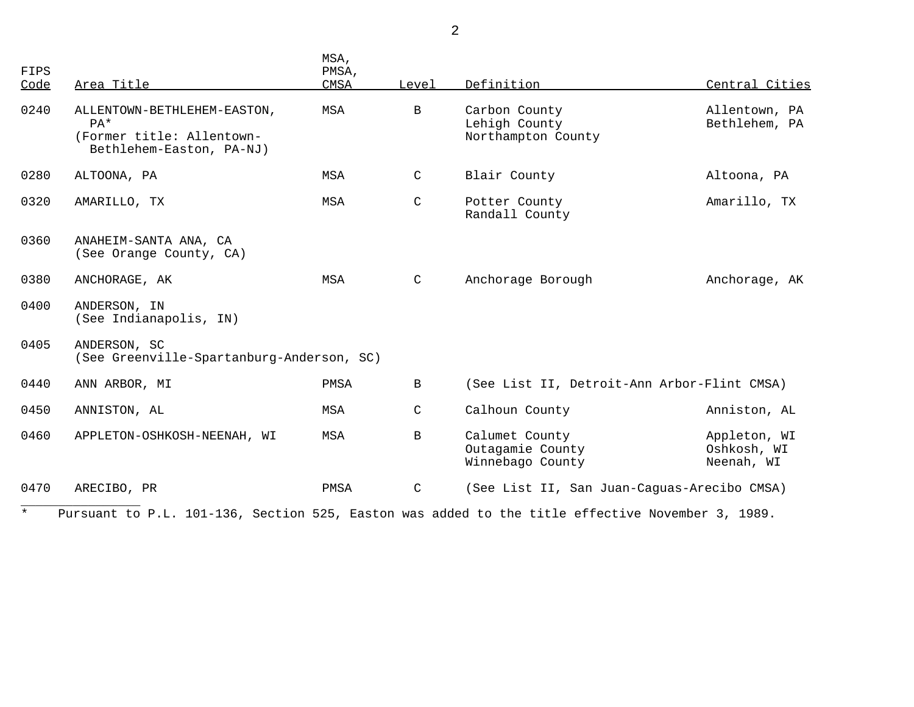| FIPS<br><u>Code</u> | Area Title                                                                                       | MSA,<br>PMSA,<br><b>CMSA</b> | Level        | Definition                                             | Central Cities                            |
|---------------------|--------------------------------------------------------------------------------------------------|------------------------------|--------------|--------------------------------------------------------|-------------------------------------------|
| 0240                | ALLENTOWN-BETHLEHEM-EASTON,<br>$PA*$<br>(Former title: Allentown-<br>Bethlehem-Easton, PA-NJ)    | MSA                          | $\mathbf{B}$ | Carbon County<br>Lehigh County<br>Northampton County   | Allentown, PA<br>Bethlehem, PA            |
| 0280                | ALTOONA, PA                                                                                      | MSA                          | $\mathsf{C}$ | Blair County                                           | Altoona, PA                               |
| 0320                | AMARILLO, TX                                                                                     | MSA                          | $\mathsf C$  | Potter County<br>Randall County                        | Amarillo, TX                              |
| 0360                | ANAHEIM-SANTA ANA, CA<br>(See Orange County, CA)                                                 |                              |              |                                                        |                                           |
| 0380                | ANCHORAGE, AK                                                                                    | MSA                          | $\mathsf C$  | Anchorage Borough                                      | Anchorage, AK                             |
| 0400                | ANDERSON, IN<br>(See Indianapolis, IN)                                                           |                              |              |                                                        |                                           |
| 0405                | ANDERSON, SC<br>(See Greenville-Spartanburg-Anderson, SC)                                        |                              |              |                                                        |                                           |
| 0440                | ANN ARBOR, MI                                                                                    | PMSA                         | $\mathbf{B}$ | (See List II, Detroit-Ann Arbor-Flint CMSA)            |                                           |
| 0450                | ANNISTON, AL                                                                                     | MSA                          | C            | Calhoun County                                         | Anniston, AL                              |
| 0460                | APPLETON-OSHKOSH-NEENAH, WI                                                                      | MSA                          | $\mathbf{B}$ | Calumet County<br>Outagamie County<br>Winnebago County | Appleton, WI<br>Oshkosh, WI<br>Neenah, WI |
| 0470                | ARECIBO, PR                                                                                      | PMSA                         | $\mathsf C$  | (See List II, San Juan-Caguas-Arecibo CMSA)            |                                           |
| $\star$             | Pursuant to P.L. 101-136, Section 525, Easton was added to the title effective November 3, 1989. |                              |              |                                                        |                                           |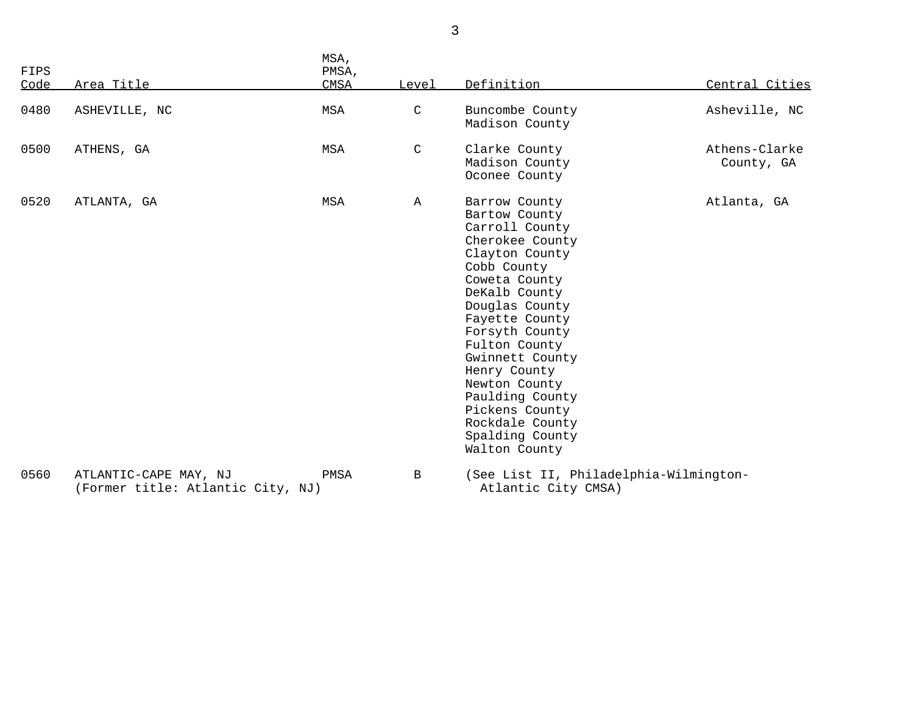| FIPS<br>Code | Area Title                                                 | MSA,<br>PMSA,<br>CMSA | Level        | Definition                                                                                                                                                                                                                                                                                                                                                    | Central Cities              |
|--------------|------------------------------------------------------------|-----------------------|--------------|---------------------------------------------------------------------------------------------------------------------------------------------------------------------------------------------------------------------------------------------------------------------------------------------------------------------------------------------------------------|-----------------------------|
| 0480         | ASHEVILLE, NC                                              | MSA                   | C            | Buncombe County<br>Madison County                                                                                                                                                                                                                                                                                                                             | Asheville, NC               |
| 0500         | ATHENS, GA                                                 | MSA                   | $\mathsf{C}$ | Clarke County<br>Madison County<br>Oconee County                                                                                                                                                                                                                                                                                                              | Athens-Clarke<br>County, GA |
| 0520         | ATLANTA, GA                                                | MSA                   | $\mathbb A$  | Barrow County<br>Bartow County<br>Carroll County<br>Cherokee County<br>Clayton County<br>Cobb County<br>Coweta County<br>DeKalb County<br>Douglas County<br>Fayette County<br>Forsyth County<br>Fulton County<br>Gwinnett County<br>Henry County<br>Newton County<br>Paulding County<br>Pickens County<br>Rockdale County<br>Spalding County<br>Walton County | Atlanta, GA                 |
| 0560         | ATLANTIC-CAPE MAY, NJ<br>(Former title: Atlantic City, NJ) | PMSA                  | $\mathbf{B}$ | (See List II, Philadelphia-Wilmington-<br>Atlantic City CMSA)                                                                                                                                                                                                                                                                                                 |                             |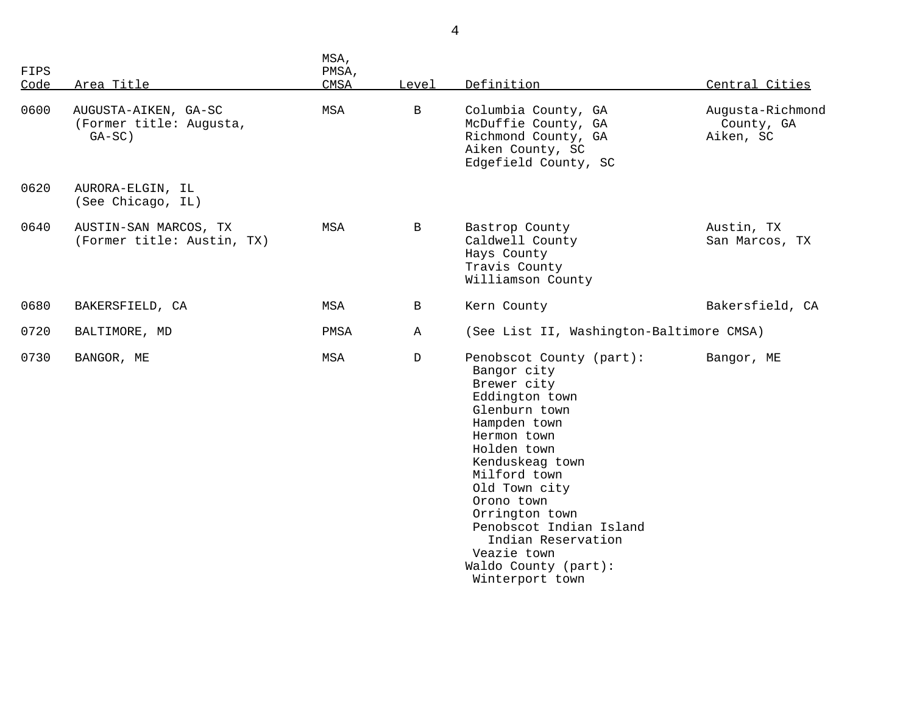| FIPS<br>Code | Area Title                                                   | MSA,<br>PMSA,<br>CMSA | Level        | Definition                                                                                                                                                                                                                                                                                                                             | Central Cities                              |
|--------------|--------------------------------------------------------------|-----------------------|--------------|----------------------------------------------------------------------------------------------------------------------------------------------------------------------------------------------------------------------------------------------------------------------------------------------------------------------------------------|---------------------------------------------|
| 0600         | AUGUSTA-AIKEN, GA-SC<br>(Former title: Augusta,<br>$GA-SC$ ) | MSA                   | $\mathbf B$  | Columbia County, GA<br>McDuffie County, GA<br>Richmond County, GA<br>Aiken County, SC<br>Edgefield County, SC                                                                                                                                                                                                                          | Augusta-Richmond<br>County, GA<br>Aiken, SC |
| 0620         | AURORA-ELGIN, IL<br>(See Chicago, IL)                        |                       |              |                                                                                                                                                                                                                                                                                                                                        |                                             |
| 0640         | AUSTIN-SAN MARCOS, TX<br>(Former title: Austin, TX)          | MSA                   | $\mathbf{B}$ | Bastrop County<br>Caldwell County<br>Hays County<br>Travis County<br>Williamson County                                                                                                                                                                                                                                                 | Austin, TX<br>San Marcos, TX                |
| 0680         | BAKERSFIELD, CA                                              | MSA                   | B            | Kern County                                                                                                                                                                                                                                                                                                                            | Bakersfield, CA                             |
| 0720         | BALTIMORE, MD                                                | PMSA                  | Α            | (See List II, Washington-Baltimore CMSA)                                                                                                                                                                                                                                                                                               |                                             |
| 0730         | BANGOR, ME                                                   | MSA                   | D            | Penobscot County (part):<br>Bangor city<br>Brewer city<br>Eddington town<br>Glenburn town<br>Hampden town<br>Hermon town<br>Holden town<br>Kenduskeag town<br>Milford town<br>Old Town city<br>Orono town<br>Orrington town<br>Penobscot Indian Island<br>Indian Reservation<br>Veazie town<br>Waldo County (part):<br>Winterport town | Bangor, ME                                  |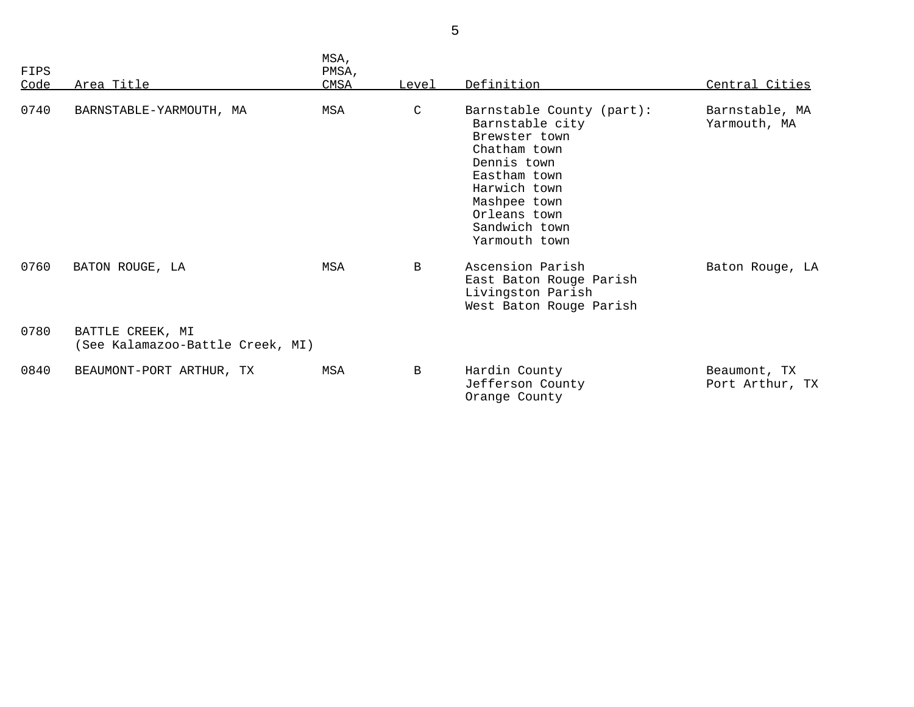| FIPS<br>Code | Area Title                                           | MSA,<br>PMSA,<br>CMSA | Level        | Definition                                                                                                                                                                                     | Central Cities                  |
|--------------|------------------------------------------------------|-----------------------|--------------|------------------------------------------------------------------------------------------------------------------------------------------------------------------------------------------------|---------------------------------|
| 0740         | BARNSTABLE-YARMOUTH, MA                              | MSA                   | $\mathsf{C}$ | Barnstable County (part):<br>Barnstable city<br>Brewster town<br>Chatham town<br>Dennis town<br>Eastham town<br>Harwich town<br>Mashpee town<br>Orleans town<br>Sandwich town<br>Yarmouth town | Barnstable, MA<br>Yarmouth, MA  |
| 0760         | BATON ROUGE, LA                                      | MSA                   | B            | Ascension Parish<br>East Baton Rouge Parish<br>Livingston Parish<br>West Baton Rouge Parish                                                                                                    | Baton Rouge, LA                 |
| 0780         | BATTLE CREEK, MI<br>(See Kalamazoo-Battle Creek, MI) |                       |              |                                                                                                                                                                                                |                                 |
| 0840         | BEAUMONT-PORT ARTHUR, TX                             | MSA                   | B            | Hardin County<br>Jefferson County<br>Orange County                                                                                                                                             | Beaumont, TX<br>Port Arthur, TX |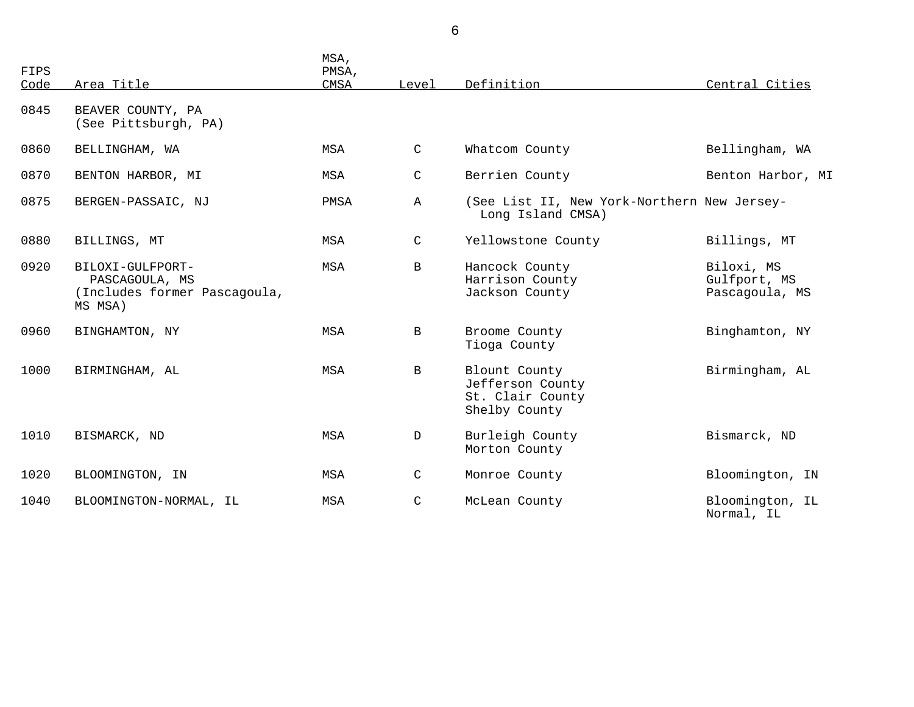| FIPS<br>Code | Area Title                                                                    | MSA,<br>PMSA,<br>CMSA | Level        | Definition                                                             | Central Cities                               |
|--------------|-------------------------------------------------------------------------------|-----------------------|--------------|------------------------------------------------------------------------|----------------------------------------------|
| 0845         | BEAVER COUNTY, PA<br>(See Pittsburgh, PA)                                     |                       |              |                                                                        |                                              |
| 0860         | BELLINGHAM, WA                                                                | MSA                   | $\mathsf{C}$ | Whatcom County                                                         | Bellingham, WA                               |
| 0870         | BENTON HARBOR, MI                                                             | MSA                   | C            | Berrien County                                                         | Benton Harbor, MI                            |
| 0875         | BERGEN-PASSAIC, NJ                                                            | PMSA                  | $\mathbb{A}$ | (See List II, New York-Northern New Jersey-<br>Long Island CMSA)       |                                              |
| 0880         | BILLINGS, MT                                                                  | <b>MSA</b>            | C            | Yellowstone County                                                     | Billings, MT                                 |
| 0920         | BILOXI-GULFPORT-<br>PASCAGOULA, MS<br>(Includes former Pascagoula,<br>MS MSA) | MSA                   | $\mathbf B$  | Hancock County<br>Harrison County<br>Jackson County                    | Biloxi, MS<br>Gulfport, MS<br>Pascagoula, MS |
| 0960         | BINGHAMTON, NY                                                                | MSA                   | $\mathbf{B}$ | Broome County<br>Tioga County                                          | Binghamton, NY                               |
| 1000         | BIRMINGHAM, AL                                                                | MSA                   | $\mathbf{B}$ | Blount County<br>Jefferson County<br>St. Clair County<br>Shelby County | Birmingham, AL                               |
| 1010         | BISMARCK, ND                                                                  | <b>MSA</b>            | D            | Burleigh County<br>Morton County                                       | Bismarck, ND                                 |
| 1020         | BLOOMINGTON, IN                                                               | MSA                   | $\mathsf C$  | Monroe County                                                          | Bloomington, IN                              |
| 1040         | BLOOMINGTON-NORMAL, IL                                                        | <b>MSA</b>            | C            | McLean County                                                          | Bloomington, IL<br>Normal, IL                |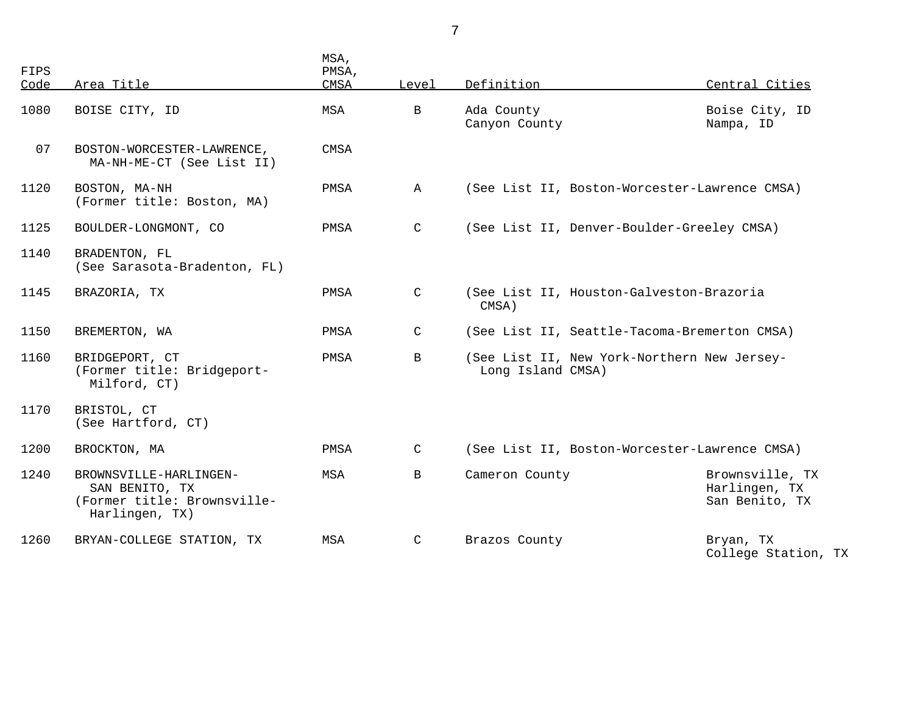| FIPS<br>Code | Area Title                                                                                | MSA,<br>PMSA,<br>CMSA | Level        | Definition                                                       | Central Cities                                     |  |
|--------------|-------------------------------------------------------------------------------------------|-----------------------|--------------|------------------------------------------------------------------|----------------------------------------------------|--|
| 1080         | BOISE CITY, ID                                                                            | MSA                   | $\mathbf B$  | Ada County<br>Canyon County                                      | Boise City, ID<br>Nampa, ID                        |  |
| 07           | BOSTON-WORCESTER-LAWRENCE,<br>MA-NH-ME-CT (See List II)                                   | CMSA                  |              |                                                                  |                                                    |  |
| 1120         | BOSTON, MA-NH<br>(Former title: Boston, MA)                                               | PMSA                  | Α            | (See List II, Boston-Worcester-Lawrence CMSA)                    |                                                    |  |
| 1125         | BOULDER-LONGMONT, CO                                                                      | PMSA                  | C            | (See List II, Denver-Boulder-Greeley CMSA)                       |                                                    |  |
| 1140         | BRADENTON, FL<br>(See Sarasota-Bradenton, FL)                                             |                       |              |                                                                  |                                                    |  |
| 1145         | BRAZORIA, TX                                                                              | PMSA                  | C            | CMSA)                                                            | (See List II, Houston-Galveston-Brazoria           |  |
| 1150         | BREMERTON, WA                                                                             | PMSA                  | $\mathsf{C}$ | (See List II, Seattle-Tacoma-Bremerton CMSA)                     |                                                    |  |
| 1160         | BRIDGEPORT, CT<br>(Former title: Bridgeport-<br>Milford, CT)                              | PMSA                  | $\mathbf{B}$ | (See List II, New York-Northern New Jersey-<br>Long Island CMSA) |                                                    |  |
| 1170         | BRISTOL, CT<br>(See Hartford, CT)                                                         |                       |              |                                                                  |                                                    |  |
| 1200         | BROCKTON, MA                                                                              | PMSA                  | C            | (See List II, Boston-Worcester-Lawrence CMSA)                    |                                                    |  |
| 1240         | BROWNSVILLE-HARLINGEN-<br>SAN BENITO, TX<br>(Former title: Brownsville-<br>Harlingen, TX) | MSA                   | B            | Cameron County                                                   | Brownsville, TX<br>Harlingen, TX<br>San Benito, TX |  |
| 1260         | BRYAN-COLLEGE STATION, TX                                                                 | MSA                   | C            | Brazos County                                                    | Bryan, TX<br>College Station, TX                   |  |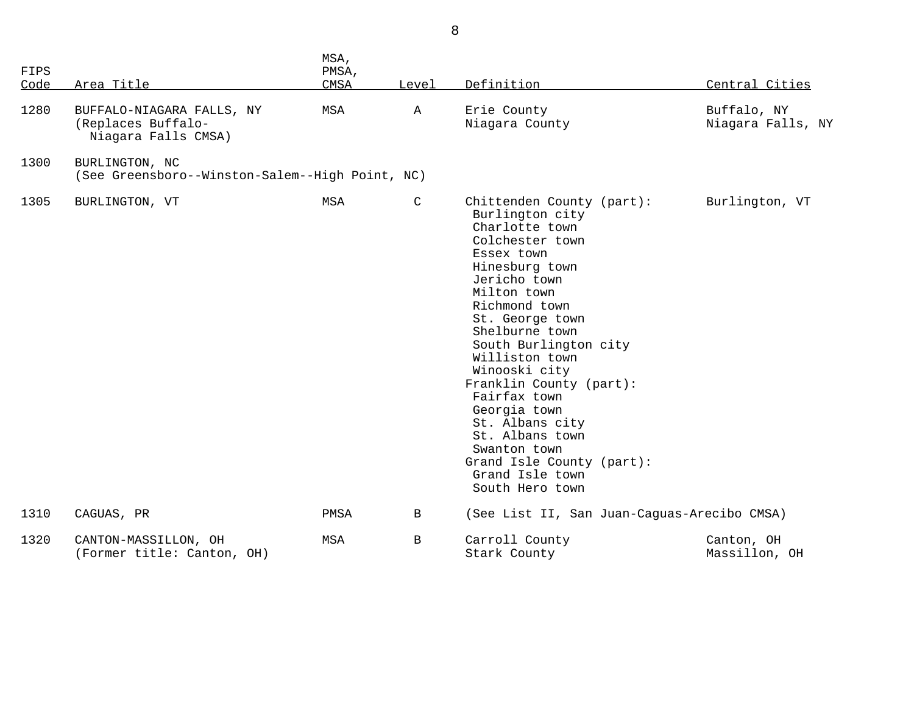| <b>FIPS</b><br>Code | Area Title                                                             | MSA,<br>PMSA,<br>CMSA | Level       | Definition                                                                                                                                                                                                                                                                                                                                                                                                                                             | Central Cities                   |
|---------------------|------------------------------------------------------------------------|-----------------------|-------------|--------------------------------------------------------------------------------------------------------------------------------------------------------------------------------------------------------------------------------------------------------------------------------------------------------------------------------------------------------------------------------------------------------------------------------------------------------|----------------------------------|
| 1280                | BUFFALO-NIAGARA FALLS, NY<br>(Replaces Buffalo-<br>Niagara Falls CMSA) | MSA                   | Α           | Erie County<br>Niagara County                                                                                                                                                                                                                                                                                                                                                                                                                          | Buffalo, NY<br>Niagara Falls, NY |
| 1300                | BURLINGTON, NC<br>(See Greensboro--Winston-Salem--High Point, NC)      |                       |             |                                                                                                                                                                                                                                                                                                                                                                                                                                                        |                                  |
| 1305                | BURLINGTON, VT                                                         | MSA                   | C           | Chittenden County (part):<br>Burlington city<br>Charlotte town<br>Colchester town<br>Essex town<br>Hinesburg town<br>Jericho town<br>Milton town<br>Richmond town<br>St. George town<br>Shelburne town<br>South Burlington city<br>Williston town<br>Winooski city<br>Franklin County (part):<br>Fairfax town<br>Georgia town<br>St. Albans city<br>St. Albans town<br>Swanton town<br>Grand Isle County (part):<br>Grand Isle town<br>South Hero town | Burlington, VT                   |
| 1310                | CAGUAS, PR                                                             | PMSA                  | $\mathbf B$ | (See List II, San Juan-Caguas-Arecibo CMSA)                                                                                                                                                                                                                                                                                                                                                                                                            |                                  |
| 1320                | CANTON-MASSILLON, OH<br>(Former title: Canton, OH)                     | MSA                   | В           | Carroll County<br>Stark County                                                                                                                                                                                                                                                                                                                                                                                                                         | Canton, OH<br>Massillon, OH      |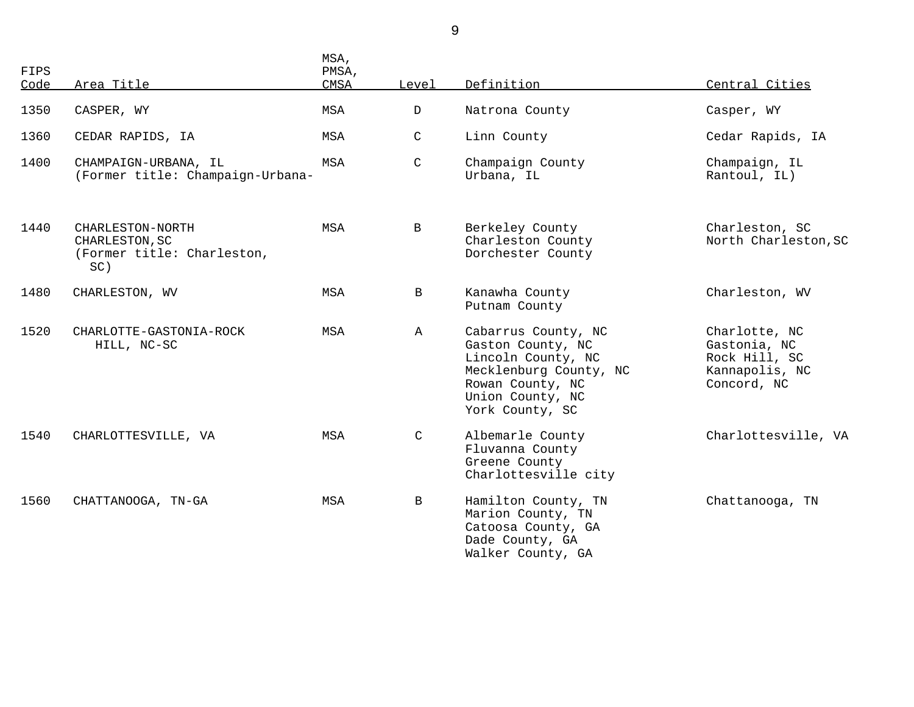| FIPS<br>Code | Area Title                                                              | MSA,<br>PMSA,<br><b>CMSA</b> | Level         | Definition                                                                                                                                          | Central Cities                                                                  |
|--------------|-------------------------------------------------------------------------|------------------------------|---------------|-----------------------------------------------------------------------------------------------------------------------------------------------------|---------------------------------------------------------------------------------|
| 1350         | CASPER, WY                                                              | MSA                          | $\mathbf{D}$  | Natrona County                                                                                                                                      | Casper, WY                                                                      |
| 1360         | CEDAR RAPIDS, IA                                                        | MSA                          | $\mathsf C$   | Linn County                                                                                                                                         | Cedar Rapids, IA                                                                |
| 1400         | CHAMPAIGN-URBANA, IL<br>(Former title: Champaign-Urbana-                | MSA                          | $\mathcal{C}$ | Champaign County<br>Urbana, IL                                                                                                                      | Champaign, IL<br>Rantoul, IL)                                                   |
| 1440         | CHARLESTON-NORTH<br>CHARLESTON, SC<br>(Former title: Charleston,<br>SC) | MSA                          | $\mathbf B$   | Berkeley County<br>Charleston County<br>Dorchester County                                                                                           | Charleston, SC<br>North Charleston, SC                                          |
| 1480         | CHARLESTON, WV                                                          | MSA                          | B             | Kanawha County<br>Putnam County                                                                                                                     | Charleston, WV                                                                  |
| 1520         | CHARLOTTE-GASTONIA-ROCK<br>HILL, NC-SC                                  | MSA                          | $\mathbb A$   | Cabarrus County, NC<br>Gaston County, NC<br>Lincoln County, NC<br>Mecklenburg County, NC<br>Rowan County, NC<br>Union County, NC<br>York County, SC | Charlotte, NC<br>Gastonia, NC<br>Rock Hill, SC<br>Kannapolis, NC<br>Concord, NC |
| 1540         | CHARLOTTESVILLE, VA                                                     | MSA                          | C             | Albemarle County<br>Fluvanna County<br>Greene County<br>Charlottesville city                                                                        | Charlottesville, VA                                                             |
| 1560         | CHATTANOOGA, TN-GA                                                      | MSA                          | B             | Hamilton County, TN<br>Marion County, TN<br>Catoosa County, GA<br>Dade County, GA<br>Walker County, GA                                              | Chattanooga, TN                                                                 |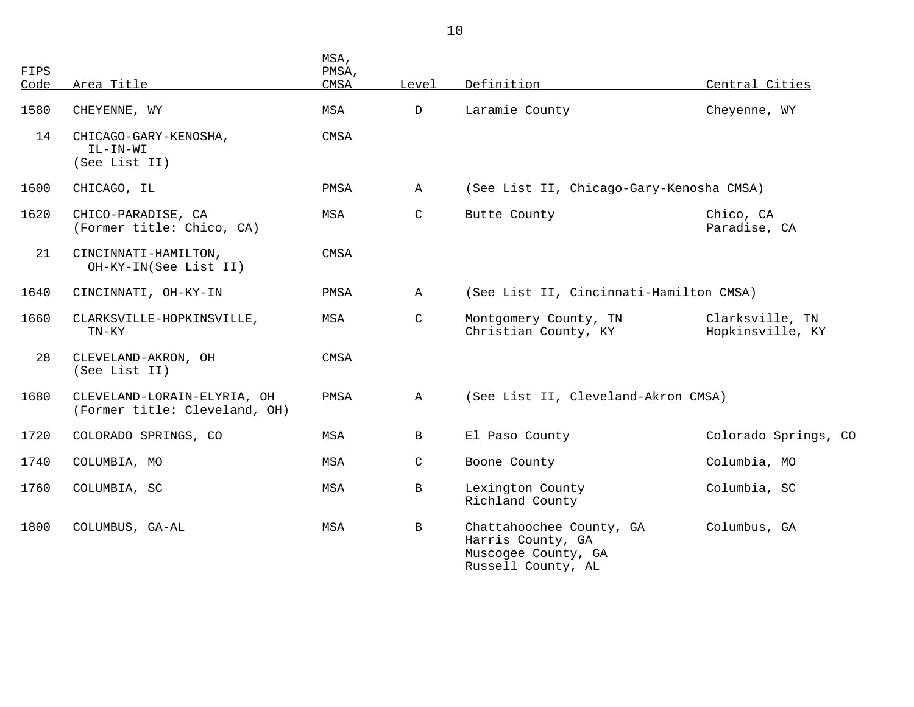| <b>FIPS</b><br>Code | Area Title                                                   | MSA,<br>PMSA,<br>CMSA | Level        | Definition                                                                                 | Central Cities                      |
|---------------------|--------------------------------------------------------------|-----------------------|--------------|--------------------------------------------------------------------------------------------|-------------------------------------|
| 1580                | CHEYENNE, WY                                                 | MSA                   | D            | Laramie County                                                                             | Cheyenne, WY                        |
| 14                  | CHICAGO-GARY-KENOSHA,<br>IL-IN-WI<br>(See List II)           | CMSA                  |              |                                                                                            |                                     |
| 1600                | CHICAGO, IL                                                  | PMSA                  | Α            | (See List II, Chicago-Gary-Kenosha CMSA)                                                   |                                     |
| 1620                | CHICO-PARADISE, CA<br>(Former title: Chico, CA)              | MSA                   | $\mathsf{C}$ | Butte County                                                                               | Chico, CA<br>Paradise, CA           |
| 21                  | CINCINNATI-HAMILTON,<br>OH-KY-IN(See List II)                | CMSA                  |              |                                                                                            |                                     |
| 1640                | CINCINNATI, OH-KY-IN                                         | PMSA                  | $\mathbb{A}$ | (See List II, Cincinnati-Hamilton CMSA)                                                    |                                     |
| 1660                | CLARKSVILLE-HOPKINSVILLE,<br>TN-KY                           | MSA                   | C            | Montgomery County, TN<br>Christian County, KY                                              | Clarksville, TN<br>Hopkinsville, KY |
| 28                  | CLEVELAND-AKRON, OH<br>(See List II)                         | CMSA                  |              |                                                                                            |                                     |
| 1680                | CLEVELAND-LORAIN-ELYRIA, OH<br>(Former title: Cleveland, OH) | PMSA                  | $\mathbb A$  | (See List II, Cleveland-Akron CMSA)                                                        |                                     |
| 1720                | COLORADO SPRINGS, CO                                         | MSA                   | B            | El Paso County                                                                             | Colorado Springs, CO                |
| 1740                | COLUMBIA, MO                                                 | MSA                   | C            | Boone County                                                                               | Columbia, MO                        |
| 1760                | COLUMBIA, SC                                                 | MSA                   | $\mathbf{B}$ | Lexington County<br>Richland County                                                        | Columbia, SC                        |
| 1800                | COLUMBUS, GA-AL                                              | MSA                   | B            | Chattahoochee County, GA<br>Harris County, GA<br>Muscogee County, GA<br>Russell County, AL | Columbus, GA                        |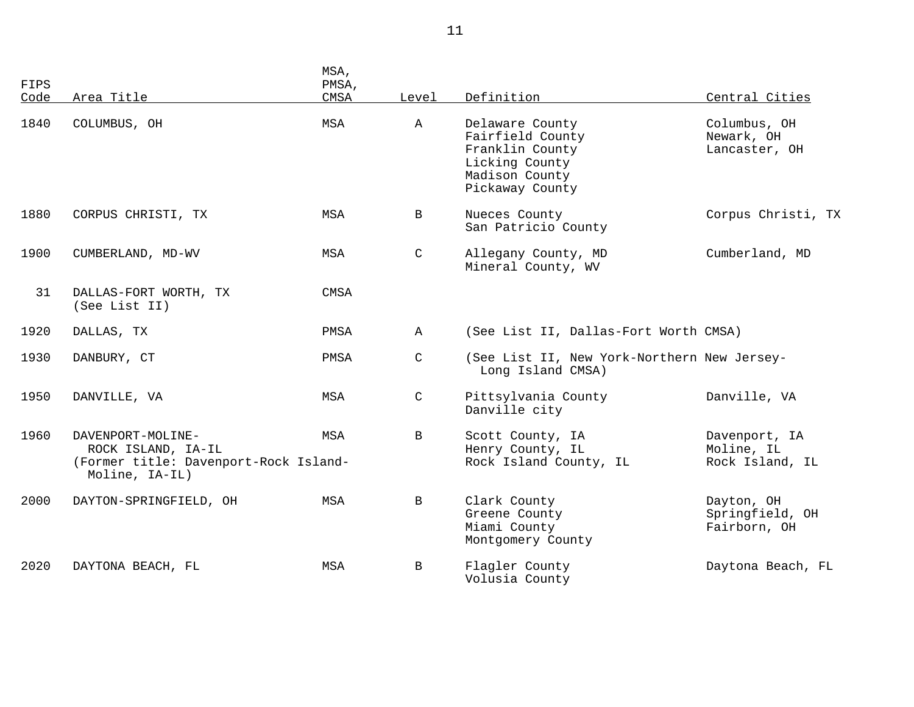| FIPS<br>Code | Area Title                                                                                         | MSA,<br>PMSA,<br>CMSA | Level        | Definition                                                                                                    | Central Cities                                 |
|--------------|----------------------------------------------------------------------------------------------------|-----------------------|--------------|---------------------------------------------------------------------------------------------------------------|------------------------------------------------|
| 1840         | COLUMBUS, OH                                                                                       | MSA                   | $\mathbb A$  | Delaware County<br>Fairfield County<br>Franklin County<br>Licking County<br>Madison County<br>Pickaway County | Columbus, OH<br>Newark, OH<br>Lancaster, OH    |
| 1880         | CORPUS CHRISTI, TX                                                                                 | MSA                   | B            | Nueces County<br>San Patricio County                                                                          | Corpus Christi, TX                             |
| 1900         | CUMBERLAND, MD-WV                                                                                  | MSA                   | $\mathsf{C}$ | Allegany County, MD<br>Mineral County, WV                                                                     | Cumberland, MD                                 |
| 31           | DALLAS-FORT WORTH, TX<br>(See List II)                                                             | CMSA                  |              |                                                                                                               |                                                |
| 1920         | DALLAS, TX                                                                                         | PMSA                  | $\mathbb{A}$ | (See List II, Dallas-Fort Worth CMSA)                                                                         |                                                |
| 1930         | DANBURY, CT                                                                                        | PMSA                  | $\mathsf{C}$ | (See List II, New York-Northern New Jersey-<br>Long Island CMSA)                                              |                                                |
| 1950         | DANVILLE, VA                                                                                       | MSA                   | C            | Pittsylvania County<br>Danville city                                                                          | Danville, VA                                   |
| 1960         | DAVENPORT-MOLINE-<br>ROCK ISLAND, IA-IL<br>(Former title: Davenport-Rock Island-<br>Moline, IA-IL) | MSA                   | B            | Scott County, IA<br>Henry County, IL<br>Rock Island County, IL                                                | Davenport, IA<br>Moline, IL<br>Rock Island, IL |
| 2000         | DAYTON-SPRINGFIELD, OH                                                                             | MSA                   | $\mathbf B$  | Clark County<br>Greene County<br>Miami County<br>Montgomery County                                            | Dayton, OH<br>Springfield, OH<br>Fairborn, OH  |
| 2020         | DAYTONA BEACH, FL                                                                                  | <b>MSA</b>            | B            | Flagler County<br>Volusia County                                                                              | Daytona Beach, FL                              |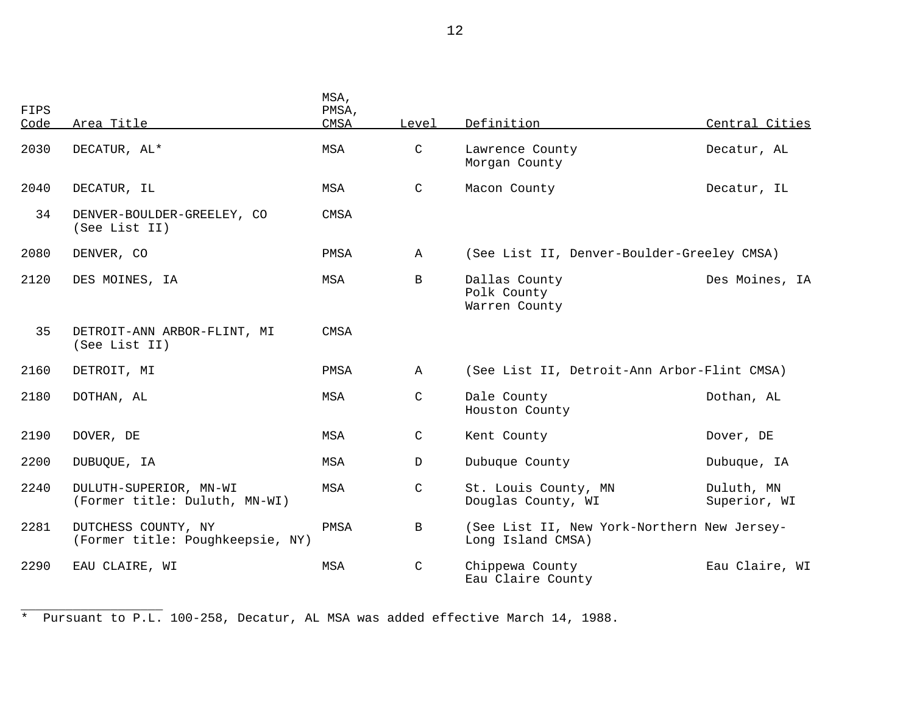| FIPS<br>Code | Area Title                                              | MSA,<br>PMSA,<br>CMSA | Level         | Definition                                                       | Central Cities             |
|--------------|---------------------------------------------------------|-----------------------|---------------|------------------------------------------------------------------|----------------------------|
| 2030         | DECATUR, AL*                                            | MSA                   | $\mathcal{C}$ | Lawrence County<br>Morgan County                                 | Decatur, AL                |
| 2040         | DECATUR, IL                                             | MSA                   | C             | Macon County                                                     | Decatur, IL                |
| 34           | DENVER-BOULDER-GREELEY, CO<br>(See List II)             | CMSA                  |               |                                                                  |                            |
| 2080         | DENVER, CO                                              | PMSA                  | $\mathbb A$   | (See List II, Denver-Boulder-Greeley CMSA)                       |                            |
| 2120         | DES MOINES, IA                                          | MSA                   | $\mathbf B$   | Dallas County<br>Polk County<br>Warren County                    | Des Moines, IA             |
| 35           | DETROIT-ANN ARBOR-FLINT, MI<br>(See List II)            | <b>CMSA</b>           |               |                                                                  |                            |
| 2160         | DETROIT, MI                                             | PMSA                  | $\mathbb{A}$  | (See List II, Detroit-Ann Arbor-Flint CMSA)                      |                            |
| 2180         | DOTHAN, AL                                              | MSA                   | $\mathcal{C}$ | Dale County<br>Houston County                                    | Dothan, AL                 |
| 2190         | DOVER, DE                                               | MSA                   | C             | Kent County                                                      | Dover, DE                  |
| 2200         | DUBUQUE, IA                                             | MSA                   | $\mathbb{D}$  | Dubuque County                                                   | Dubuque, IA                |
| 2240         | DULUTH-SUPERIOR, MN-WI<br>(Former title: Duluth, MN-WI) | MSA                   | $\mathsf{C}$  | St. Louis County, MN<br>Douglas County, WI                       | Duluth, MN<br>Superior, WI |
| 2281         | DUTCHESS COUNTY, NY<br>(Former title: Poughkeepsie, NY) | PMSA                  | B             | (See List II, New York-Northern New Jersey-<br>Long Island CMSA) |                            |
| 2290         | EAU CLAIRE, WI                                          | MSA                   | $\mathcal{C}$ | Chippewa County<br>Eau Claire County                             | Eau Claire, WI             |

\* Pursuant to P.L. 100-258, Decatur, AL MSA was added effective March 14, 1988.

\_\_\_\_\_\_\_\_\_\_\_\_\_\_\_\_\_\_\_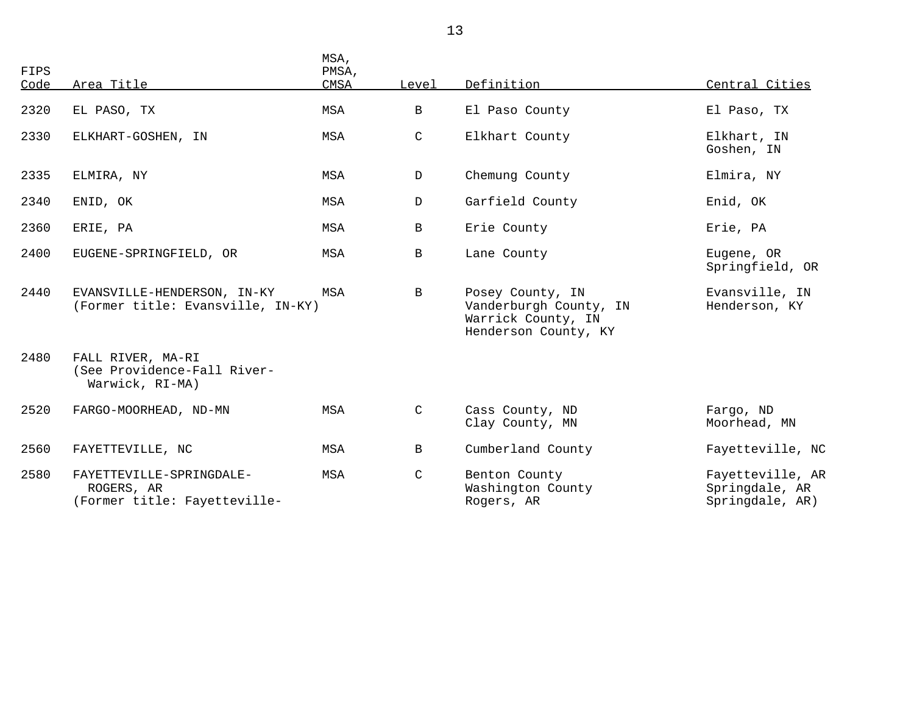| FIPS<br>Code | Area Title                                                             | MSA,<br>PMSA,<br>CMSA | Level         | Definition                                                                               | Central Cities                                        |
|--------------|------------------------------------------------------------------------|-----------------------|---------------|------------------------------------------------------------------------------------------|-------------------------------------------------------|
| 2320         | EL PASO, TX                                                            | MSA                   | B             | El Paso County                                                                           | El Paso, TX                                           |
| 2330         | ELKHART-GOSHEN, IN                                                     | MSA                   | $\mathsf{C}$  | Elkhart County                                                                           | Elkhart, IN<br>Goshen, IN                             |
| 2335         | ELMIRA, NY                                                             | MSA                   | D             | Chemung County                                                                           | Elmira, NY                                            |
| 2340         | ENID, OK                                                               | MSA                   | $\mathbf D$   | Garfield County                                                                          | Enid, OK                                              |
| 2360         | ERIE, PA                                                               | MSA                   | B             | Erie County                                                                              | Erie, PA                                              |
| 2400         | EUGENE-SPRINGFIELD, OR                                                 | MSA                   | B             | Lane County                                                                              | Eugene, OR<br>Springfield, OR                         |
| 2440         | EVANSVILLE-HENDERSON, IN-KY<br>(Former title: Evansville, IN-KY)       | MSA                   | B             | Posey County, IN<br>Vanderburgh County, IN<br>Warrick County, IN<br>Henderson County, KY | Evansville, IN<br>Henderson, KY                       |
| 2480         | FALL RIVER, MA-RI<br>(See Providence-Fall River-<br>Warwick, RI-MA)    |                       |               |                                                                                          |                                                       |
| 2520         | FARGO-MOORHEAD, ND-MN                                                  | MSA                   | C             | Cass County, ND<br>Clay County, MN                                                       | Fargo, ND<br>Moorhead, MN                             |
| 2560         | FAYETTEVILLE, NC                                                       | MSA                   | B             | Cumberland County                                                                        | Fayetteville, NC                                      |
| 2580         | FAYETTEVILLE-SPRINGDALE-<br>ROGERS, AR<br>(Former title: Fayetteville- | MSA                   | $\mathcal{C}$ | Benton County<br>Washington County<br>Rogers, AR                                         | Fayetteville, AR<br>Springdale, AR<br>Springdale, AR) |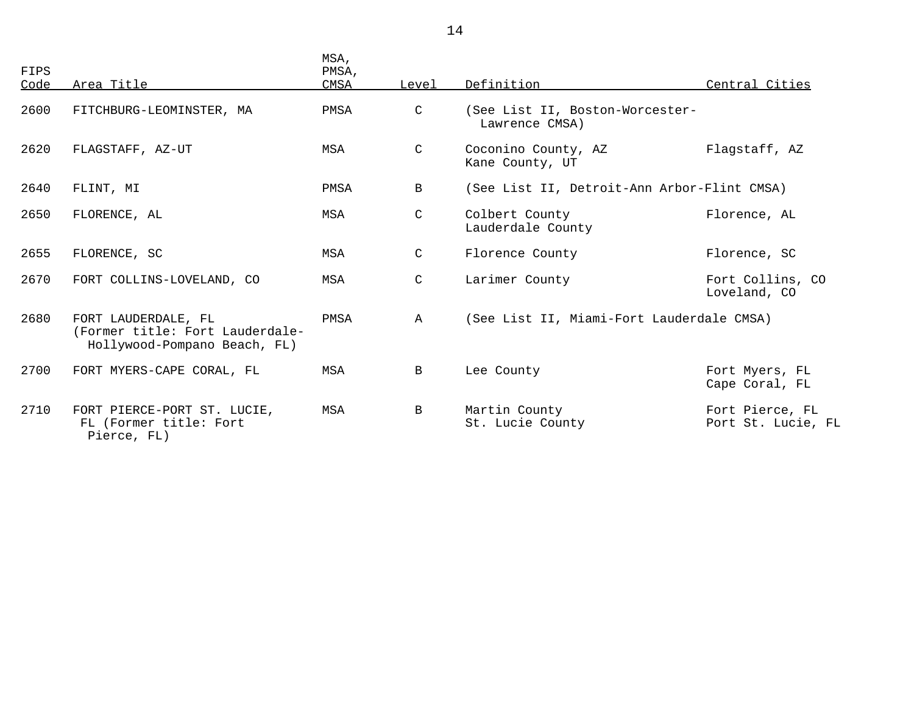| FIPS<br>Code | Area Title                                                                             | MSA,<br>PMSA,<br>CMSA | Level        | Definition                                        | Central Cities                        |
|--------------|----------------------------------------------------------------------------------------|-----------------------|--------------|---------------------------------------------------|---------------------------------------|
| 2600         | FITCHBURG-LEOMINSTER, MA                                                               | PMSA                  | C            | (See List II, Boston-Worcester-<br>Lawrence CMSA) |                                       |
| 2620         | FLAGSTAFF, AZ-UT                                                                       | <b>MSA</b>            | C            | Coconino County, AZ<br>Kane County, UT            | Flagstaff, AZ                         |
| 2640         | FLINT, MI                                                                              | PMSA                  | B            | (See List II, Detroit-Ann Arbor-Flint CMSA)       |                                       |
| 2650         | FLORENCE, AL                                                                           | MSA                   | C            | Colbert County<br>Lauderdale County               | Florence, AL                          |
| 2655         | FLORENCE, SC                                                                           | MSA                   | C            | Florence County                                   | Florence, SC                          |
| 2670         | FORT COLLINS-LOVELAND, CO                                                              | MSA                   | C            | Larimer County                                    | Fort Collins, CO<br>Loveland, CO      |
| 2680         | FORT LAUDERDALE, FL<br>(Former title: Fort Lauderdale-<br>Hollywood-Pompano Beach, FL) | PMSA                  | $\mathbb{A}$ | (See List II, Miami-Fort Lauderdale CMSA)         |                                       |
| 2700         | FORT MYERS-CAPE CORAL, FL                                                              | MSA                   | $\mathbf{B}$ | Lee County                                        | Fort Myers, FL<br>Cape Coral, FL      |
| 2710         | FORT PIERCE-PORT ST. LUCIE,<br>FL (Former title: Fort<br>Pierce, FL)                   | MSA                   | $\mathbf{B}$ | Martin County<br>St. Lucie County                 | Fort Pierce, FL<br>Port St. Lucie, FL |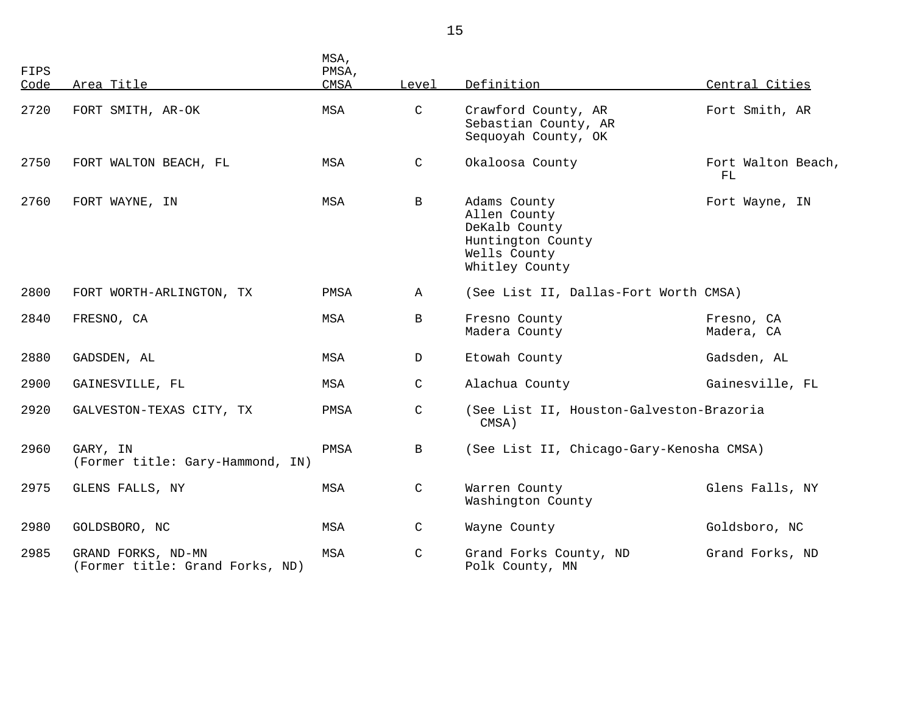| FIPS<br>Code | Area Title                                            | MSA,<br>PMSA,<br>CMSA | Level        | Definition                                                                                           | Central Cities           |
|--------------|-------------------------------------------------------|-----------------------|--------------|------------------------------------------------------------------------------------------------------|--------------------------|
| 2720         | FORT SMITH, AR-OK                                     | MSA                   | C            | Crawford County, AR<br>Sebastian County, AR<br>Sequoyah County, OK                                   | Fort Smith, AR           |
| 2750         | FORT WALTON BEACH, FL                                 | MSA                   | $\mathsf{C}$ | Okaloosa County                                                                                      | Fort Walton Beach,<br>FL |
| 2760         | FORT WAYNE, IN                                        | MSA                   | $\mathbf{B}$ | Adams County<br>Allen County<br>DeKalb County<br>Huntington County<br>Wells County<br>Whitley County | Fort Wayne, IN           |
| 2800         | FORT WORTH-ARLINGTON, TX                              | PMSA                  | $\mathbb A$  | (See List II, Dallas-Fort Worth CMSA)                                                                |                          |
| 2840         | FRESNO, CA                                            | MSA                   | B            | Fresno County<br>Madera County                                                                       | Fresno, CA<br>Madera, CA |
| 2880         | GADSDEN, AL                                           | MSA                   | D            | Etowah County                                                                                        | Gadsden, AL              |
| 2900         | GAINESVILLE, FL                                       | MSA                   | C            | Alachua County                                                                                       | Gainesville, FL          |
| 2920         | GALVESTON-TEXAS CITY, TX                              | PMSA                  | $\mathsf C$  | (See List II, Houston-Galveston-Brazoria<br>CMSA)                                                    |                          |
| 2960         | GARY, IN<br>(Former title: Gary-Hammond, IN)          | PMSA                  | B            | (See List II, Chicago-Gary-Kenosha CMSA)                                                             |                          |
| 2975         | GLENS FALLS, NY                                       | MSA                   | C            | Warren County<br>Washington County                                                                   | Glens Falls, NY          |
| 2980         | GOLDSBORO, NC                                         | MSA                   | C            | Wayne County                                                                                         | Goldsboro, NC            |
| 2985         | GRAND FORKS, ND-MN<br>(Former title: Grand Forks, ND) | MSA                   | C            | Grand Forks County, ND<br>Polk County, MN                                                            | Grand Forks, ND          |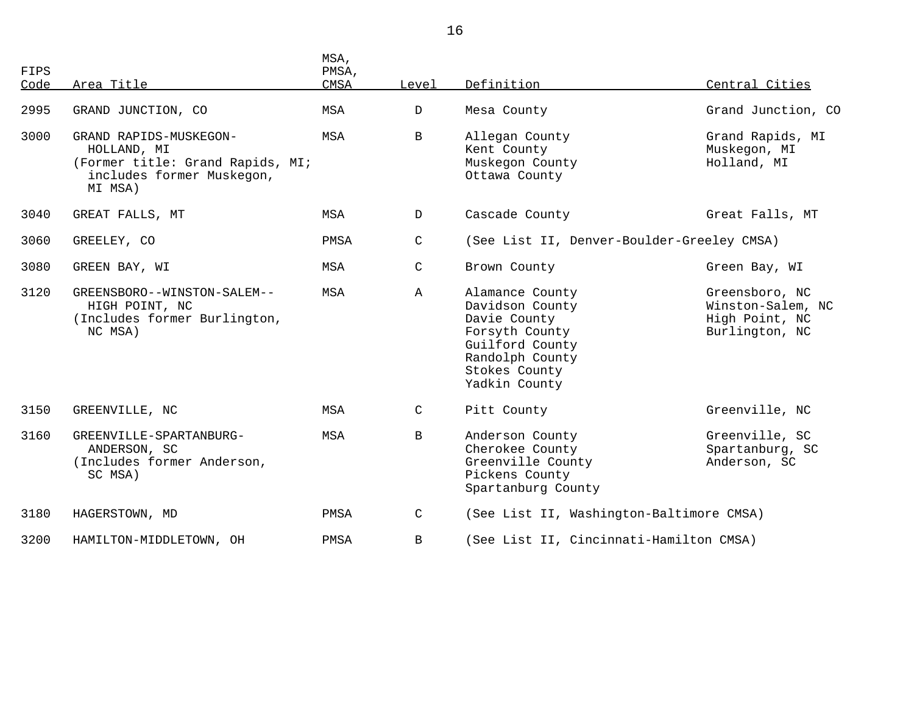| FIPS<br>Code | Area Title                                                                                                        | MSA,<br>PMSA,<br><b>CMSA</b> | Level        | Definition                                                                                                                                   | Central Cities                                                          |
|--------------|-------------------------------------------------------------------------------------------------------------------|------------------------------|--------------|----------------------------------------------------------------------------------------------------------------------------------------------|-------------------------------------------------------------------------|
| 2995         | GRAND JUNCTION, CO                                                                                                | MSA                          | $\mathbb{D}$ | Mesa County                                                                                                                                  | Grand Junction, CO                                                      |
| 3000         | GRAND RAPIDS-MUSKEGON-<br>HOLLAND, MI<br>(Former title: Grand Rapids, MI;<br>includes former Muskegon,<br>MI MSA) | MSA                          | B            | Allegan County<br>Kent County<br>Muskegon County<br>Ottawa County                                                                            | Grand Rapids, MI<br>Muskegon, MI<br>Holland, MI                         |
| 3040         | GREAT FALLS, MT                                                                                                   | MSA                          | $\mathbf{D}$ | Cascade County                                                                                                                               | Great Falls, MT                                                         |
| 3060         | GREELEY, CO                                                                                                       | PMSA                         | $\mathsf C$  | (See List II, Denver-Boulder-Greeley CMSA)                                                                                                   |                                                                         |
| 3080         | GREEN BAY, WI                                                                                                     | MSA                          | C            | Brown County                                                                                                                                 | Green Bay, WI                                                           |
| 3120         | GREENSBORO--WINSTON-SALEM--<br>HIGH POINT, NC<br>(Includes former Burlington,<br>NC MSA)                          | MSA                          | $\mathbb{A}$ | Alamance County<br>Davidson County<br>Davie County<br>Forsyth County<br>Guilford County<br>Randolph County<br>Stokes County<br>Yadkin County | Greensboro, NC<br>Winston-Salem, NC<br>High Point, NC<br>Burlington, NC |
| 3150         | GREENVILLE, NC                                                                                                    | MSA                          | C            | Pitt County                                                                                                                                  | Greenville, NC                                                          |
| 3160         | GREENVILLE-SPARTANBURG-<br>ANDERSON, SC<br>(Includes former Anderson,<br>SC MSA)                                  | MSA                          | $\mathbf{B}$ | Anderson County<br>Cherokee County<br>Greenville County<br>Pickens County<br>Spartanburg County                                              | Greenville, SC<br>Spartanburg, SC<br>Anderson, SC                       |
| 3180         | HAGERSTOWN, MD                                                                                                    | PMSA                         | C            | (See List II, Washington-Baltimore CMSA)                                                                                                     |                                                                         |
| 3200         | HAMILTON-MIDDLETOWN, OH                                                                                           | PMSA                         | B            | (See List II, Cincinnati-Hamilton CMSA)                                                                                                      |                                                                         |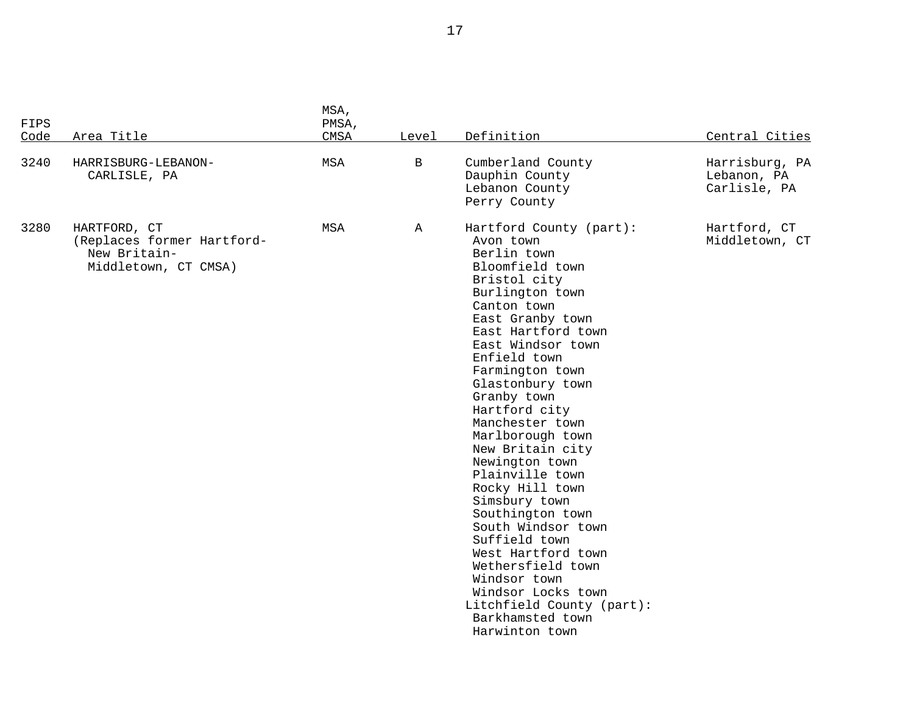| <b>FIPS</b><br>Code | Area Title                                                                         | MSA,<br>PMSA,<br>CMSA | Level        | Definition                                                                                                                                                                                                                                                                                                                                                                                                                                                                                                                                                                                                                        | Central Cities                                |
|---------------------|------------------------------------------------------------------------------------|-----------------------|--------------|-----------------------------------------------------------------------------------------------------------------------------------------------------------------------------------------------------------------------------------------------------------------------------------------------------------------------------------------------------------------------------------------------------------------------------------------------------------------------------------------------------------------------------------------------------------------------------------------------------------------------------------|-----------------------------------------------|
| 3240                | HARRISBURG-LEBANON-<br>CARLISLE, PA                                                | MSA                   | $\mathbf B$  | Cumberland County<br>Dauphin County<br>Lebanon County<br>Perry County                                                                                                                                                                                                                                                                                                                                                                                                                                                                                                                                                             | Harrisburg, PA<br>Lebanon, PA<br>Carlisle, PA |
| 3280                | HARTFORD, CT<br>(Replaces former Hartford-<br>New Britain-<br>Middletown, CT CMSA) | MSA                   | $\mathbb{A}$ | Hartford County (part):<br>Avon town<br>Berlin town<br>Bloomfield town<br>Bristol city<br>Burlington town<br>Canton town<br>East Granby town<br>East Hartford town<br>East Windsor town<br>Enfield town<br>Farmington town<br>Glastonbury town<br>Granby town<br>Hartford city<br>Manchester town<br>Marlborough town<br>New Britain city<br>Newington town<br>Plainville town<br>Rocky Hill town<br>Simsbury town<br>Southington town<br>South Windsor town<br>Suffield town<br>West Hartford town<br>Wethersfield town<br>Windsor town<br>Windsor Locks town<br>Litchfield County (part):<br>Barkhamsted town<br>Harwinton town | Hartford, CT<br>Middletown, CT                |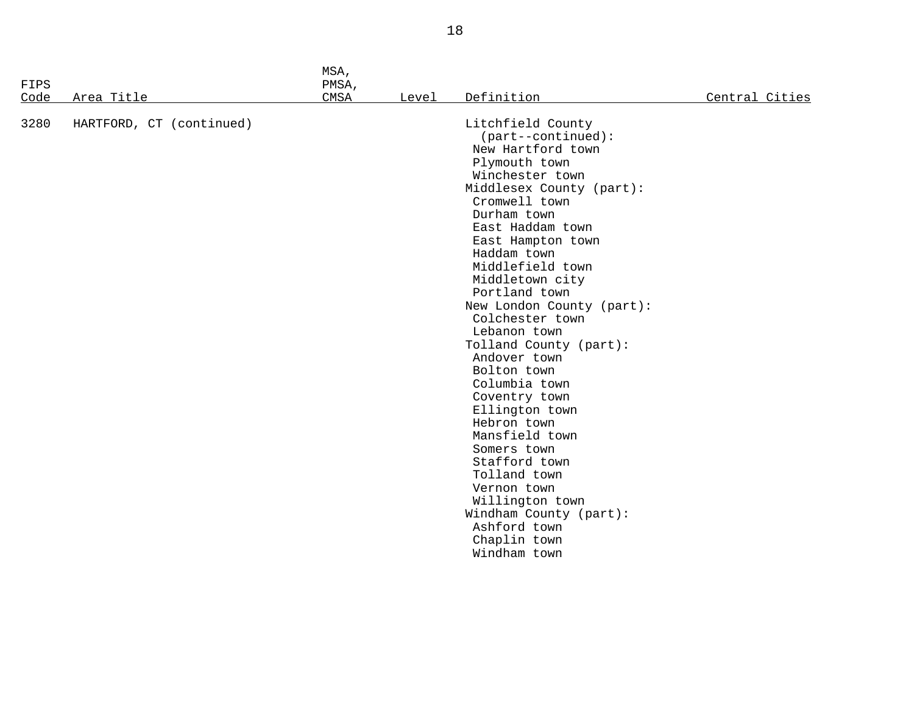| FIPS |                          | MSA,<br>PMSA, |       |                                                                                                                                                                                                                                                                                                                                                                                                                                                                                                                                                                                                                                                          |                |
|------|--------------------------|---------------|-------|----------------------------------------------------------------------------------------------------------------------------------------------------------------------------------------------------------------------------------------------------------------------------------------------------------------------------------------------------------------------------------------------------------------------------------------------------------------------------------------------------------------------------------------------------------------------------------------------------------------------------------------------------------|----------------|
| Code | Area Title               | CMSA          | Level | Definition                                                                                                                                                                                                                                                                                                                                                                                                                                                                                                                                                                                                                                               | Central Cities |
| 3280 | HARTFORD, CT (continued) |               |       | Litchfield County<br>$(part--continued):$<br>New Hartford town<br>Plymouth town<br>Winchester town<br>Middlesex County (part):<br>Cromwell town<br>Durham town<br>East Haddam town<br>East Hampton town<br>Haddam town<br>Middlefield town<br>Middletown city<br>Portland town<br>New London County (part):<br>Colchester town<br>Lebanon town<br>Tolland County (part):<br>Andover town<br>Bolton town<br>Columbia town<br>Coventry town<br>Ellington town<br>Hebron town<br>Mansfield town<br>Somers town<br>Stafford town<br>Tolland town<br>Vernon town<br>Willington town<br>Windham County (part):<br>Ashford town<br>Chaplin town<br>Windham town |                |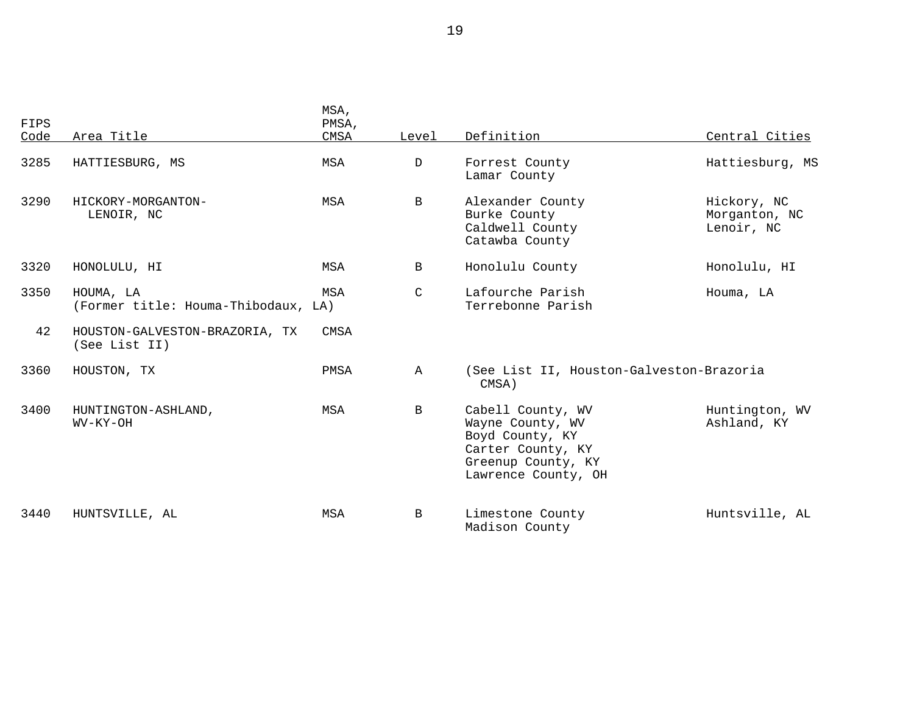| FIPS<br>Code | Area Title                                       | MSA,<br>PMSA,<br><b>CMSA</b> | Level        | Definition                                                                                                                 | Central Cities                             |
|--------------|--------------------------------------------------|------------------------------|--------------|----------------------------------------------------------------------------------------------------------------------------|--------------------------------------------|
| 3285         | HATTIESBURG, MS                                  | MSA                          | D            | Forrest County<br>Lamar County                                                                                             | Hattiesburg, MS                            |
| 3290         | HICKORY-MORGANTON-<br>LENOIR, NC                 | MSA                          | $\mathbf{B}$ | Alexander County<br>Burke County<br>Caldwell County<br>Catawba County                                                      | Hickory, NC<br>Morganton, NC<br>Lenoir, NC |
| 3320         | HONOLULU, HI                                     | MSA                          | $\mathbf{B}$ | Honolulu County                                                                                                            | Honolulu, HI                               |
| 3350         | HOUMA, LA<br>(Former title: Houma-Thibodaux, LA) | MSA                          | $\mathsf{C}$ | Lafourche Parish<br>Terrebonne Parish                                                                                      | Houma, LA                                  |
| 42           | HOUSTON-GALVESTON-BRAZORIA, TX<br>(See List II)  | CMSA                         |              |                                                                                                                            |                                            |
| 3360         | HOUSTON, TX                                      | PMSA                         | $\mathbb{A}$ | (See List II, Houston-Galveston-Brazoria<br>CMSA)                                                                          |                                            |
| 3400         | HUNTINGTON-ASHLAND,<br>WV-KY-OH                  | MSA                          | $\mathbf{B}$ | Cabell County, WV<br>Wayne County, WV<br>Boyd County, KY<br>Carter County, KY<br>Greenup County, KY<br>Lawrence County, OH | Huntington, WV<br>Ashland, KY              |
| 3440         | HUNTSVILLE, AL                                   | <b>MSA</b>                   | $\mathbf{B}$ | Limestone County<br>Madison County                                                                                         | Huntsville, AL                             |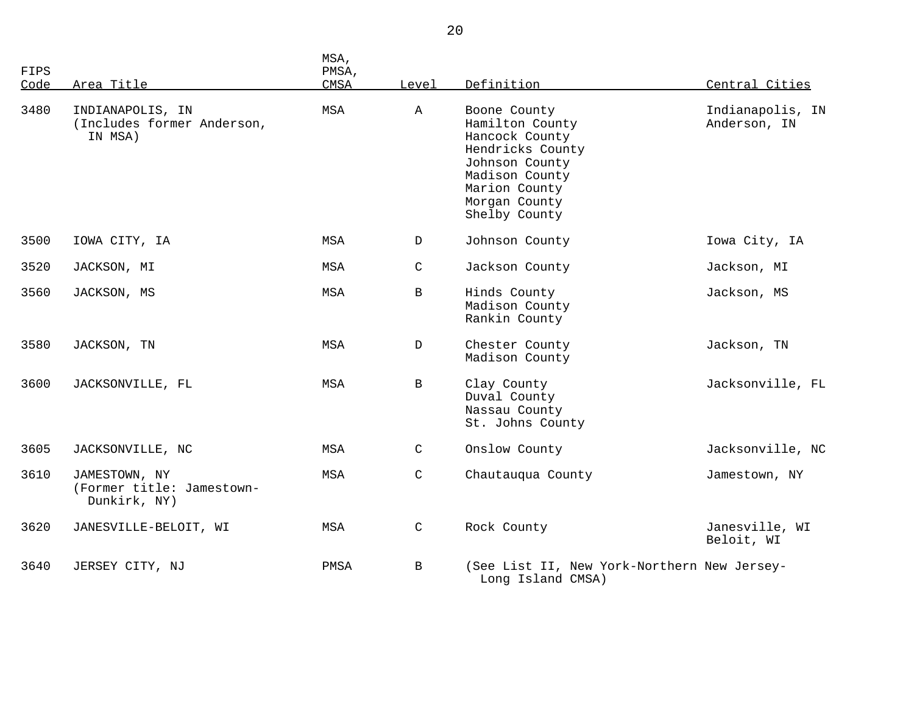| FIPS |                                                            | MSA,<br>PMSA, |              |                                                                                                                                                              |                                  |
|------|------------------------------------------------------------|---------------|--------------|--------------------------------------------------------------------------------------------------------------------------------------------------------------|----------------------------------|
| Code | Area Title                                                 | CMSA          | Level        | Definition                                                                                                                                                   | Central Cities                   |
| 3480 | INDIANAPOLIS, IN<br>(Includes former Anderson,<br>IN MSA)  | MSA           | Α            | Boone County<br>Hamilton County<br>Hancock County<br>Hendricks County<br>Johnson County<br>Madison County<br>Marion County<br>Morgan County<br>Shelby County | Indianapolis, IN<br>Anderson, IN |
| 3500 | IOWA CITY, IA                                              | MSA           | D            | Johnson County                                                                                                                                               | Iowa City, IA                    |
| 3520 | JACKSON, MI                                                | MSA           | C            | Jackson County                                                                                                                                               | Jackson, MI                      |
| 3560 | JACKSON, MS                                                | MSA           | B            | Hinds County<br>Madison County<br>Rankin County                                                                                                              | Jackson, MS                      |
| 3580 | JACKSON, TN                                                | MSA           | D            | Chester County<br>Madison County                                                                                                                             | Jackson, TN                      |
| 3600 | JACKSONVILLE, FL                                           | MSA           | B            | Clay County<br>Duval County<br>Nassau County<br>St. Johns County                                                                                             | Jacksonville, FL                 |
| 3605 | JACKSONVILLE, NC                                           | MSA           | $\mathsf{C}$ | Onslow County                                                                                                                                                | Jacksonville, NC                 |
| 3610 | JAMESTOWN, NY<br>(Former title: Jamestown-<br>Dunkirk, NY) | MSA           | $\mathsf{C}$ | Chautauqua County                                                                                                                                            | Jamestown, NY                    |
| 3620 | JANESVILLE-BELOIT, WI                                      | MSA           | $\mathsf{C}$ | Rock County                                                                                                                                                  | Janesville, WI<br>Beloit, WI     |
| 3640 | JERSEY CITY, NJ                                            | PMSA          | B            | (See List II, New York-Northern New Jersey-<br>Long Island CMSA)                                                                                             |                                  |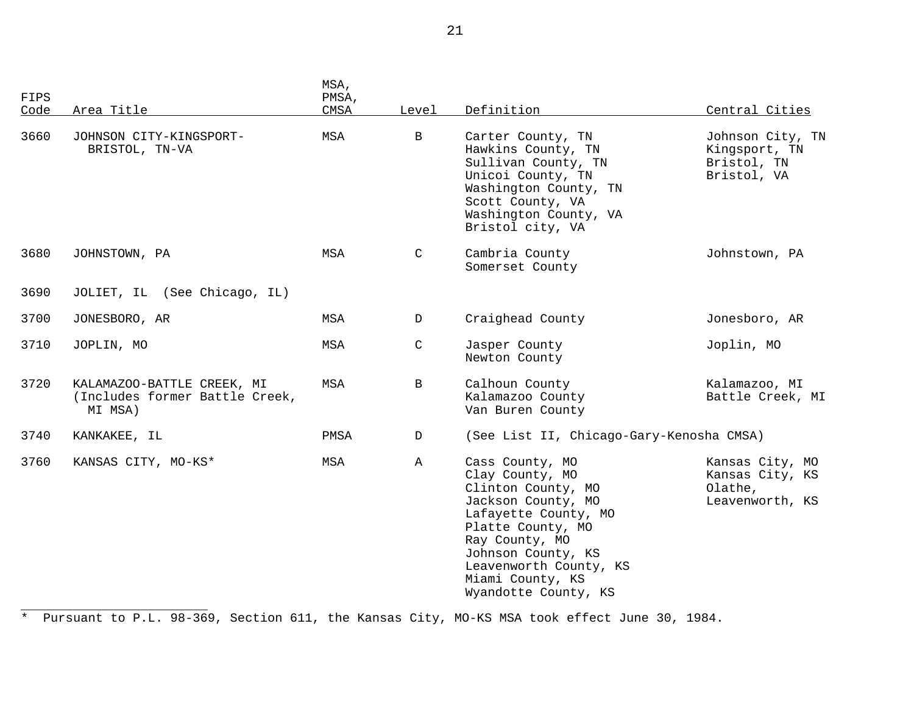| FIPS<br>Code | Area Title                                                              | MSA,<br>PMSA,<br>CMSA | Level         | Definition                                                                                                                                                                                                                                | Central Cities                                                   |
|--------------|-------------------------------------------------------------------------|-----------------------|---------------|-------------------------------------------------------------------------------------------------------------------------------------------------------------------------------------------------------------------------------------------|------------------------------------------------------------------|
| 3660         | JOHNSON CITY-KINGSPORT-<br>BRISTOL, TN-VA                               | MSA                   | $\, {\bf B}$  | Carter County, TN<br>Hawkins County, TN<br>Sullivan County, TN<br>Unicoi County, TN<br>Washington County, TN<br>Scott County, VA<br>Washington County, VA<br>Bristol city, VA                                                             | Johnson City, TN<br>Kingsport, TN<br>Bristol, TN<br>Bristol, VA  |
| 3680         | JOHNSTOWN, PA                                                           | MSA                   | C             | Cambria County<br>Somerset County                                                                                                                                                                                                         | Johnstown, PA                                                    |
| 3690         | JOLIET, IL (See Chicago, IL)                                            |                       |               |                                                                                                                                                                                                                                           |                                                                  |
| 3700         | JONESBORO, AR                                                           | MSA                   | D             | Craighead County                                                                                                                                                                                                                          | Jonesboro, AR                                                    |
| 3710         | JOPLIN, MO                                                              | MSA                   | $\mathcal{C}$ | Jasper County<br>Newton County                                                                                                                                                                                                            | Joplin, MO                                                       |
| 3720         | KALAMAZOO-BATTLE CREEK, MI<br>(Includes former Battle Creek,<br>MI MSA) | MSA                   | B             | Calhoun County<br>Kalamazoo County<br>Van Buren County                                                                                                                                                                                    | Kalamazoo, MI<br>Battle Creek, MI                                |
| 3740         | KANKAKEE, IL                                                            | PMSA                  | D             | (See List II, Chicago-Gary-Kenosha CMSA)                                                                                                                                                                                                  |                                                                  |
| 3760         | KANSAS CITY, MO-KS*                                                     | MSA                   | A             | Cass County, MO<br>Clay County, MO<br>Clinton County, MO<br>Jackson County, MO<br>Lafayette County, MO<br>Platte County, MO<br>Ray County, MO<br>Johnson County, KS<br>Leavenworth County, KS<br>Miami County, KS<br>Wyandotte County, KS | Kansas City, MO<br>Kansas City, KS<br>Olathe,<br>Leavenworth, KS |

\* Pursuant to P.L. 98-369, Section 611, the Kansas City, MO-KS MSA took effect June 30, 1984.

\_\_\_\_\_\_\_\_\_\_\_\_\_\_\_\_\_\_\_\_\_\_\_\_\_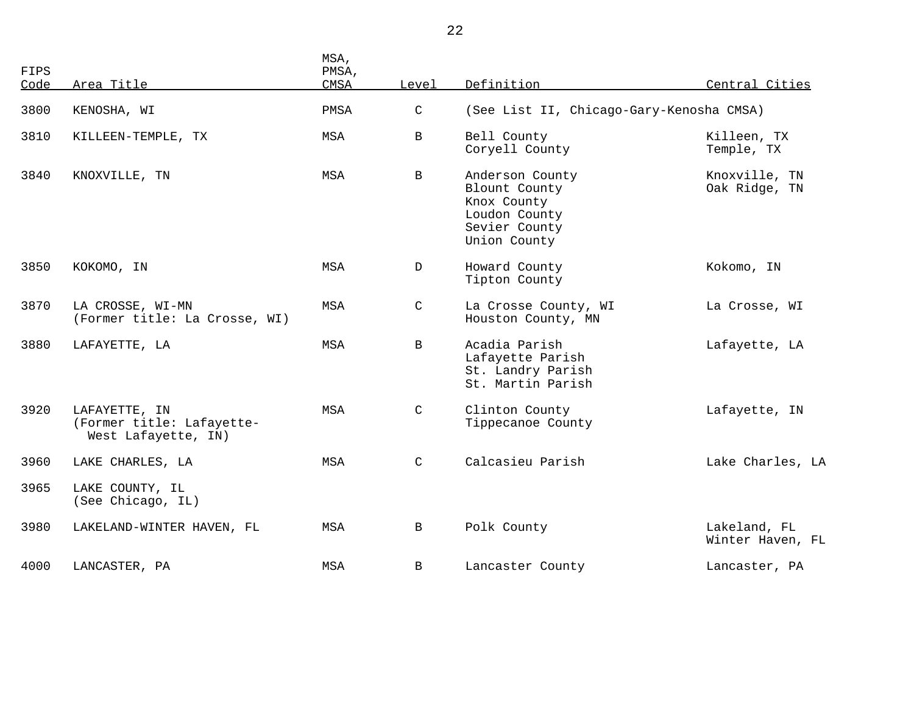| <b>FIPS</b><br>Code | Area Title                                                        | MSA,<br>PMSA,<br>CMSA | Level         | Definition                                                                                        | Central Cities                   |
|---------------------|-------------------------------------------------------------------|-----------------------|---------------|---------------------------------------------------------------------------------------------------|----------------------------------|
| 3800                | KENOSHA, WI                                                       | PMSA                  | C             | (See List II, Chicago-Gary-Kenosha CMSA)                                                          |                                  |
| 3810                | KILLEEN-TEMPLE, TX                                                | MSA                   | B             | Bell County<br>Coryell County                                                                     | Killeen, TX<br>Temple, TX        |
| 3840                | KNOXVILLE, TN                                                     | MSA                   | $\mathbf{B}$  | Anderson County<br>Blount County<br>Knox County<br>Loudon County<br>Sevier County<br>Union County | Knoxville, TN<br>Oak Ridge, TN   |
| 3850                | KOKOMO, IN                                                        | MSA                   | $\mathbb{D}$  | Howard County<br>Tipton County                                                                    | Kokomo, IN                       |
| 3870                | LA CROSSE, WI-MN<br>(Former title: La Crosse, WI)                 | MSA                   | $\mathcal{C}$ | La Crosse County, WI<br>Houston County, MN                                                        | La Crosse, WI                    |
| 3880                | LAFAYETTE, LA                                                     | MSA                   | $\mathbf{B}$  | Acadia Parish<br>Lafayette Parish<br>St. Landry Parish<br>St. Martin Parish                       | Lafayette, LA                    |
| 3920                | LAFAYETTE, IN<br>(Former title: Lafayette-<br>West Lafayette, IN) | MSA                   | $\mathsf{C}$  | Clinton County<br>Tippecanoe County                                                               | Lafayette, IN                    |
| 3960                | LAKE CHARLES, LA                                                  | MSA                   | $\mathsf{C}$  | Calcasieu Parish                                                                                  | Lake Charles, LA                 |
| 3965                | LAKE COUNTY, IL<br>(See Chicago, IL)                              |                       |               |                                                                                                   |                                  |
| 3980                | LAKELAND-WINTER HAVEN, FL                                         | MSA                   | $\mathbf{B}$  | Polk County                                                                                       | Lakeland, FL<br>Winter Haven, FL |
| 4000                | LANCASTER, PA                                                     | <b>MSA</b>            | $\mathbf{B}$  | Lancaster County                                                                                  | Lancaster, PA                    |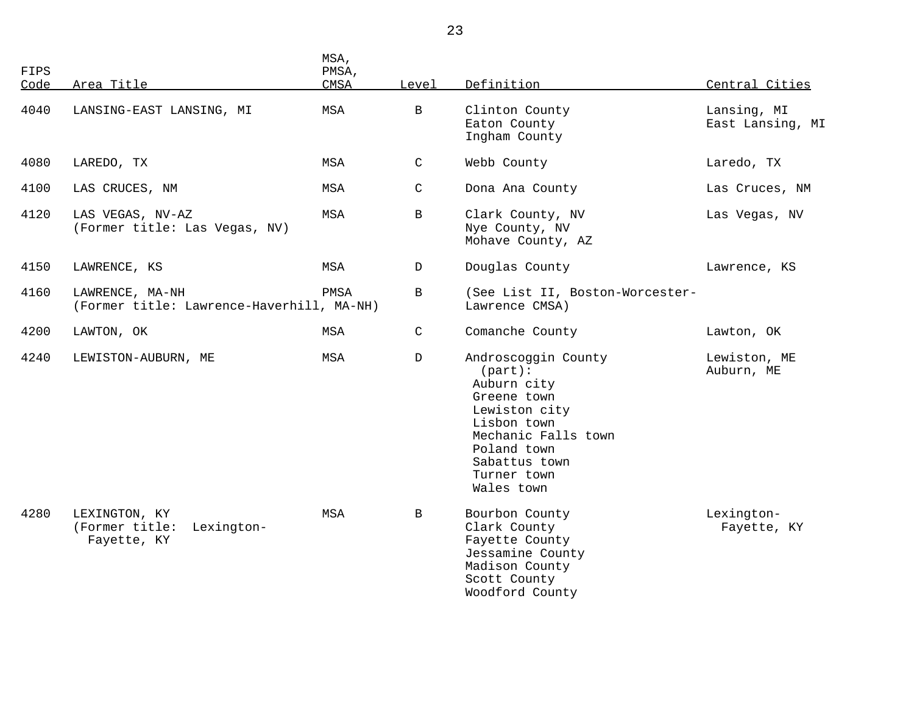| FIPS<br>Code | Area Title                                                   | MSA,<br>PMSA,<br>CMSA | Level        | Definition                                                                                                                                                                          | Central Cities                  |
|--------------|--------------------------------------------------------------|-----------------------|--------------|-------------------------------------------------------------------------------------------------------------------------------------------------------------------------------------|---------------------------------|
| 4040         | LANSING-EAST LANSING, MI                                     | MSA                   | B            | Clinton County<br>Eaton County<br>Ingham County                                                                                                                                     | Lansing, MI<br>East Lansing, MI |
| 4080         | LAREDO, TX                                                   | MSA                   | $\mathsf{C}$ | Webb County                                                                                                                                                                         | Laredo, TX                      |
| 4100         | LAS CRUCES, NM                                               | MSA                   | $\mathsf{C}$ | Dona Ana County                                                                                                                                                                     | Las Cruces, NM                  |
| 4120         | LAS VEGAS, NV-AZ<br>(Former title: Las Vegas, NV)            | MSA                   | B            | Clark County, NV<br>Nye County, NV<br>Mohave County, AZ                                                                                                                             | Las Vegas, NV                   |
| 4150         | LAWRENCE, KS                                                 | MSA                   | D            | Douglas County                                                                                                                                                                      | Lawrence, KS                    |
| 4160         | LAWRENCE, MA-NH<br>(Former title: Lawrence-Haverhill, MA-NH) | PMSA                  | $\mathbf{B}$ | (See List II, Boston-Worcester-<br>Lawrence CMSA)                                                                                                                                   |                                 |
| 4200         | LAWTON, OK                                                   | MSA                   | $\mathsf C$  | Comanche County                                                                                                                                                                     | Lawton, OK                      |
| 4240         | LEWISTON-AUBURN, ME                                          | MSA                   | D            | Androscoggin County<br>$(part)$ :<br>Auburn city<br>Greene town<br>Lewiston city<br>Lisbon town<br>Mechanic Falls town<br>Poland town<br>Sabattus town<br>Turner town<br>Wales town | Lewiston, ME<br>Auburn, ME      |
| 4280         | LEXINGTON, KY<br>(Former title:<br>Lexington-<br>Fayette, KY | MSA                   | B            | Bourbon County<br>Clark County<br>Fayette County<br>Jessamine County<br>Madison County<br>Scott County<br>Woodford County                                                           | Lexington-<br>Fayette, KY       |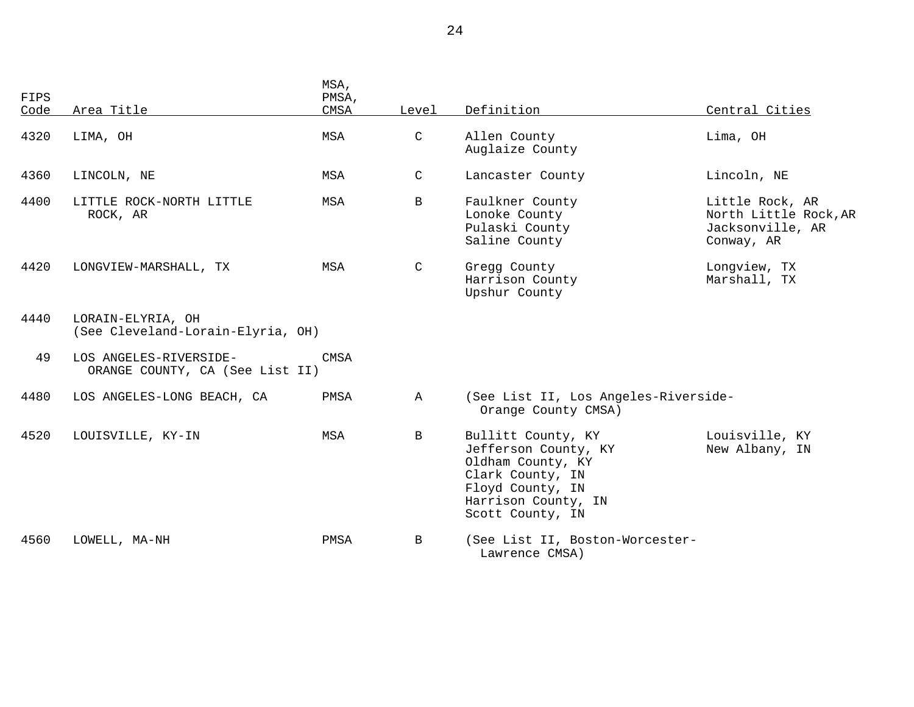| <b>FIPS</b><br>Code | Area Title                                                | MSA,<br>PMSA,<br>CMSA | Level        | Definition                                                                                                                                         | Central Cities                                                             |
|---------------------|-----------------------------------------------------------|-----------------------|--------------|----------------------------------------------------------------------------------------------------------------------------------------------------|----------------------------------------------------------------------------|
|                     |                                                           |                       |              |                                                                                                                                                    |                                                                            |
| 4320                | LIMA, OH                                                  | MSA                   | C            | Allen County<br>Auglaize County                                                                                                                    | Lima, OH                                                                   |
| 4360                | LINCOLN, NE                                               | MSA                   | C            | Lancaster County                                                                                                                                   | Lincoln, NE                                                                |
| 4400                | LITTLE ROCK-NORTH LITTLE<br>ROCK, AR                      | <b>MSA</b>            | B            | Faulkner County<br>Lonoke County<br>Pulaski County<br>Saline County                                                                                | Little Rock, AR<br>North Little Rock, AR<br>Jacksonville, AR<br>Conway, AR |
| 4420                | LONGVIEW-MARSHALL, TX                                     | MSA                   | C            | Gregg County<br>Harrison County<br>Upshur County                                                                                                   | Longview, TX<br>Marshall, TX                                               |
| 4440                | LORAIN-ELYRIA, OH<br>(See Cleveland-Lorain-Elyria, OH)    |                       |              |                                                                                                                                                    |                                                                            |
| 49                  | LOS ANGELES-RIVERSIDE-<br>ORANGE COUNTY, CA (See List II) | CMSA                  |              |                                                                                                                                                    |                                                                            |
| 4480                | LOS ANGELES-LONG BEACH, CA                                | PMSA                  | $\mathbb{A}$ | (See List II, Los Angeles-Riverside-<br>Orange County CMSA)                                                                                        |                                                                            |
| 4520                | LOUISVILLE, KY-IN                                         | MSA                   | B            | Bullitt County, KY<br>Jefferson County, KY<br>Oldham County, KY<br>Clark County, IN<br>Floyd County, IN<br>Harrison County, IN<br>Scott County, IN | Louisville, KY<br>New Albany, IN                                           |
| 4560                | LOWELL, MA-NH                                             | PMSA                  | B            | (See List II, Boston-Worcester-<br>Lawrence CMSA)                                                                                                  |                                                                            |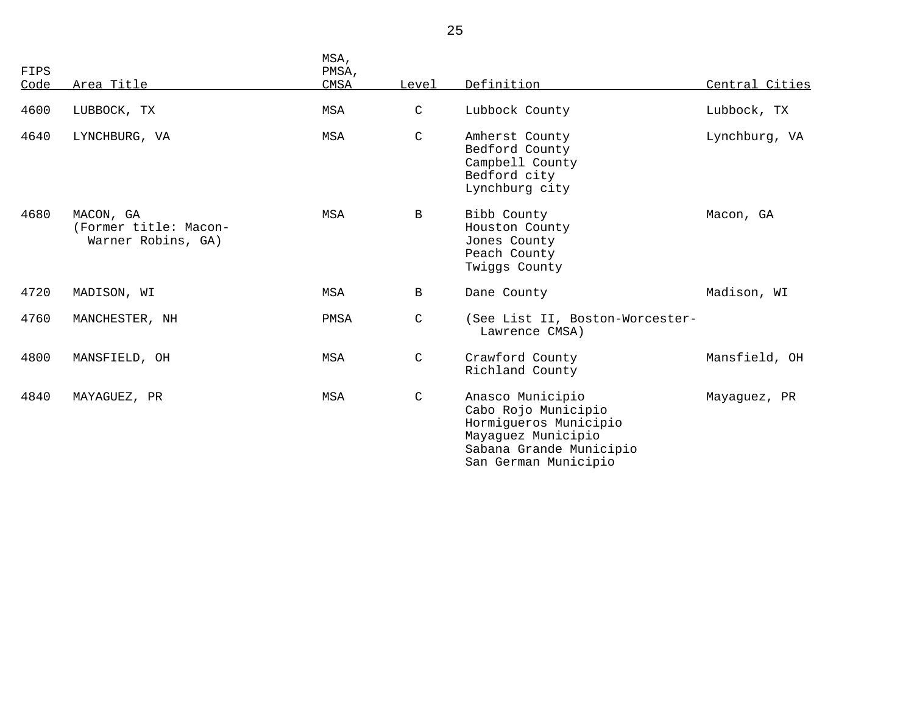| FIPS<br>Code | Area Title                                               | MSA,<br>PMSA,<br>CMSA | Level         | Definition                                                                                                                                | Central Cities |
|--------------|----------------------------------------------------------|-----------------------|---------------|-------------------------------------------------------------------------------------------------------------------------------------------|----------------|
| 4600         | LUBBOCK, TX                                              | <b>MSA</b>            | $\mathsf C$   | Lubbock County                                                                                                                            | Lubbock, TX    |
| 4640         | LYNCHBURG, VA                                            | <b>MSA</b>            | $\mathcal{C}$ | Amherst County<br>Bedford County<br>Campbell County<br>Bedford city<br>Lynchburg city                                                     | Lynchburg, VA  |
| 4680         | MACON, GA<br>(Former title: Macon-<br>Warner Robins, GA) | <b>MSA</b>            | B             | Bibb County<br>Houston County<br>Jones County<br>Peach County<br>Twiggs County                                                            | Macon, GA      |
| 4720         | MADISON, WI                                              | <b>MSA</b>            | B             | Dane County                                                                                                                               | Madison, WI    |
| 4760         | MANCHESTER, NH                                           | PMSA                  | $\mathsf{C}$  | (See List II, Boston-Worcester-<br>Lawrence CMSA)                                                                                         |                |
| 4800         | MANSFIELD, OH                                            | MSA                   | C             | Crawford County<br>Richland County                                                                                                        | Mansfield, OH  |
| 4840         | MAYAGUEZ, PR                                             | MSA                   | $\mathsf{C}$  | Anasco Municipio<br>Cabo Rojo Municipio<br>Hormigueros Municipio<br>Mayaguez Municipio<br>Sabana Grande Municipio<br>San German Municipio | Mayaguez, PR   |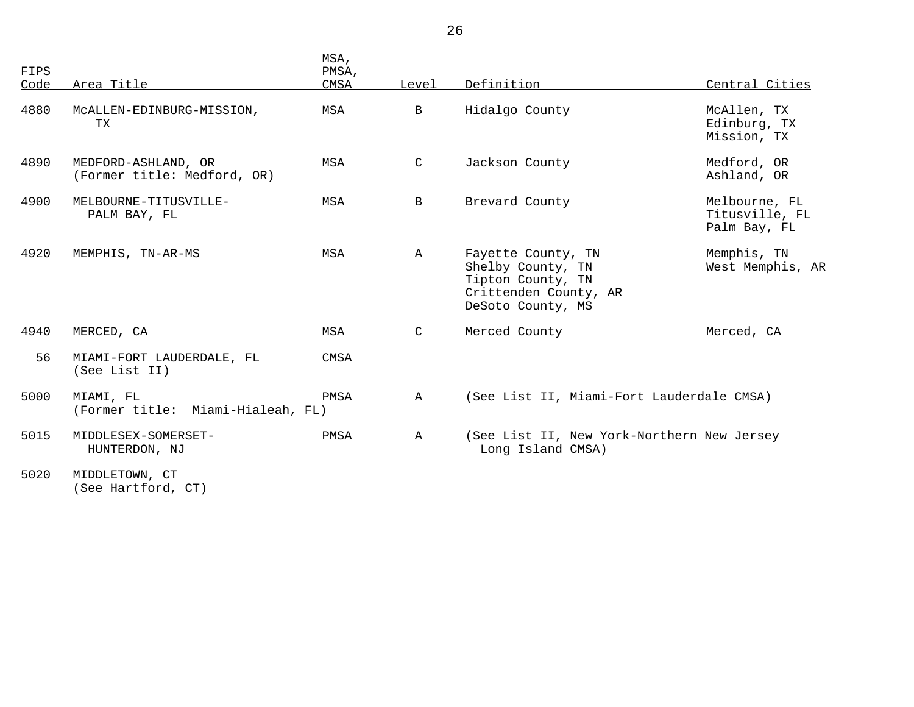| FIPS<br>Code | Area Title                                         | MSA,<br>PMSA,<br><b>CMSA</b> | Level        | Definition                                                                                                 | Central Cities                                  |
|--------------|----------------------------------------------------|------------------------------|--------------|------------------------------------------------------------------------------------------------------------|-------------------------------------------------|
| 4880         | MCALLEN-EDINBURG-MISSION,<br>TX                    | MSA                          | $\mathbf{B}$ | Hidalgo County                                                                                             | McAllen, TX<br>Edinburg, TX<br>Mission, TX      |
| 4890         | MEDFORD-ASHLAND, OR<br>(Former title: Medford, OR) | MSA                          | $\mathsf{C}$ | Jackson County                                                                                             | Medford, OR<br>Ashland, OR                      |
| 4900         | MELBOURNE-TITUSVILLE-<br>PALM BAY, FL              | MSA                          | $\mathbf{B}$ | Brevard County                                                                                             | Melbourne, FL<br>Titusville, FL<br>Palm Bay, FL |
| 4920         | MEMPHIS, TN-AR-MS                                  | MSA                          | $\mathbb A$  | Fayette County, TN<br>Shelby County, TN<br>Tipton County, TN<br>Crittenden County, AR<br>DeSoto County, MS | Memphis, TN<br>West Memphis, AR                 |
| 4940         | MERCED, CA                                         | MSA                          | C            | Merced County                                                                                              | Merced, CA                                      |
| 56           | MIAMI-FORT LAUDERDALE, FL<br>(See List II)         | <b>CMSA</b>                  |              |                                                                                                            |                                                 |
| 5000         | MIAMI, FL<br>(Former title: Miami-Hialeah, FL)     | PMSA                         | $\mathbb A$  | (See List II, Miami-Fort Lauderdale CMSA)                                                                  |                                                 |
| 5015         | MIDDLESEX-SOMERSET-<br>HUNTERDON, NJ               | PMSA                         | $\mathbb A$  | (See List II, New York-Northern New Jersey<br>Long Island CMSA)                                            |                                                 |
| 5020         | MIDDLETOWN, CT<br>(See Hartford, CT)               |                              |              |                                                                                                            |                                                 |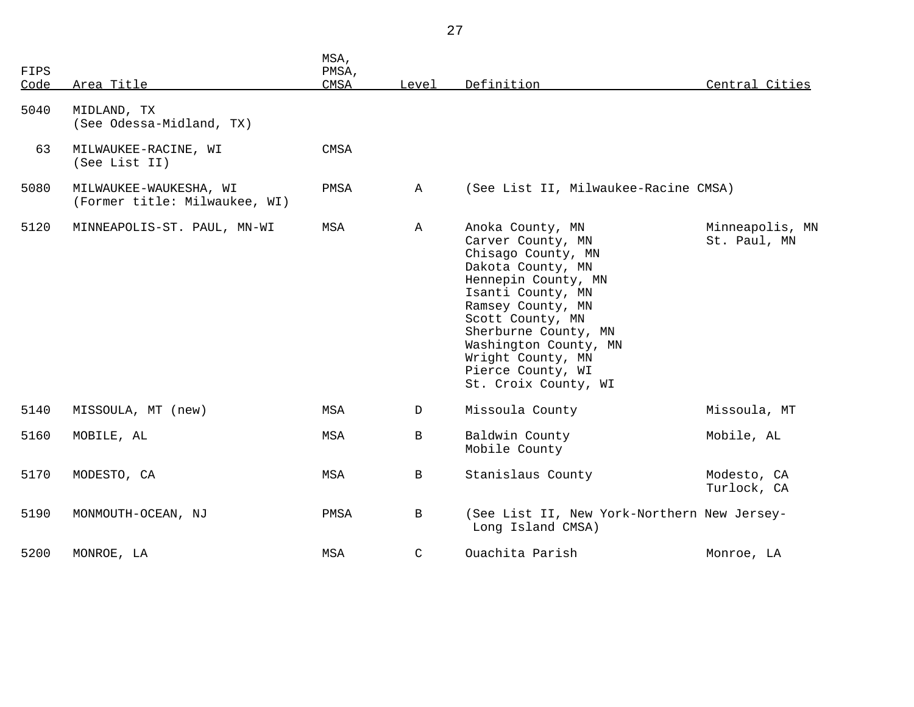| FIPS<br>Code | Area Title                                              | MSA,<br>PMSA,<br>CMSA | Level        | Definition                                                                                                                                                                                                                                                                               | Central Cities                  |
|--------------|---------------------------------------------------------|-----------------------|--------------|------------------------------------------------------------------------------------------------------------------------------------------------------------------------------------------------------------------------------------------------------------------------------------------|---------------------------------|
| 5040         | MIDLAND, TX<br>(See Odessa-Midland, TX)                 |                       |              |                                                                                                                                                                                                                                                                                          |                                 |
| 63           | MILWAUKEE-RACINE, WI<br>(See List II)                   | CMSA                  |              |                                                                                                                                                                                                                                                                                          |                                 |
| 5080         | MILWAUKEE-WAUKESHA, WI<br>(Former title: Milwaukee, WI) | PMSA                  | $\mathbb A$  | (See List II, Milwaukee-Racine CMSA)                                                                                                                                                                                                                                                     |                                 |
| 5120         | MINNEAPOLIS-ST. PAUL, MN-WI                             | MSA                   | $\mathbb{A}$ | Anoka County, MN<br>Carver County, MN<br>Chisago County, MN<br>Dakota County, MN<br>Hennepin County, MN<br>Isanti County, MN<br>Ramsey County, MN<br>Scott County, MN<br>Sherburne County, MN<br>Washington County, MN<br>Wright County, MN<br>Pierce County, WI<br>St. Croix County, WI | Minneapolis, MN<br>St. Paul, MN |
| 5140         | MISSOULA, MT (new)                                      | MSA                   | D            | Missoula County                                                                                                                                                                                                                                                                          | Missoula, MT                    |
| 5160         | MOBILE, AL                                              | MSA                   | $\mathbf{B}$ | Baldwin County<br>Mobile County                                                                                                                                                                                                                                                          | Mobile, AL                      |
| 5170         | MODESTO, CA                                             | MSA                   | $\, {\bf B}$ | Stanislaus County                                                                                                                                                                                                                                                                        | Modesto, CA<br>Turlock, CA      |
| 5190         | MONMOUTH-OCEAN, NJ                                      | PMSA                  | B            | (See List II, New York-Northern New Jersey-<br>Long Island CMSA)                                                                                                                                                                                                                         |                                 |
| 5200         | MONROE, LA                                              | MSA                   | $\mathsf{C}$ | Ouachita Parish                                                                                                                                                                                                                                                                          | Monroe, LA                      |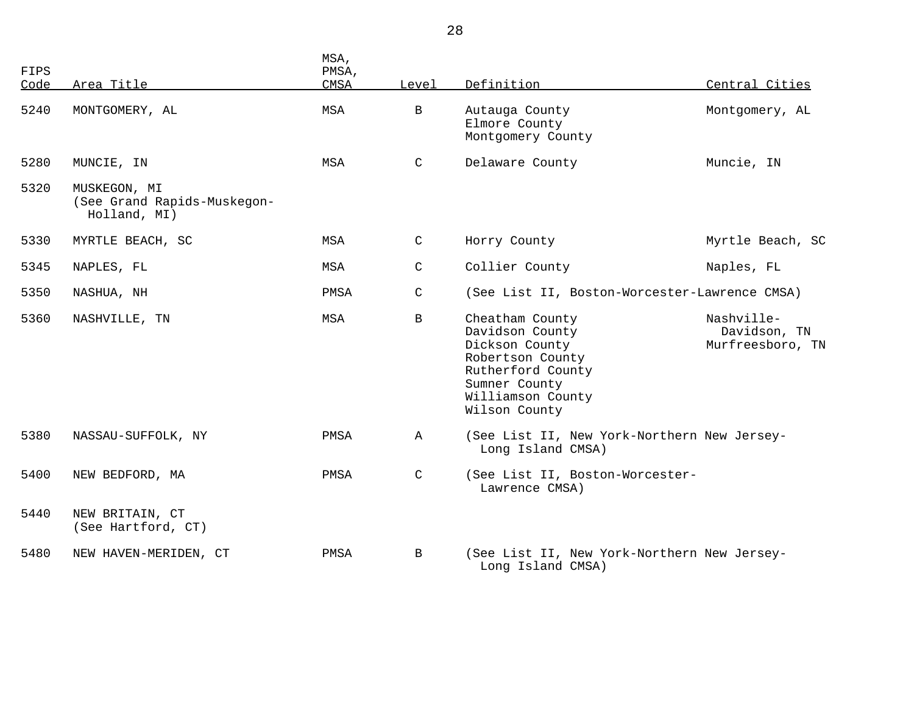| FIPS |                                                             | MSA,<br>PMSA, |              |                                                                                                                                                      |                                                |
|------|-------------------------------------------------------------|---------------|--------------|------------------------------------------------------------------------------------------------------------------------------------------------------|------------------------------------------------|
| Code | Area Title                                                  | CMSA          | Level        | Definition                                                                                                                                           | Central Cities                                 |
| 5240 | MONTGOMERY, AL                                              | MSA           | $\mathbf{B}$ | Autauga County<br>Elmore County<br>Montgomery County                                                                                                 | Montgomery, AL                                 |
| 5280 | MUNCIE, IN                                                  | MSA           | $\mathsf{C}$ | Delaware County                                                                                                                                      | Muncie, IN                                     |
| 5320 | MUSKEGON, MI<br>(See Grand Rapids-Muskegon-<br>Holland, MI) |               |              |                                                                                                                                                      |                                                |
| 5330 | MYRTLE BEACH, SC                                            | MSA           | $\mathsf{C}$ | Horry County                                                                                                                                         | Myrtle Beach, SC                               |
| 5345 | NAPLES, FL                                                  | MSA           | $\mathsf C$  | Collier County                                                                                                                                       | Naples, FL                                     |
| 5350 | NASHUA, NH                                                  | PMSA          | $\mathsf{C}$ | (See List II, Boston-Worcester-Lawrence CMSA)                                                                                                        |                                                |
| 5360 | NASHVILLE, TN                                               | MSA           | $\mathbf{B}$ | Cheatham County<br>Davidson County<br>Dickson County<br>Robertson County<br>Rutherford County<br>Sumner County<br>Williamson County<br>Wilson County | Nashville-<br>Davidson, TN<br>Murfreesboro, TN |
| 5380 | NASSAU-SUFFOLK, NY                                          | PMSA          | $\mathbb A$  | (See List II, New York-Northern New Jersey-<br>Long Island CMSA)                                                                                     |                                                |
| 5400 | NEW BEDFORD, MA                                             | PMSA          | $\mathsf{C}$ | (See List II, Boston-Worcester-<br>Lawrence CMSA)                                                                                                    |                                                |
| 5440 | NEW BRITAIN, CT<br>(See Hartford, CT)                       |               |              |                                                                                                                                                      |                                                |
| 5480 | NEW HAVEN-MERIDEN, CT                                       | PMSA          | $\mathbf{B}$ | (See List II, New York-Northern New Jersey-<br>Long Island CMSA)                                                                                     |                                                |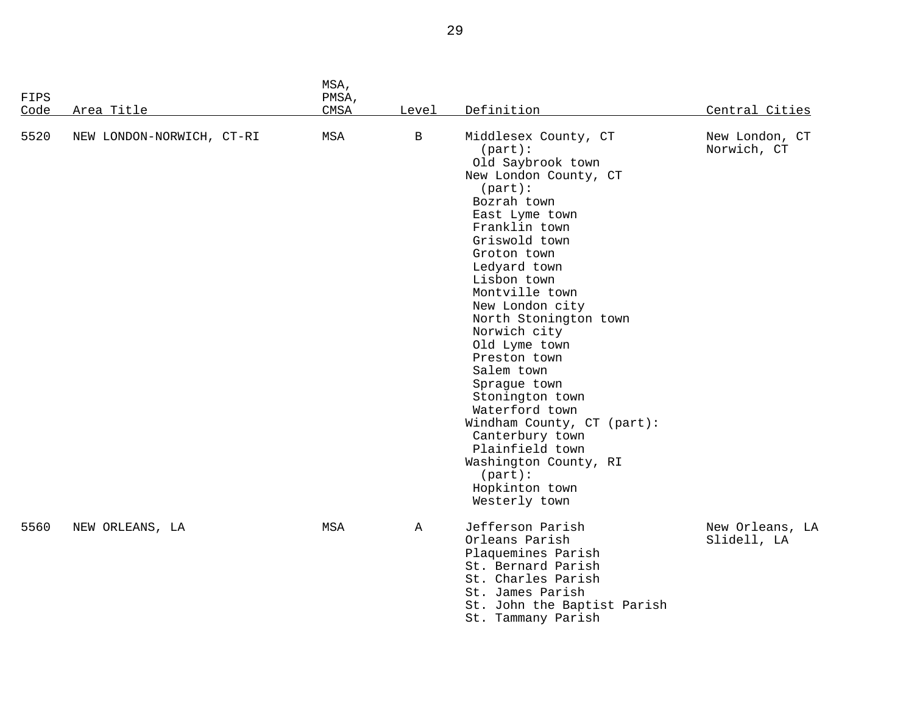| <b>FIPS</b><br>Code | Area Title                | MSA,<br>PMSA,<br>CMSA | Level       | Definition                                                                                                                                                                                                                                                                                                                                                                                                                                                                                                                                      | Central Cities                 |
|---------------------|---------------------------|-----------------------|-------------|-------------------------------------------------------------------------------------------------------------------------------------------------------------------------------------------------------------------------------------------------------------------------------------------------------------------------------------------------------------------------------------------------------------------------------------------------------------------------------------------------------------------------------------------------|--------------------------------|
| 5520                | NEW LONDON-NORWICH, CT-RI | MSA                   | B           | Middlesex County, CT<br>$(part)$ :<br>Old Saybrook town<br>New London County, CT<br>$(part)$ :<br>Bozrah town<br>East Lyme town<br>Franklin town<br>Griswold town<br>Groton town<br>Ledyard town<br>Lisbon town<br>Montville town<br>New London city<br>North Stonington town<br>Norwich city<br>Old Lyme town<br>Preston town<br>Salem town<br>Sprague town<br>Stonington town<br>Waterford town<br>Windham County, CT (part):<br>Canterbury town<br>Plainfield town<br>Washington County, RI<br>$(part)$ :<br>Hopkinton town<br>Westerly town | New London, CT<br>Norwich, CT  |
| 5560                | NEW ORLEANS, LA           | MSA                   | $\mathbb A$ | Jefferson Parish<br>Orleans Parish<br>Plaquemines Parish<br>St. Bernard Parish<br>St. Charles Parish<br>St. James Parish<br>St. John the Baptist Parish<br>St. Tammany Parish                                                                                                                                                                                                                                                                                                                                                                   | New Orleans, LA<br>Slidell, LA |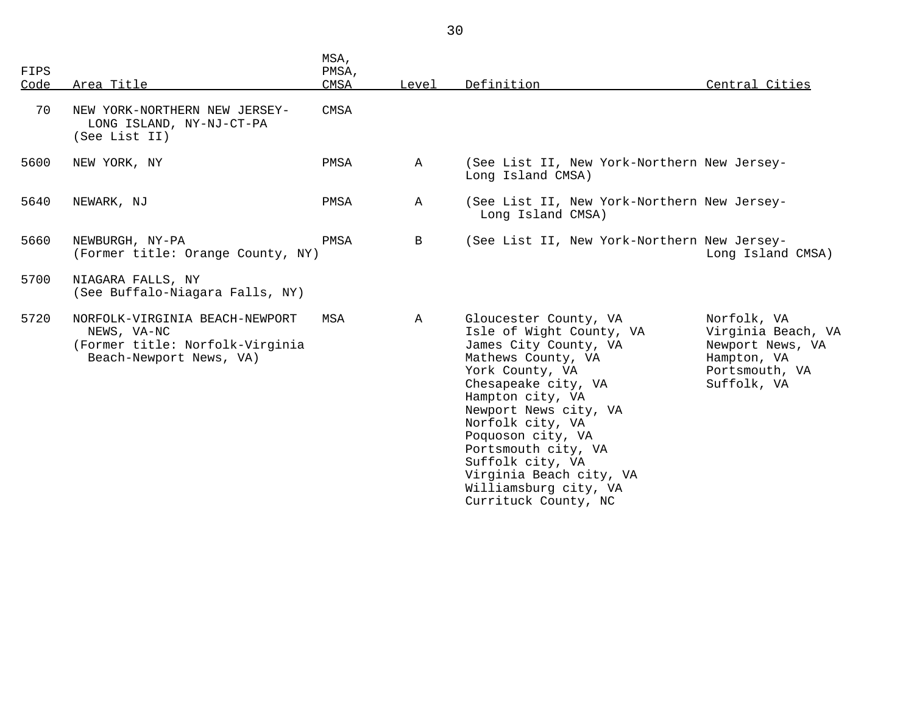| <b>FIPS</b><br>Code | Area Title                                                                                                  | MSA,<br>PMSA,<br><b>CMSA</b> | Level        | Definition                                                                                                                                                                                                                                                                                                                                              | Central Cities                                                                                        |
|---------------------|-------------------------------------------------------------------------------------------------------------|------------------------------|--------------|---------------------------------------------------------------------------------------------------------------------------------------------------------------------------------------------------------------------------------------------------------------------------------------------------------------------------------------------------------|-------------------------------------------------------------------------------------------------------|
| 70                  | NEW YORK-NORTHERN NEW JERSEY-<br>LONG ISLAND, NY-NJ-CT-PA<br>(See List II)                                  | CMSA                         |              |                                                                                                                                                                                                                                                                                                                                                         |                                                                                                       |
| 5600                | NEW YORK, NY                                                                                                | PMSA                         | A            | (See List II, New York-Northern New Jersey-<br>Long Island CMSA)                                                                                                                                                                                                                                                                                        |                                                                                                       |
| 5640                | NEWARK, NJ                                                                                                  | PMSA                         | $\mathbb{A}$ | (See List II, New York-Northern New Jersey-<br>Long Island CMSA)                                                                                                                                                                                                                                                                                        |                                                                                                       |
| 5660                | NEWBURGH, NY-PA<br>(Former title: Orange County, NY)                                                        | PMSA                         | B            | (See List II, New York-Northern New Jersey-                                                                                                                                                                                                                                                                                                             | Long Island CMSA)                                                                                     |
| 5700                | NIAGARA FALLS, NY<br>(See Buffalo-Niagara Falls, NY)                                                        |                              |              |                                                                                                                                                                                                                                                                                                                                                         |                                                                                                       |
| 5720                | NORFOLK-VIRGINIA BEACH-NEWPORT<br>NEWS, VA-NC<br>(Former title: Norfolk-Virginia<br>Beach-Newport News, VA) | MSA                          | $\mathbf{A}$ | Gloucester County, VA<br>Isle of Wight County, VA<br>James City County, VA<br>Mathews County, VA<br>York County, VA<br>Chesapeake city, VA<br>Hampton city, VA<br>Newport News city, VA<br>Norfolk city, VA<br>Poquoson city, VA<br>Portsmouth city, VA<br>Suffolk city, VA<br>Virginia Beach city, VA<br>Williamsburg city, VA<br>Currituck County, NC | Norfolk, VA<br>Virginia Beach, VA<br>Newport News, VA<br>Hampton, VA<br>Portsmouth, VA<br>Suffolk, VA |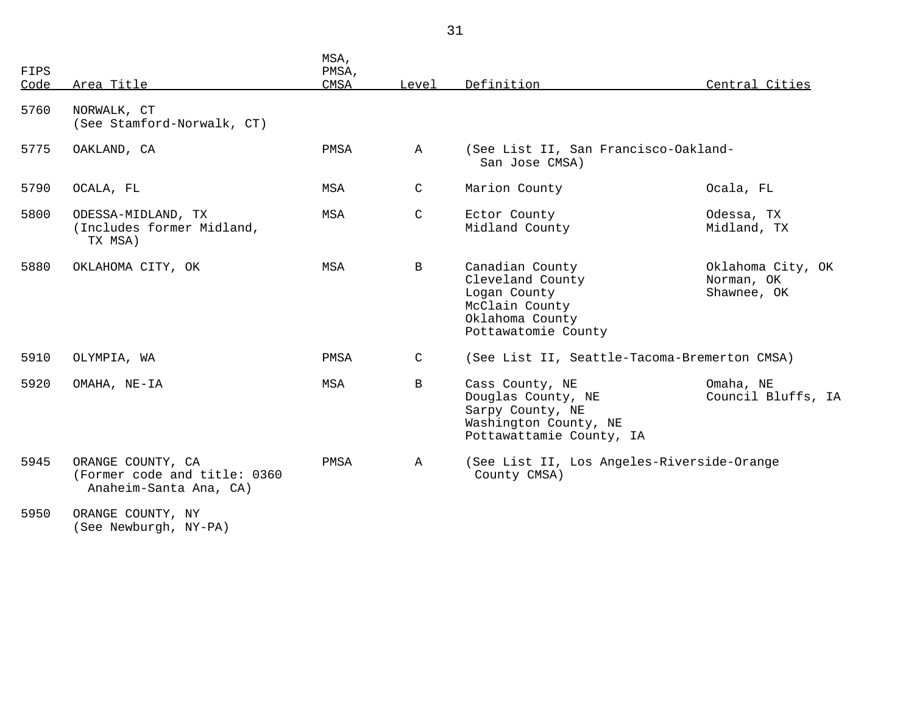| FIPS<br>Code | Area Title                                                                  | MSA,<br>PMSA,<br><b>CMSA</b> | Level        | Definition                                                                                                      | Central Cities                                 |
|--------------|-----------------------------------------------------------------------------|------------------------------|--------------|-----------------------------------------------------------------------------------------------------------------|------------------------------------------------|
| 5760         | NORWALK, CT<br>(See Stamford-Norwalk, CT)                                   |                              |              |                                                                                                                 |                                                |
| 5775         | OAKLAND, CA                                                                 | PMSA                         | A            | (See List II, San Francisco-Oakland-<br>San Jose CMSA)                                                          |                                                |
| 5790         | OCALA, FL                                                                   | MSA                          | C            | Marion County                                                                                                   | Ocala, FL                                      |
| 5800         | ODESSA-MIDLAND, TX<br>(Includes former Midland,<br>TX MSA)                  | MSA                          | $\mathsf{C}$ | Ector County<br>Midland County                                                                                  | Odessa, TX<br>Midland, TX                      |
| 5880         | OKLAHOMA CITY, OK                                                           | MSA                          | B            | Canadian County<br>Cleveland County<br>Logan County<br>McClain County<br>Oklahoma County<br>Pottawatomie County | Oklahoma City, OK<br>Norman, OK<br>Shawnee, OK |
| 5910         | OLYMPIA, WA                                                                 | PMSA                         | C            | (See List II, Seattle-Tacoma-Bremerton CMSA)                                                                    |                                                |
| 5920         | OMAHA, NE-IA                                                                | MSA                          | $\mathbf B$  | Cass County, NE<br>Douglas County, NE<br>Sarpy County, NE<br>Washington County, NE<br>Pottawattamie County, IA  | Omaha, NE<br>Council Bluffs, IA                |
| 5945         | ORANGE COUNTY, CA<br>(Former code and title: 0360<br>Anaheim-Santa Ana, CA) | PMSA                         | $\mathbb A$  | (See List II, Los Angeles-Riverside-Orange<br>County CMSA)                                                      |                                                |
| 5950         | ORANGE COUNTY, NY                                                           |                              |              |                                                                                                                 |                                                |

(See Newburgh, NY-PA)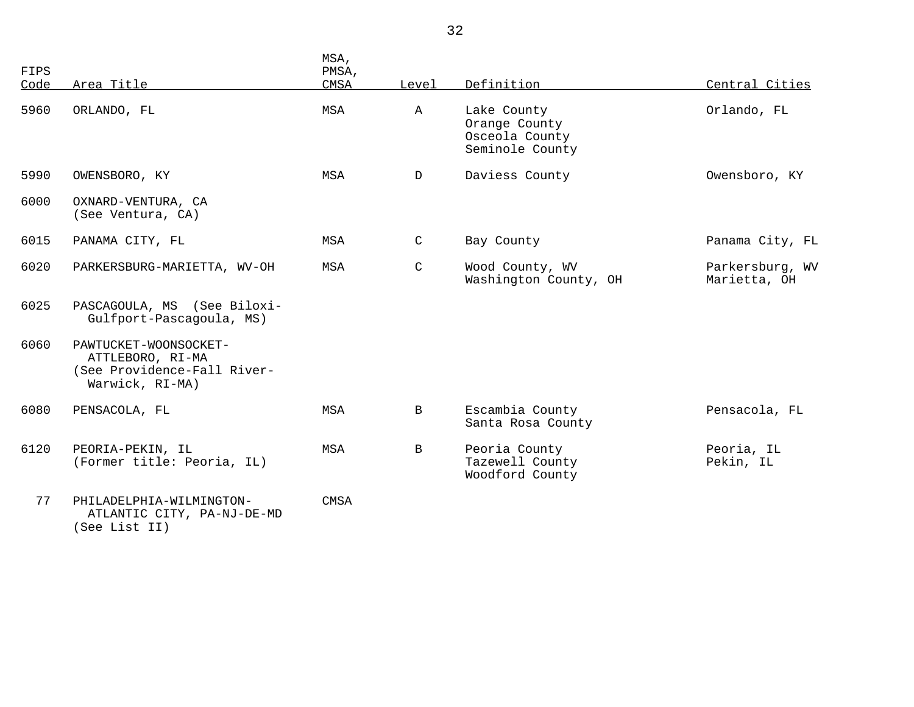| FIPS<br>Code | Area Title                                                                                  | MSA,<br>PMSA,<br><b>CMSA</b> | Level        | Definition                                                        | Central Cities                  |
|--------------|---------------------------------------------------------------------------------------------|------------------------------|--------------|-------------------------------------------------------------------|---------------------------------|
| 5960         | ORLANDO, FL                                                                                 | MSA                          | $\mathbb{A}$ | Lake County<br>Orange County<br>Osceola County<br>Seminole County | Orlando, FL                     |
| 5990         | OWENSBORO, KY                                                                               | MSA                          | $\mathbf{D}$ | Daviess County                                                    | Owensboro, KY                   |
| 6000         | OXNARD-VENTURA, CA<br>(See Ventura, CA)                                                     |                              |              |                                                                   |                                 |
| 6015         | PANAMA CITY, FL                                                                             | MSA                          | C            | Bay County                                                        | Panama City, FL                 |
| 6020         | PARKERSBURG-MARIETTA, WV-OH                                                                 | MSA                          | $\mathsf{C}$ | Wood County, WV<br>Washington County, OH                          | Parkersburg, WV<br>Marietta, OH |
| 6025         | PASCAGOULA, MS (See Biloxi-<br>Gulfport-Pascagoula, MS)                                     |                              |              |                                                                   |                                 |
| 6060         | PAWTUCKET-WOONSOCKET-<br>ATTLEBORO, RI-MA<br>(See Providence-Fall River-<br>Warwick, RI-MA) |                              |              |                                                                   |                                 |
| 6080         | PENSACOLA, FL                                                                               | MSA                          | $\mathbf{B}$ | Escambia County<br>Santa Rosa County                              | Pensacola, FL                   |
| 6120         | PEORIA-PEKIN, IL<br>(Former title: Peoria, IL)                                              | MSA                          | B            | Peoria County<br>Tazewell County<br>Woodford County               | Peoria, IL<br>Pekin, IL         |
| 77           | PHILADELPHIA-WILMINGTON-<br>ATLANTIC CITY, PA-NJ-DE-MD                                      | <b>CMSA</b>                  |              |                                                                   |                                 |

(See List II)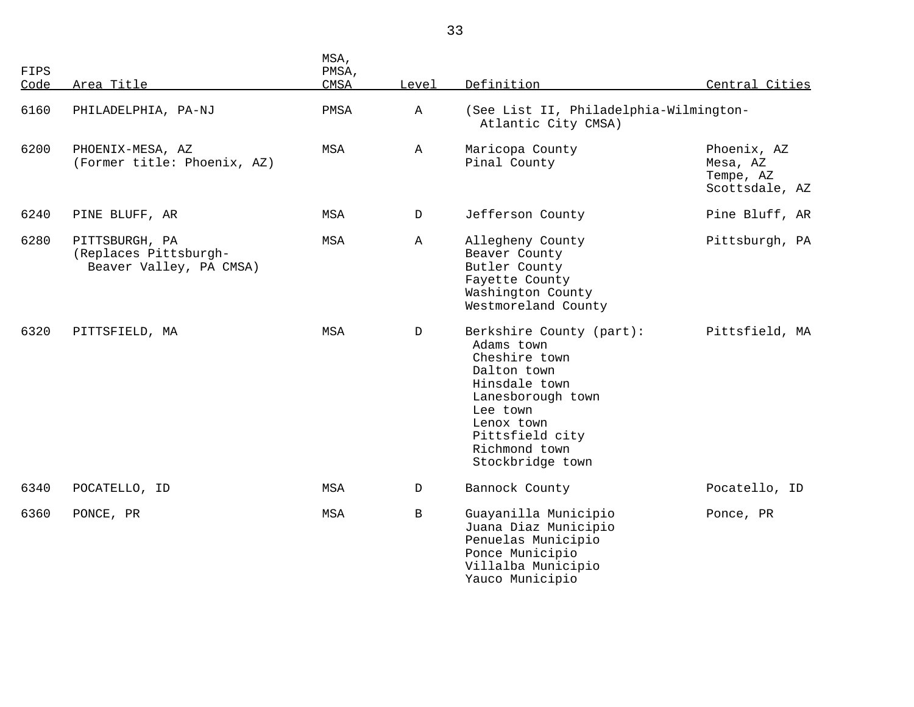| <b>FIPS</b><br>Code | Area Title                                                         | MSA,<br>PMSA,<br>CMSA | Level        | Definition                                                                                                                                                                                     | Central Cities                                         |
|---------------------|--------------------------------------------------------------------|-----------------------|--------------|------------------------------------------------------------------------------------------------------------------------------------------------------------------------------------------------|--------------------------------------------------------|
| 6160                | PHILADELPHIA, PA-NJ                                                | PMSA                  | $\mathbb A$  | (See List II, Philadelphia-Wilmington-<br>Atlantic City CMSA)                                                                                                                                  |                                                        |
| 6200                | PHOENIX-MESA, AZ<br>(Former title: Phoenix, AZ)                    | MSA                   | Α            | Maricopa County<br>Pinal County                                                                                                                                                                | Phoenix, AZ<br>Mesa, AZ<br>Tempe, AZ<br>Scottsdale, AZ |
| 6240                | PINE BLUFF, AR                                                     | MSA                   | D            | Jefferson County                                                                                                                                                                               | Pine Bluff, AR                                         |
| 6280                | PITTSBURGH, PA<br>(Replaces Pittsburgh-<br>Beaver Valley, PA CMSA) | MSA                   | Α            | Allegheny County<br>Beaver County<br>Butler County<br>Fayette County<br>Washington County<br>Westmoreland County                                                                               | Pittsburgh, PA                                         |
| 6320                | PITTSFIELD, MA                                                     | MSA                   | D            | Berkshire County (part):<br>Adams town<br>Cheshire town<br>Dalton town<br>Hinsdale town<br>Lanesborough town<br>Lee town<br>Lenox town<br>Pittsfield city<br>Richmond town<br>Stockbridge town | Pittsfield, MA                                         |
| 6340                | POCATELLO, ID                                                      | MSA                   | D            | Bannock County                                                                                                                                                                                 | Pocatello, ID                                          |
| 6360                | PONCE, PR                                                          | MSA                   | $\, {\bf B}$ | Guayanilla Municipio<br>Juana Diaz Municipio<br>Penuelas Municipio<br>Ponce Municipio<br>Villalba Municipio<br>Yauco Municipio                                                                 | Ponce, PR                                              |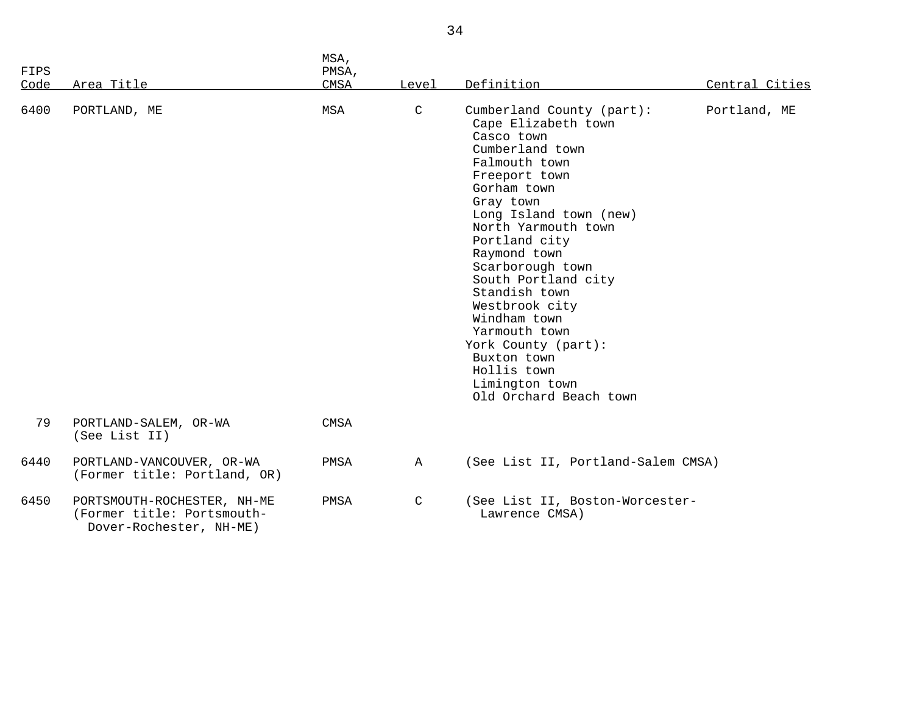| FIPS<br>Code | Area Title                                                                           | MSA,<br>PMSA,<br>CMSA | Level        | Definition                                                                                                                                                                                                                                                                                                                                                                                                                                        | Central Cities |
|--------------|--------------------------------------------------------------------------------------|-----------------------|--------------|---------------------------------------------------------------------------------------------------------------------------------------------------------------------------------------------------------------------------------------------------------------------------------------------------------------------------------------------------------------------------------------------------------------------------------------------------|----------------|
| 6400         | PORTLAND, ME                                                                         | MSA                   | $\mathsf{C}$ | Cumberland County (part):<br>Cape Elizabeth town<br>Casco town<br>Cumberland town<br>Falmouth town<br>Freeport town<br>Gorham town<br>Gray town<br>Long Island town (new)<br>North Yarmouth town<br>Portland city<br>Raymond town<br>Scarborough town<br>South Portland city<br>Standish town<br>Westbrook city<br>Windham town<br>Yarmouth town<br>York County (part):<br>Buxton town<br>Hollis town<br>Limington town<br>Old Orchard Beach town | Portland, ME   |
| 79           | PORTLAND-SALEM, OR-WA<br>(See List II)                                               | CMSA                  |              |                                                                                                                                                                                                                                                                                                                                                                                                                                                   |                |
| 6440         | PORTLAND-VANCOUVER, OR-WA<br>(Former title: Portland, OR)                            | PMSA                  | $\mathbb A$  | (See List II, Portland-Salem CMSA)                                                                                                                                                                                                                                                                                                                                                                                                                |                |
| 6450         | PORTSMOUTH-ROCHESTER, NH-ME<br>(Former title: Portsmouth-<br>Dover-Rochester, NH-ME) | PMSA                  | $\mathsf C$  | (See List II, Boston-Worcester-<br>Lawrence CMSA)                                                                                                                                                                                                                                                                                                                                                                                                 |                |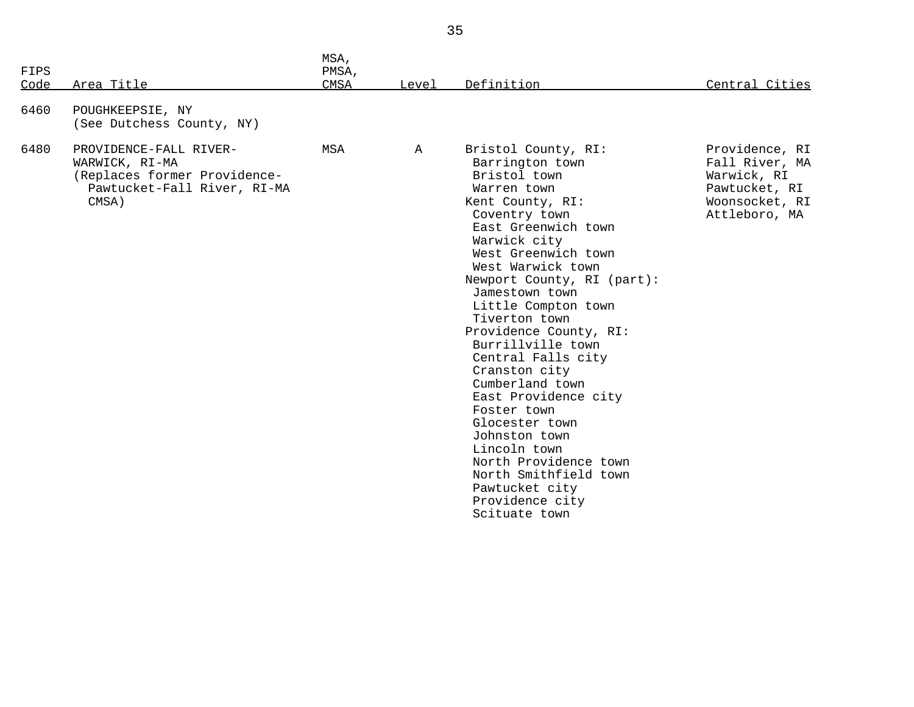| FIPS<br>Code | Area Title                                                                                                       | MSA,<br>PMSA,<br>CMSA | Level       | Definition                                                                                                                                                                                                                                                                                                                                                                                                                                                                                                                                                                                       | Central Cities                                                                                      |
|--------------|------------------------------------------------------------------------------------------------------------------|-----------------------|-------------|--------------------------------------------------------------------------------------------------------------------------------------------------------------------------------------------------------------------------------------------------------------------------------------------------------------------------------------------------------------------------------------------------------------------------------------------------------------------------------------------------------------------------------------------------------------------------------------------------|-----------------------------------------------------------------------------------------------------|
| 6460         | POUGHKEEPSIE, NY<br>(See Dutchess County, NY)                                                                    |                       |             |                                                                                                                                                                                                                                                                                                                                                                                                                                                                                                                                                                                                  |                                                                                                     |
| 6480         | PROVIDENCE-FALL RIVER-<br>WARWICK, RI-MA<br>(Replaces former Providence-<br>Pawtucket-Fall River, RI-MA<br>CMSA) | MSA                   | $\mathbb A$ | Bristol County, RI:<br>Barrington town<br>Bristol town<br>Warren town<br>Kent County, RI:<br>Coventry town<br>East Greenwich town<br>Warwick city<br>West Greenwich town<br>West Warwick town<br>Newport County, RI (part):<br>Jamestown town<br>Little Compton town<br>Tiverton town<br>Providence County, RI:<br>Burrillville town<br>Central Falls city<br>Cranston city<br>Cumberland town<br>East Providence city<br>Foster town<br>Glocester town<br>Johnston town<br>Lincoln town<br>North Providence town<br>North Smithfield town<br>Pawtucket city<br>Providence city<br>Scituate town | Providence, RI<br>Fall River, MA<br>Warwick, RI<br>Pawtucket, RI<br>Woonsocket, RI<br>Attleboro, MA |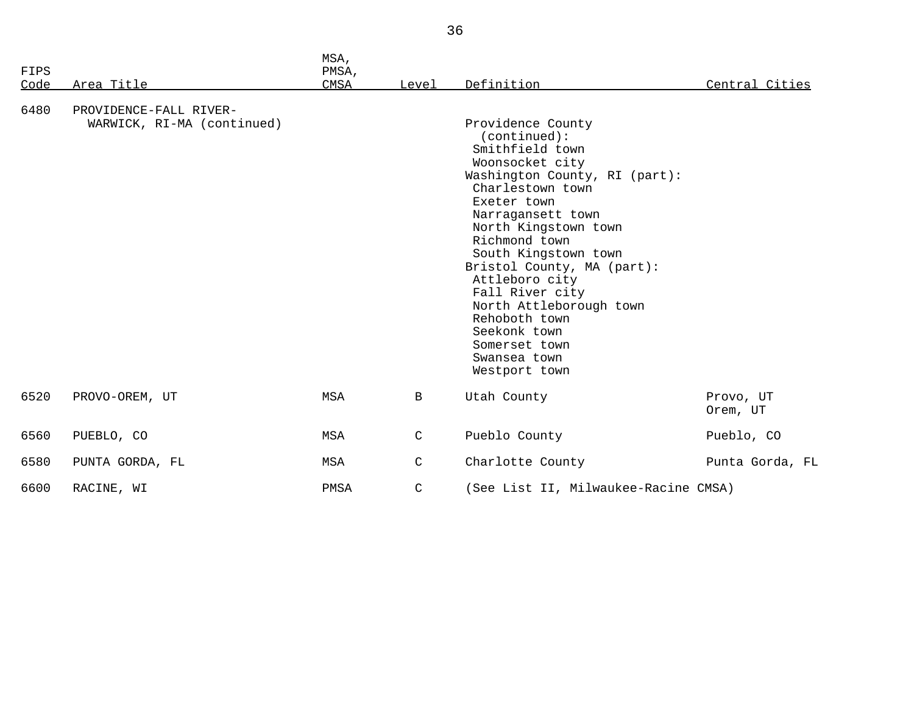| FIPS         |                                                                    | MSA,<br>PMSA,<br><b>CMSA</b> | Level        | Definition                                                                                                                                                                                                                                                                                                                                                                                                         |                       |
|--------------|--------------------------------------------------------------------|------------------------------|--------------|--------------------------------------------------------------------------------------------------------------------------------------------------------------------------------------------------------------------------------------------------------------------------------------------------------------------------------------------------------------------------------------------------------------------|-----------------------|
| Code<br>6480 | Area Title<br>PROVIDENCE-FALL RIVER-<br>WARWICK, RI-MA (continued) |                              |              | Providence County<br>(continued):<br>Smithfield town<br>Woonsocket city<br>Washington County, RI (part):<br>Charlestown town<br>Exeter town<br>Narragansett town<br>North Kingstown town<br>Richmond town<br>South Kingstown town<br>Bristol County, MA (part):<br>Attleboro city<br>Fall River city<br>North Attleborough town<br>Rehoboth town<br>Seekonk town<br>Somerset town<br>Swansea town<br>Westport town | Central Cities        |
| 6520         | PROVO-OREM, UT                                                     | MSA                          | $\, {\bf B}$ | Utah County                                                                                                                                                                                                                                                                                                                                                                                                        | Provo, UT<br>Orem, UT |
| 6560         | PUEBLO, CO                                                         | MSA                          | $\mathsf C$  | Pueblo County                                                                                                                                                                                                                                                                                                                                                                                                      | Pueblo, CO            |
| 6580         | PUNTA GORDA, FL                                                    | MSA                          | $\mathsf{C}$ | Charlotte County                                                                                                                                                                                                                                                                                                                                                                                                   | Punta Gorda, FL       |
| 6600         | RACINE, WI                                                         | PMSA                         | $\mathsf{C}$ | (See List II, Milwaukee-Racine CMSA)                                                                                                                                                                                                                                                                                                                                                                               |                       |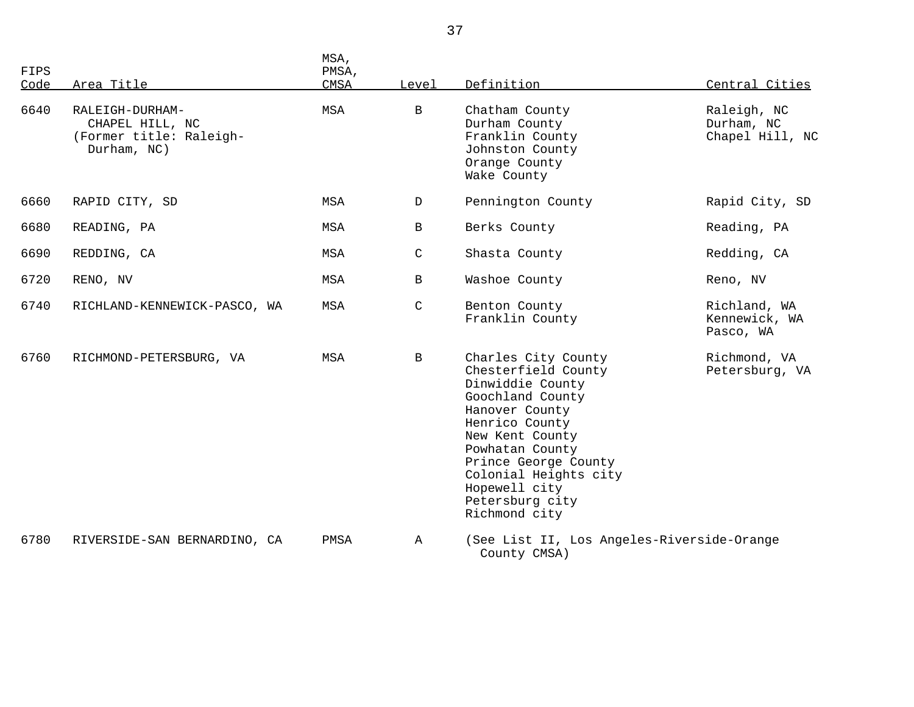| FIPS<br>Code | Area Title                                                                   | MSA,<br>PMSA,<br>CMSA | Level        | Definition                                                                                                                                                                                                                                                         | Central Cities                               |
|--------------|------------------------------------------------------------------------------|-----------------------|--------------|--------------------------------------------------------------------------------------------------------------------------------------------------------------------------------------------------------------------------------------------------------------------|----------------------------------------------|
| 6640         | RALEIGH-DURHAM-<br>CHAPEL HILL, NC<br>(Former title: Raleigh-<br>Durham, NC) | MSA                   | $\mathbf{B}$ | Chatham County<br>Durham County<br>Franklin County<br>Johnston County<br>Orange County<br>Wake County                                                                                                                                                              | Raleigh, NC<br>Durham, NC<br>Chapel Hill, NC |
| 6660         | RAPID CITY, SD                                                               | MSA                   | $\mathbb D$  | Pennington County                                                                                                                                                                                                                                                  | Rapid City, SD                               |
| 6680         | READING, PA                                                                  | MSA                   | $\mathbf{B}$ | Berks County                                                                                                                                                                                                                                                       | Reading, PA                                  |
| 6690         | REDDING, CA                                                                  | MSA                   | $\mathsf C$  | Shasta County                                                                                                                                                                                                                                                      | Redding, CA                                  |
| 6720         | RENO, NV                                                                     | MSA                   | $\mathbf{B}$ | Washoe County                                                                                                                                                                                                                                                      | Reno, NV                                     |
| 6740         | RICHLAND-KENNEWICK-PASCO, WA                                                 | MSA                   | C            | Benton County<br>Franklin County                                                                                                                                                                                                                                   | Richland, WA<br>Kennewick, WA<br>Pasco, WA   |
| 6760         | RICHMOND-PETERSBURG, VA                                                      | MSA                   | $\mathbf{B}$ | Charles City County<br>Chesterfield County<br>Dinwiddie County<br>Goochland County<br>Hanover County<br>Henrico County<br>New Kent County<br>Powhatan County<br>Prince George County<br>Colonial Heights city<br>Hopewell city<br>Petersburg city<br>Richmond city | Richmond, VA<br>Petersburg, VA               |
| 6780         | RIVERSIDE-SAN BERNARDINO, CA                                                 | PMSA                  | $\mathbb A$  | (See List II, Los Angeles-Riverside-Orange<br>County CMSA)                                                                                                                                                                                                         |                                              |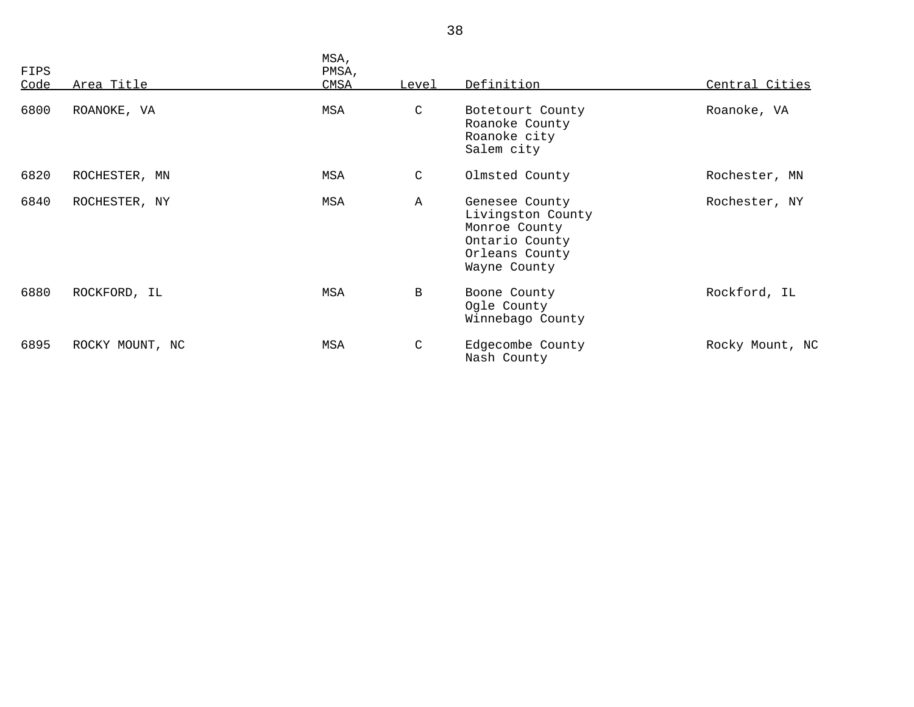| FIPS<br>Code | Area Title      | MSA,<br>PMSA,<br>CMSA | Level        | Definition                                                                                               | Central Cities  |
|--------------|-----------------|-----------------------|--------------|----------------------------------------------------------------------------------------------------------|-----------------|
| 6800         | ROANOKE, VA     | MSA                   | C            | Botetourt County<br>Roanoke County<br>Roanoke city<br>Salem city                                         | Roanoke, VA     |
| 6820         | ROCHESTER, MN   | MSA                   | C            | Olmsted County                                                                                           | Rochester, MN   |
| 6840         | ROCHESTER, NY   | MSA                   | $\mathbb{A}$ | Genesee County<br>Livingston County<br>Monroe County<br>Ontario County<br>Orleans County<br>Wayne County | Rochester, NY   |
| 6880         | ROCKFORD, IL    | MSA                   | B            | Boone County<br>Ogle County<br>Winnebago County                                                          | Rockford, IL    |
| 6895         | ROCKY MOUNT, NC | MSA                   | C            | Edgecombe County<br>Nash County                                                                          | Rocky Mount, NC |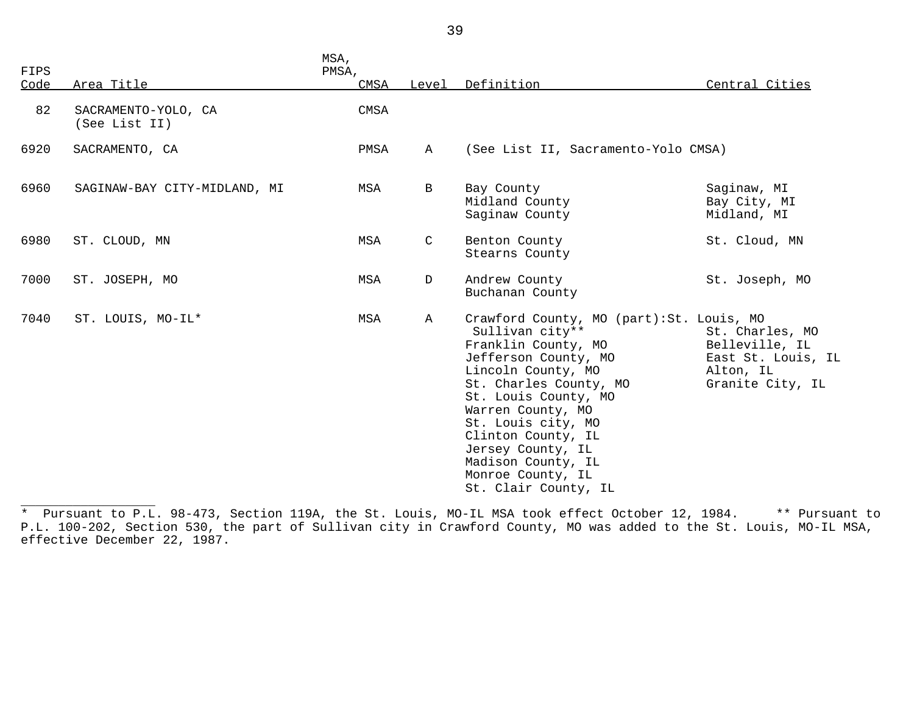| FIPS |                                      | MSA,<br>PMSA, |              |                                                                                                                                                                                                                                                                                                                                              |                                                                                          |
|------|--------------------------------------|---------------|--------------|----------------------------------------------------------------------------------------------------------------------------------------------------------------------------------------------------------------------------------------------------------------------------------------------------------------------------------------------|------------------------------------------------------------------------------------------|
| Code | Area Title                           | CMSA          |              | Level Definition                                                                                                                                                                                                                                                                                                                             | Central Cities                                                                           |
| 82   | SACRAMENTO-YOLO, CA<br>(See List II) | CMSA          |              |                                                                                                                                                                                                                                                                                                                                              |                                                                                          |
| 6920 | SACRAMENTO, CA                       | PMSA          | $\mathbb A$  | (See List II, Sacramento-Yolo CMSA)                                                                                                                                                                                                                                                                                                          |                                                                                          |
| 6960 | SAGINAW-BAY CITY-MIDLAND, MI         | <b>MSA</b>    | B            | Bay County<br>Midland County<br>Saginaw County                                                                                                                                                                                                                                                                                               | Saginaw, MI<br>Bay City, MI<br>Midland, MI                                               |
| 6980 | ST. CLOUD, MN                        | <b>MSA</b>    | $\mathsf{C}$ | Benton County<br>Stearns County                                                                                                                                                                                                                                                                                                              | St. Cloud, MN                                                                            |
| 7000 | ST. JOSEPH, MO                       | MSA           | D            | Andrew County<br>Buchanan County                                                                                                                                                                                                                                                                                                             | St. Joseph, MO                                                                           |
| 7040 | ST. LOUIS, MO-IL*                    | MSA           | $\mathbf{A}$ | Crawford County, MO (part): St. Louis, MO<br>Sullivan city**<br>Franklin County, MO<br>Jefferson County, MO<br>Lincoln County, MO<br>St. Charles County, MO<br>St. Louis County, MO<br>Warren County, MO<br>St. Louis city, MO<br>Clinton County, IL<br>Jersey County, IL<br>Madison County, IL<br>Monroe County, IL<br>St. Clair County, IL | St. Charles, MO<br>Belleville, IL<br>East St. Louis, IL<br>Alton, IL<br>Granite City, IL |

<sup>\*</sup> Pursuant to P.L. 98-473, Section 119A, the St. Louis, MO-IL MSA took effect October 12, 1984. \*\* Pursuant to P.L. 100-202, Section 530, the part of Sullivan city in Crawford County, MO was added to the St. Louis, MO-IL MSA, effective December 22, 1987.

\_\_\_\_\_\_\_\_\_\_\_\_\_\_\_\_\_\_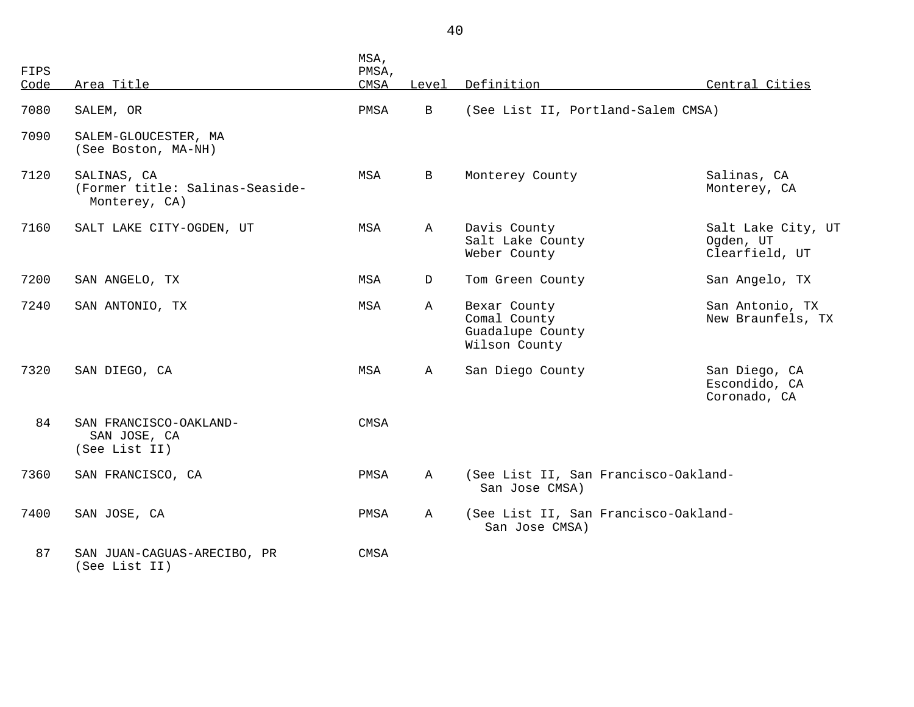| FIPS<br>Code | Area Title                                                      | MSA,<br>PMSA,<br>CMSA | Level        | Definition                                                        | Central Cities                                    |
|--------------|-----------------------------------------------------------------|-----------------------|--------------|-------------------------------------------------------------------|---------------------------------------------------|
| 7080         | SALEM, OR                                                       | PMSA                  | $\mathbf{B}$ | (See List II, Portland-Salem CMSA)                                |                                                   |
| 7090         | SALEM-GLOUCESTER, MA<br>(See Boston, MA-NH)                     |                       |              |                                                                   |                                                   |
| 7120         | SALINAS, CA<br>(Former title: Salinas-Seaside-<br>Monterey, CA) | MSA                   | B            | Monterey County                                                   | Salinas, CA<br>Monterey, CA                       |
| 7160         | SALT LAKE CITY-OGDEN, UT                                        | MSA                   | $\mathbb{A}$ | Davis County<br>Salt Lake County<br>Weber County                  | Salt Lake City, UT<br>Ogden, UT<br>Clearfield, UT |
| 7200         | SAN ANGELO, TX                                                  | MSA                   | $\mathbf D$  | Tom Green County                                                  | San Angelo, TX                                    |
| 7240         | SAN ANTONIO, TX                                                 | MSA                   | Α            | Bexar County<br>Comal County<br>Guadalupe County<br>Wilson County | San Antonio, TX<br>New Braunfels, TX              |
| 7320         | SAN DIEGO, CA                                                   | MSA                   | A            | San Diego County                                                  | San Diego, CA<br>Escondido, CA<br>Coronado, CA    |
| 84           | SAN FRANCISCO-OAKLAND-<br>SAN JOSE, CA<br>(See List II)         | <b>CMSA</b>           |              |                                                                   |                                                   |
| 7360         | SAN FRANCISCO, CA                                               | PMSA                  | Α            | (See List II, San Francisco-Oakland-<br>San Jose CMSA)            |                                                   |
| 7400         | SAN JOSE, CA                                                    | PMSA                  | Α            | (See List II, San Francisco-Oakland-<br>San Jose CMSA)            |                                                   |
| 87           | SAN JUAN-CAGUAS-ARECIBO, PR<br>(See List II)                    | <b>CMSA</b>           |              |                                                                   |                                                   |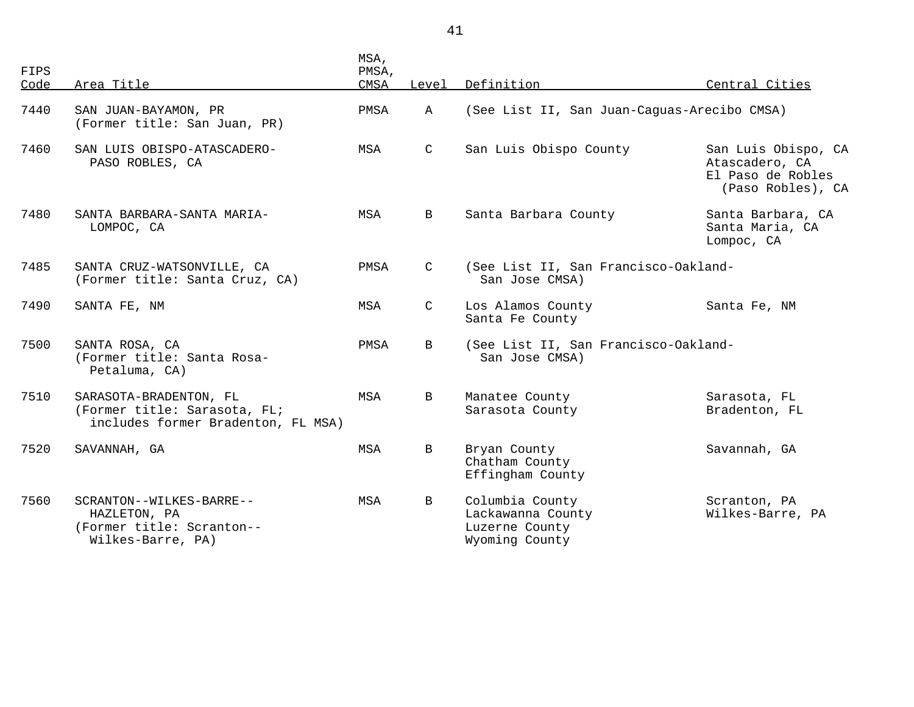| FIPS<br>Code | Area Title                                                                                   | MSA,<br>PMSA,<br>CMSA | Level         | Definition                                                               | Central Cities                                                                  |
|--------------|----------------------------------------------------------------------------------------------|-----------------------|---------------|--------------------------------------------------------------------------|---------------------------------------------------------------------------------|
| 7440         | SAN JUAN-BAYAMON, PR<br>(Former title: San Juan, PR)                                         | PMSA                  | $\mathbb{A}$  | (See List II, San Juan-Caguas-Arecibo CMSA)                              |                                                                                 |
| 7460         | SAN LUIS OBISPO-ATASCADERO-<br>PASO ROBLES, CA                                               | MSA                   | $\mathsf{C}$  | San Luis Obispo County                                                   | San Luis Obispo, CA<br>Atascadero, CA<br>El Paso de Robles<br>(Paso Robles), CA |
| 7480         | SANTA BARBARA-SANTA MARIA-<br>LOMPOC, CA                                                     | MSA                   | $\mathbf{B}$  | Santa Barbara County                                                     | Santa Barbara, CA<br>Santa Maria, CA<br>Lompoc, CA                              |
| 7485         | SANTA CRUZ-WATSONVILLE, CA<br>(Former title: Santa Cruz, CA)                                 | PMSA                  | C             | (See List II, San Francisco-Oakland-<br>San Jose CMSA)                   |                                                                                 |
| 7490         | SANTA FE, NM                                                                                 | MSA                   | $\mathcal{C}$ | Los Alamos County<br>Santa Fe County                                     | Santa Fe, NM                                                                    |
| 7500         | SANTA ROSA, CA<br>(Former title: Santa Rosa-<br>Petaluma, CA)                                | PMSA                  | B             | (See List II, San Francisco-Oakland-<br>San Jose CMSA)                   |                                                                                 |
| 7510         | SARASOTA-BRADENTON, FL<br>(Former title: Sarasota, FL;<br>includes former Bradenton, FL MSA) | MSA                   | B             | Manatee County<br>Sarasota County                                        | Sarasota, FL<br>Bradenton, FL                                                   |
| 7520         | SAVANNAH, GA                                                                                 | MSA                   | B             | Bryan County<br>Chatham County<br>Effingham County                       | Savannah, GA                                                                    |
| 7560         | SCRANTON--WILKES-BARRE--<br>HAZLETON, PA<br>(Former title: Scranton--<br>Wilkes-Barre, PA)   | MSA                   | $\mathbf{B}$  | Columbia County<br>Lackawanna County<br>Luzerne County<br>Wyoming County | Scranton, PA<br>Wilkes-Barre, PA                                                |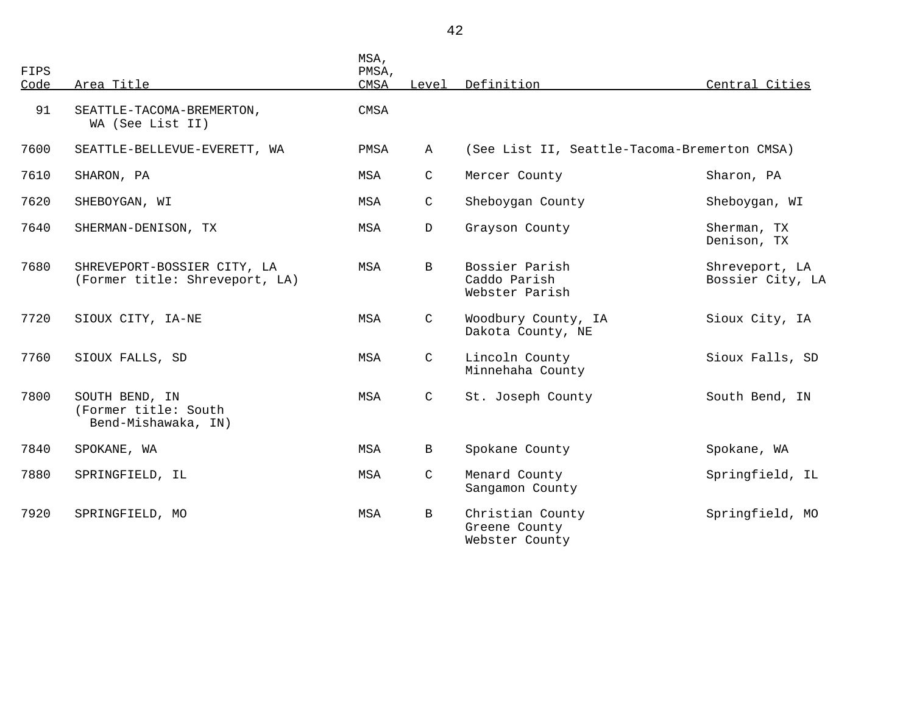| FIPS<br>Code | Area Title                                                    | MSA,<br>PMSA,<br>CMSA | Level        | Definition                                          | Central Cities                     |
|--------------|---------------------------------------------------------------|-----------------------|--------------|-----------------------------------------------------|------------------------------------|
| 91           | SEATTLE-TACOMA-BREMERTON,<br>WA (See List II)                 | <b>CMSA</b>           |              |                                                     |                                    |
| 7600         | SEATTLE-BELLEVUE-EVERETT, WA                                  | PMSA                  | $\mathbb A$  | (See List II, Seattle-Tacoma-Bremerton CMSA)        |                                    |
| 7610         | SHARON, PA                                                    | MSA                   | $\mathsf{C}$ | Mercer County                                       | Sharon, PA                         |
| 7620         | SHEBOYGAN, WI                                                 | MSA                   | C            | Sheboygan County                                    | Sheboygan, WI                      |
| 7640         | SHERMAN-DENISON, TX                                           | MSA                   | $\mathbf{D}$ | Grayson County                                      | Sherman, TX<br>Denison, TX         |
| 7680         | SHREVEPORT-BOSSIER CITY, LA<br>(Former title: Shreveport, LA) | MSA                   | $\mathbf B$  | Bossier Parish<br>Caddo Parish<br>Webster Parish    | Shreveport, LA<br>Bossier City, LA |
| 7720         | SIOUX CITY, IA-NE                                             | MSA                   | $\mathsf{C}$ | Woodbury County, IA<br>Dakota County, NE            | Sioux City, IA                     |
| 7760         | SIOUX FALLS, SD                                               | MSA                   | $\mathsf{C}$ | Lincoln County<br>Minnehaha County                  | Sioux Falls, SD                    |
| 7800         | SOUTH BEND, IN<br>(Former title: South<br>Bend-Mishawaka, IN) | MSA                   | $\mathsf{C}$ | St. Joseph County                                   | South Bend, IN                     |
| 7840         | SPOKANE, WA                                                   | MSA                   | B            | Spokane County                                      | Spokane, WA                        |
| 7880         | SPRINGFIELD, IL                                               | MSA                   | $\mathsf{C}$ | Menard County<br>Sangamon County                    | Springfield, IL                    |
| 7920         | SPRINGFIELD, MO                                               | MSA                   | B            | Christian County<br>Greene County<br>Webster County | Springfield, MO                    |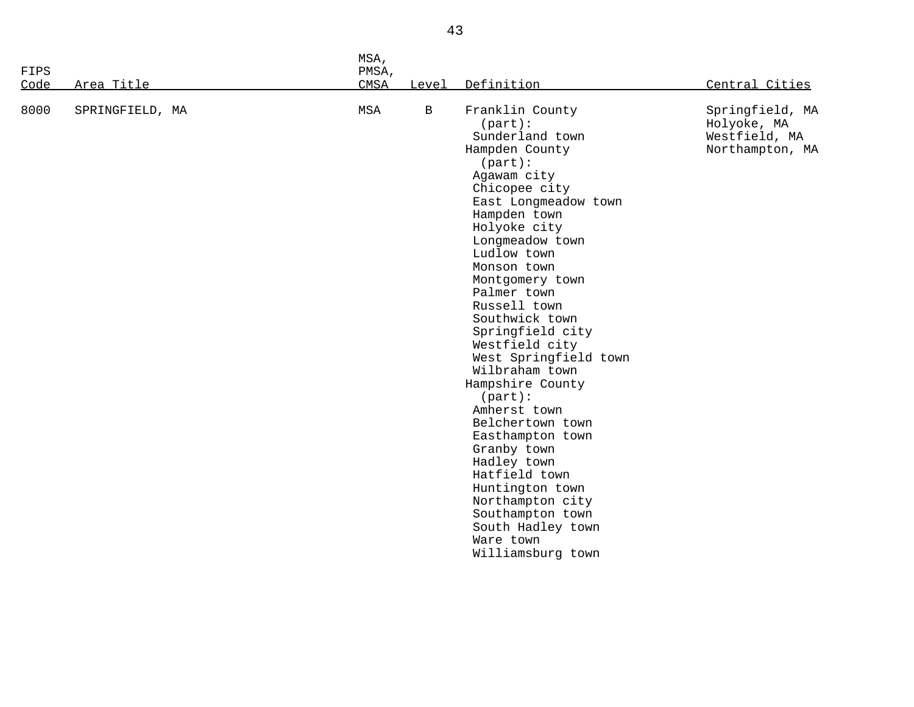| FIPS<br>PMSA,                                                                                                                                                                                                                                                                                                                                                                                                                                                                                                                                                                                                                                                                                                                                                     |  |
|-------------------------------------------------------------------------------------------------------------------------------------------------------------------------------------------------------------------------------------------------------------------------------------------------------------------------------------------------------------------------------------------------------------------------------------------------------------------------------------------------------------------------------------------------------------------------------------------------------------------------------------------------------------------------------------------------------------------------------------------------------------------|--|
|                                                                                                                                                                                                                                                                                                                                                                                                                                                                                                                                                                                                                                                                                                                                                                   |  |
| Area Title<br>CMSA<br>Definition<br>Central Cities<br>Code<br>Level                                                                                                                                                                                                                                                                                                                                                                                                                                                                                                                                                                                                                                                                                               |  |
| 8000<br>$\, {\bf B}$<br>Franklin County<br>MSA<br>Springfield, MA<br>SPRINGFIELD, MA<br>$(part)$ :<br>Holyoke, MA<br>Sunderland town<br>Westfield, MA<br>Hampden County<br>Northampton, MA<br>$(part)$ :<br>Agawam city<br>Chicopee city<br>East Longmeadow town<br>Hampden town<br>Holyoke city<br>Longmeadow town<br>Ludlow town<br>Monson town<br>Montgomery town<br>Palmer town<br>Russell town<br>Southwick town<br>Springfield city<br>Westfield city<br>West Springfield town<br>Wilbraham town<br>Hampshire County<br>$(part)$ :<br>Amherst town<br>Belchertown town<br>Easthampton town<br>Granby town<br>Hadley town<br>Hatfield town<br>Huntington town<br>Northampton city<br>Southampton town<br>South Hadley town<br>Ware town<br>Williamsburg town |  |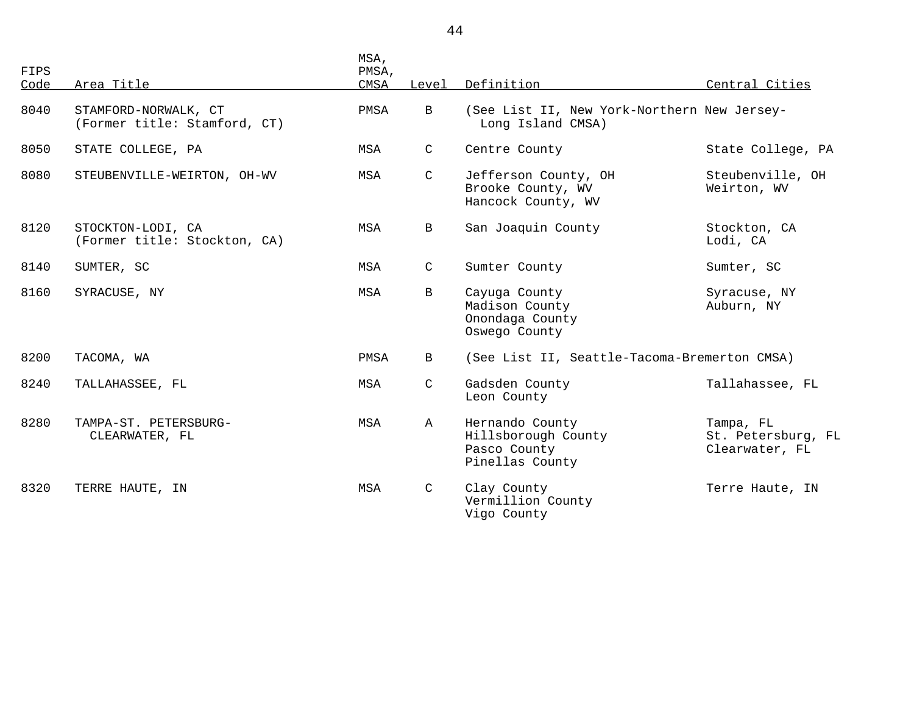| FIPS<br>Code | Area Title                                           | MSA,<br>PMSA,<br>CMSA | Level        | Definition                                                                | Central Cities                                    |
|--------------|------------------------------------------------------|-----------------------|--------------|---------------------------------------------------------------------------|---------------------------------------------------|
| 8040         | STAMFORD-NORWALK, CT<br>(Former title: Stamford, CT) | PMSA                  | $\mathbf{B}$ | (See List II, New York-Northern New Jersey-<br>Long Island CMSA)          |                                                   |
| 8050         | STATE COLLEGE, PA                                    | MSA                   | $\mathsf{C}$ | Centre County                                                             | State College, PA                                 |
| 8080         | STEUBENVILLE-WEIRTON, OH-WV                          | MSA                   | $\mathsf{C}$ | Jefferson County, OH<br>Brooke County, WV<br>Hancock County, WV           | Steubenville, OH<br>Weirton, WV                   |
| 8120         | STOCKTON-LODI, CA<br>(Former title: Stockton, CA)    | MSA                   | $\mathbf B$  | San Joaquin County                                                        | Stockton, CA<br>Lodi, CA                          |
| 8140         | SUMTER, SC                                           | MSA                   | $\mathsf{C}$ | Sumter County                                                             | Sumter, SC                                        |
| 8160         | SYRACUSE, NY                                         | MSA                   | $\mathbf{B}$ | Cayuga County<br>Madison County<br>Onondaga County<br>Oswego County       | Syracuse, NY<br>Auburn, NY                        |
| 8200         | TACOMA, WA                                           | PMSA                  | $\mathbf{B}$ | (See List II, Seattle-Tacoma-Bremerton CMSA)                              |                                                   |
| 8240         | TALLAHASSEE, FL                                      | MSA                   | $\mathsf{C}$ | Gadsden County<br>Leon County                                             | Tallahassee, FL                                   |
| 8280         | TAMPA-ST. PETERSBURG-<br>CLEARWATER, FL              | MSA                   | $\mathbb A$  | Hernando County<br>Hillsborough County<br>Pasco County<br>Pinellas County | Tampa, FL<br>St. Petersburg, FL<br>Clearwater, FL |
| 8320         | TERRE HAUTE, IN                                      | MSA                   | $\mathsf{C}$ | Clay County<br>Vermillion County<br>Vigo County                           | Terre Haute, IN                                   |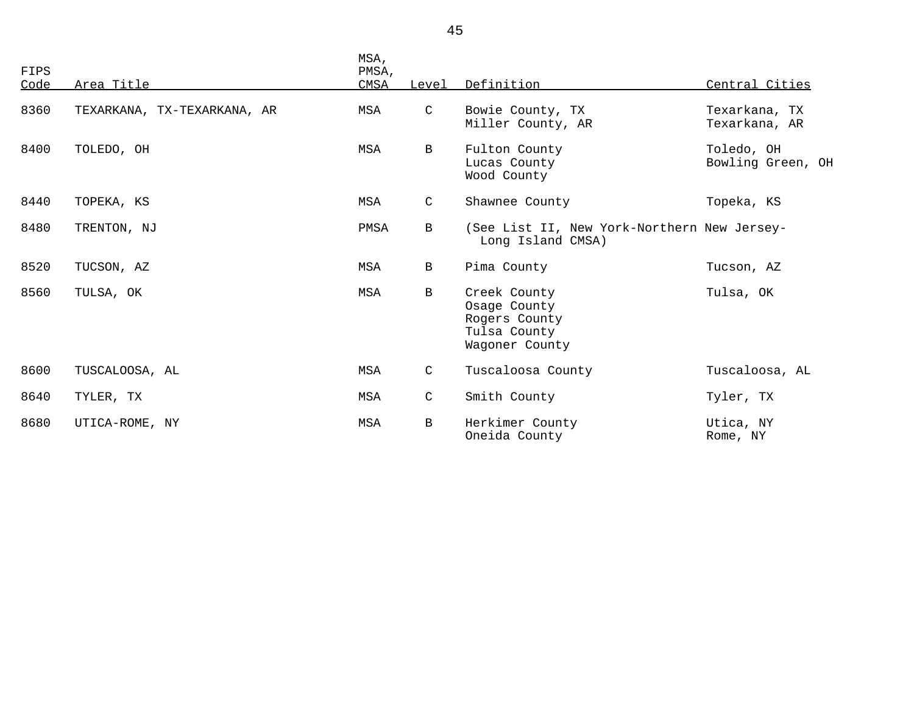| FIPS<br>Code | Area Title                  | MSA,<br>PMSA,<br>CMSA | Level        | Definition                                                                      | Central Cities                  |
|--------------|-----------------------------|-----------------------|--------------|---------------------------------------------------------------------------------|---------------------------------|
| 8360         | TEXARKANA, TX-TEXARKANA, AR | MSA                   | $\mathsf{C}$ | Bowie County, TX<br>Miller County, AR                                           | Texarkana, TX<br>Texarkana, AR  |
| 8400         | TOLEDO, OH                  | MSA                   | $\mathbf{B}$ | Fulton County<br>Lucas County<br>Wood County                                    | Toledo, OH<br>Bowling Green, OH |
| 8440         | TOPEKA, KS                  | MSA                   | $\mathsf{C}$ | Shawnee County                                                                  | Topeka, KS                      |
| 8480         | TRENTON, NJ                 | PMSA                  | $\mathbf B$  | (See List II, New York-Northern New Jersey-<br>Long Island CMSA)                |                                 |
| 8520         | TUCSON, AZ                  | MSA                   | $\mathbf{B}$ | Pima County                                                                     | Tucson, AZ                      |
| 8560         | TULSA, OK                   | MSA                   | $\mathbf B$  | Creek County<br>Osage County<br>Rogers County<br>Tulsa County<br>Wagoner County | Tulsa, OK                       |
| 8600         | TUSCALOOSA, AL              | MSA                   | $\mathsf{C}$ | Tuscaloosa County                                                               | Tuscaloosa, AL                  |
| 8640         | TYLER, TX                   | MSA                   | $\mathsf{C}$ | Smith County                                                                    | Tyler, TX                       |
| 8680         | UTICA-ROME, NY              | <b>MSA</b>            | $\mathbf B$  | Herkimer County<br>Oneida County                                                | Utica, NY<br>Rome, NY           |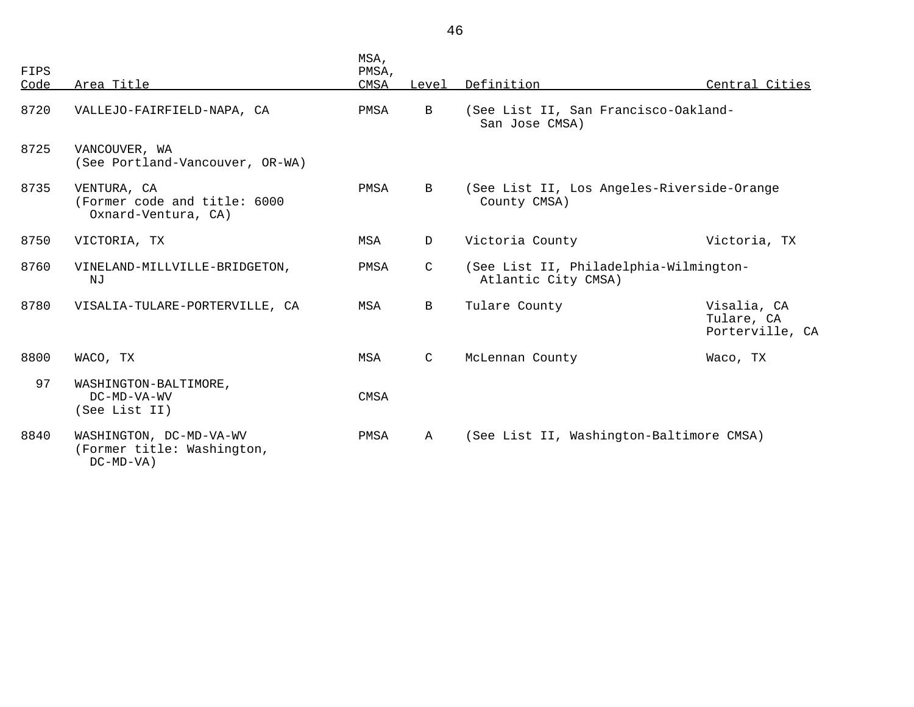| FIPS<br>Code | Area Title                                                            | MSA,<br>PMSA,<br><b>CMSA</b> | Level        | Definition                                                    | Central Cities                               |
|--------------|-----------------------------------------------------------------------|------------------------------|--------------|---------------------------------------------------------------|----------------------------------------------|
| 8720         | VALLEJO-FAIRFIELD-NAPA, CA                                            | PMSA                         | B            | (See List II, San Francisco-Oakland-<br>San Jose CMSA)        |                                              |
| 8725         | VANCOUVER, WA<br>(See Portland-Vancouver, OR-WA)                      |                              |              |                                                               |                                              |
| 8735         | VENTURA, CA<br>(Former code and title: 6000<br>Oxnard-Ventura, CA)    | PMSA                         | $\mathbf{B}$ | (See List II, Los Angeles-Riverside-Orange<br>County CMSA)    |                                              |
| 8750         | VICTORIA, TX                                                          | MSA                          | D            | Victoria County                                               | Victoria, TX                                 |
| 8760         | VINELAND-MILLVILLE-BRIDGETON,<br>NJ                                   | PMSA                         | C            | (See List II, Philadelphia-Wilmington-<br>Atlantic City CMSA) |                                              |
| 8780         | VISALIA-TULARE-PORTERVILLE, CA                                        | MSA                          | B            | Tulare County                                                 | Visalia, CA<br>Tulare, CA<br>Porterville, CA |
| 8800         | WACO, TX                                                              | MSA                          | $\mathsf{C}$ | McLennan County                                               | Waco, TX                                     |
| 97           | WASHINGTON-BALTIMORE,<br>DC-MD-VA-WV<br>(See List II)                 | <b>CMSA</b>                  |              |                                                               |                                              |
| 8840         | WASHINGTON, DC-MD-VA-WV<br>(Former title: Washington,<br>$DC-MD-VA$ ) | PMSA                         | $\mathbb{A}$ | (See List II, Washington-Baltimore CMSA)                      |                                              |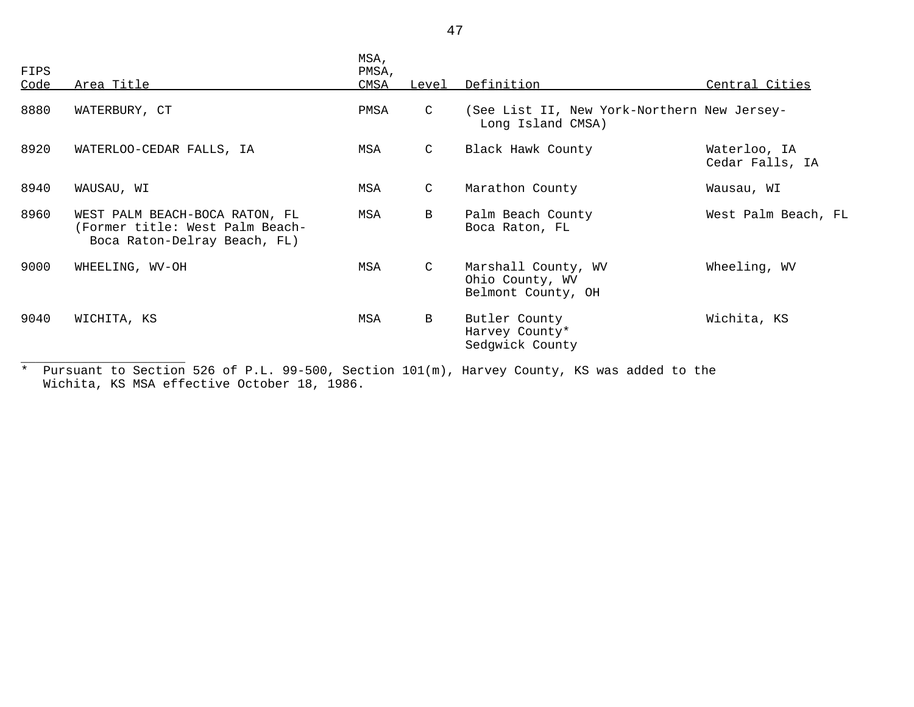| FIPS<br>Code | <u>Area Title</u>                                                                                 | MSA,<br>PMSA,<br>CMSA | Level         | Definition                                                       | Central Cities                  |
|--------------|---------------------------------------------------------------------------------------------------|-----------------------|---------------|------------------------------------------------------------------|---------------------------------|
|              |                                                                                                   |                       |               |                                                                  |                                 |
| 8880         | WATERBURY, CT                                                                                     | PMSA                  | $\mathsf{C}$  | (See List II, New York-Northern New Jersey-<br>Long Island CMSA) |                                 |
| 8920         | WATERLOO-CEDAR FALLS, IA                                                                          | MSA                   | $\mathsf{C}$  | Black Hawk County                                                | Waterloo, IA<br>Cedar Falls, IA |
| 8940         | WAUSAU, WI                                                                                        | MSA                   | $\mathcal{C}$ | Marathon County                                                  | Wausau, WI                      |
| 8960         | WEST PALM BEACH-BOCA RATON, FL<br>(Former title: West Palm Beach-<br>Boca Raton-Delray Beach, FL) | MSA                   | B             | Palm Beach County<br>Boca Raton, FL                              | West Palm Beach, FL             |
| 9000         | WHEELING, WV-OH                                                                                   | MSA                   | $\mathsf{C}$  | Marshall County, WV<br>Ohio County, WV<br>Belmont County, OH     | Wheeling, WV                    |
| 9040         | WICHITA, KS                                                                                       | MSA                   | B             | Butler County<br>Harvey County*<br>Sedgwick County               | Wichita, KS                     |

\* Pursuant to Section 526 of P.L. 99-500, Section 101(m), Harvey County, KS was added to the Wichita, KS MSA effective October 18, 1986.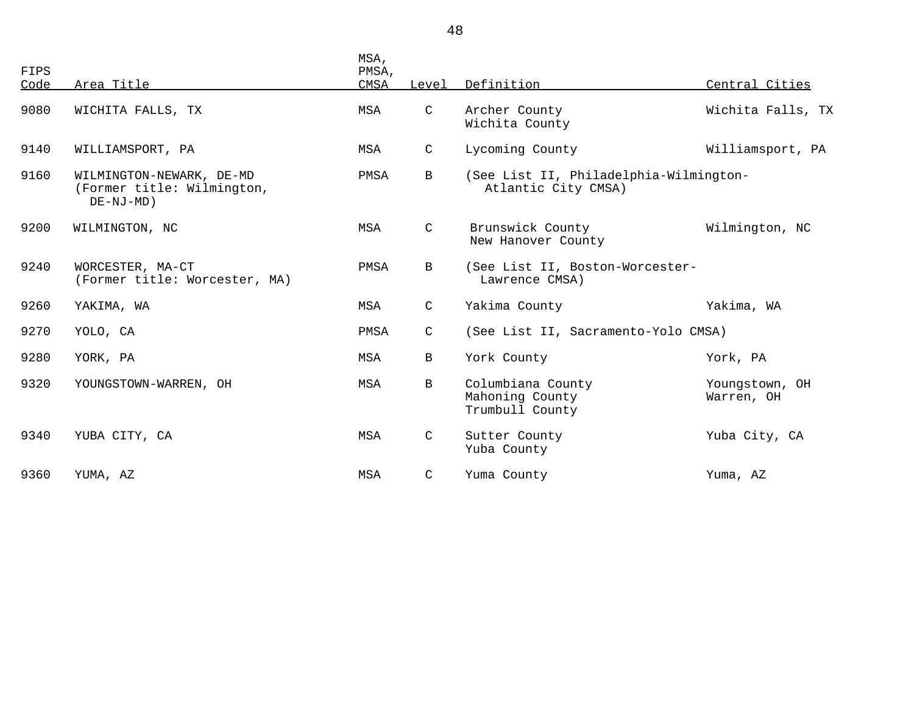| FIPS<br>Code | Area Title                                                                | MSA,<br>PMSA,<br>CMSA | Level        | Definition                                                    | Central Cities               |
|--------------|---------------------------------------------------------------------------|-----------------------|--------------|---------------------------------------------------------------|------------------------------|
| 9080         | WICHITA FALLS, TX                                                         | MSA                   | $\mathsf C$  | Archer County<br>Wichita County                               | Wichita Falls, TX            |
| 9140         | WILLIAMSPORT, PA                                                          | MSA                   | $\mathsf{C}$ | Lycoming County                                               | Williamsport, PA             |
| 9160         | WILMINGTON-NEWARK, DE-MD<br>(Former title: Wilmington,<br>$DE - NJ - MD)$ | PMSA                  | $\mathbf{B}$ | (See List II, Philadelphia-Wilmington-<br>Atlantic City CMSA) |                              |
| 9200         | WILMINGTON, NC                                                            | MSA                   | $\mathsf{C}$ | Brunswick County<br>New Hanover County                        | Wilmington, NC               |
| 9240         | WORCESTER, MA-CT<br>(Former title: Worcester, MA)                         | PMSA                  | $\mathbf{B}$ | (See List II, Boston-Worcester-<br>Lawrence CMSA)             |                              |
| 9260         | YAKIMA, WA                                                                | MSA                   | $\mathsf{C}$ | Yakima County                                                 | Yakima, WA                   |
| 9270         | YOLO, CA                                                                  | PMSA                  | $\mathsf{C}$ | (See List II, Sacramento-Yolo CMSA)                           |                              |
| 9280         | YORK, PA                                                                  | MSA                   | $\mathbf B$  | York County                                                   | York, PA                     |
| 9320         | YOUNGSTOWN-WARREN, OH                                                     | MSA                   | $\mathbf{B}$ | Columbiana County<br>Mahoning County<br>Trumbull County       | Youngstown, OH<br>Warren, OH |
| 9340         | YUBA CITY, CA                                                             | MSA                   | $\mathsf{C}$ | Sutter County<br>Yuba County                                  | Yuba City, CA                |
| 9360         | YUMA, AZ                                                                  | MSA                   | C            | Yuma County                                                   | Yuma, AZ                     |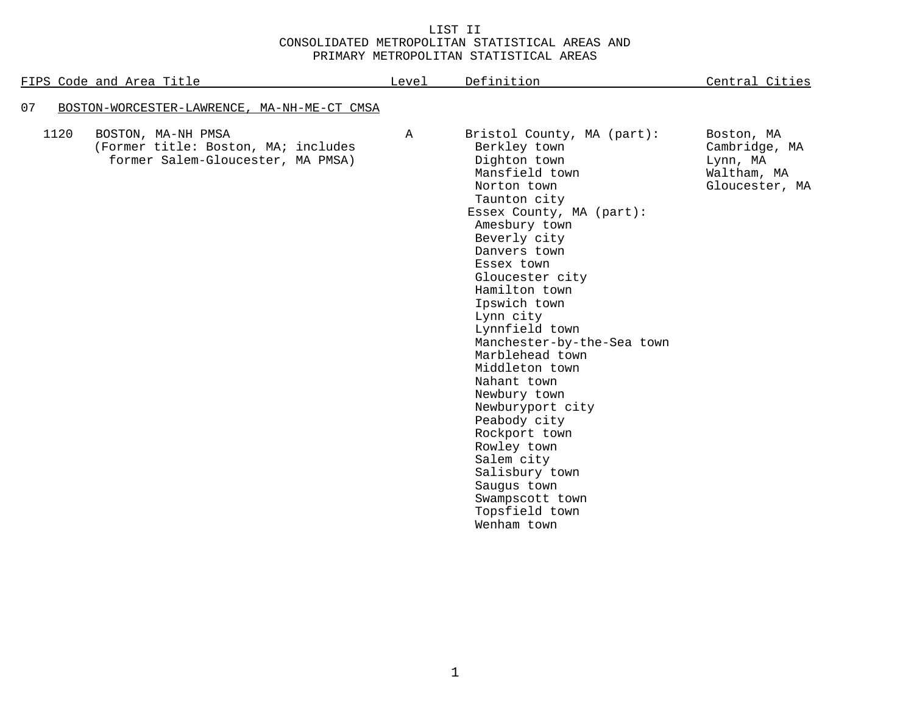## LIST II CONSOLIDATED METROPOLITAN STATISTICAL AREAS AND PRIMARY METROPOLITAN STATISTICAL AREAS

| FIPS Code and Area Title                                                                               | Level        | Definition                                                                                                                                                                                                                                                                                                                                                                                                                                                                                                                                                         | Central Cities                                                           |
|--------------------------------------------------------------------------------------------------------|--------------|--------------------------------------------------------------------------------------------------------------------------------------------------------------------------------------------------------------------------------------------------------------------------------------------------------------------------------------------------------------------------------------------------------------------------------------------------------------------------------------------------------------------------------------------------------------------|--------------------------------------------------------------------------|
| 07<br>BOSTON-WORCESTER-LAWRENCE, MA-NH-ME-CT CMSA                                                      |              |                                                                                                                                                                                                                                                                                                                                                                                                                                                                                                                                                                    |                                                                          |
| 1120<br>BOSTON, MA-NH PMSA<br>(Former title: Boston, MA; includes<br>former Salem-Gloucester, MA PMSA) | $\mathbb{A}$ | Bristol County, MA (part):<br>Berkley town<br>Dighton town<br>Mansfield town<br>Norton town<br>Taunton city<br>Essex County, MA (part):<br>Amesbury town<br>Beverly city<br>Danvers town<br>Essex town<br>Gloucester city<br>Hamilton town<br>Ipswich town<br>Lynn city<br>Lynnfield town<br>Manchester-by-the-Sea town<br>Marblehead town<br>Middleton town<br>Nahant town<br>Newbury town<br>Newburyport city<br>Peabody city<br>Rockport town<br>Rowley town<br>Salem city<br>Salisbury town<br>Saugus town<br>Swampscott town<br>Topsfield town<br>Wenham town | Boston, MA<br>Cambridge, MA<br>Lynn, MA<br>Waltham, MA<br>Gloucester, MA |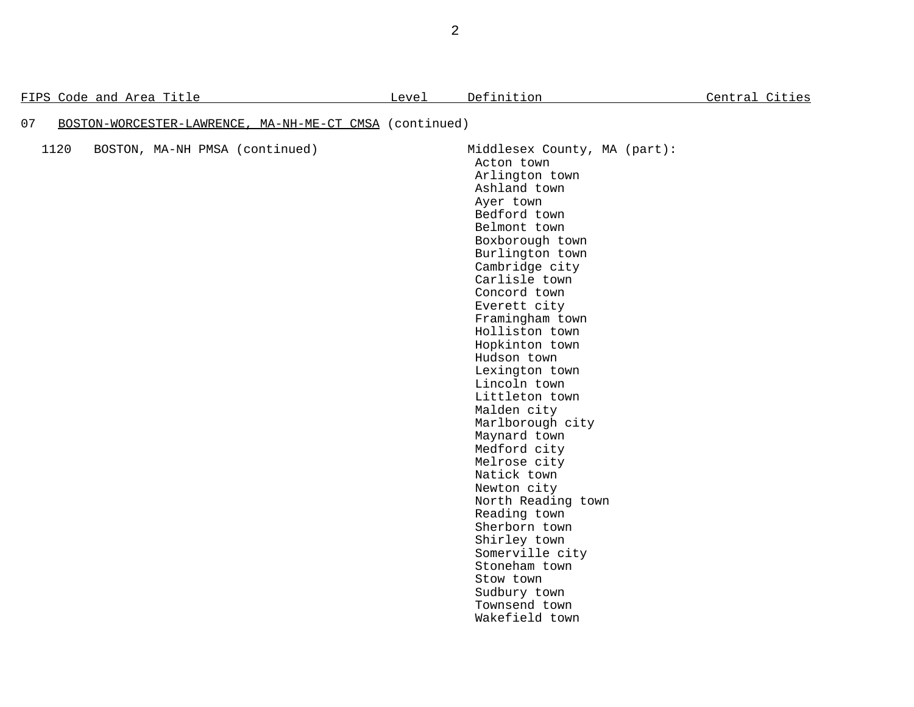FIPS Code and Area Title  $L$  Level Definition  $L$  Definition  $L$  Central Cities

## 07 BOSTON-WORCESTER-LAWRENCE, MA-NH-ME-CT CMSA (continued)

| 1120 |  | BOSTON, MA-NH PMSA (continued) |
|------|--|--------------------------------|
|      |  |                                |

Middlesex County, MA (part): Acton town Arlington town Ashland town Ayer town Bedford town Belmont town Boxborough town Burlington town Cambridge city Carlisle town Concord town Everett city Framingham town Holliston town Hopkinton town Hudson town Lexington town Lincoln town Littleton town Malden city Marlborough city Maynard town Medford city Melrose city Natick town Newton city North Reading town Reading town Sherborn town Shirley town Somerville city Stoneham town Stow town Sudbury town Townsend town Wakefield town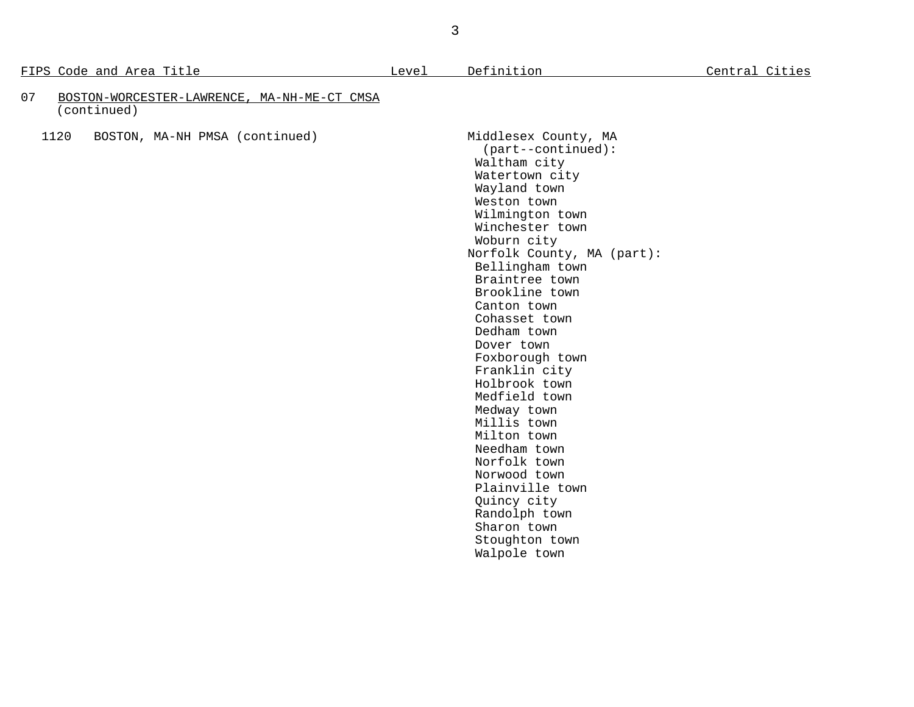FIPS Code and Area Title  $L$  Level Definition  $L$  Definition  $L$  Central Cities

| 07 | BOSTON-WORCESTER-LAWRENCE, MA-NH-ME-CT CMSA |  |
|----|---------------------------------------------|--|
|    | (continued)                                 |  |

1120 BOSTON, MA-NH PMSA (continued) Middlesex County, MA

 (part--continued): Waltham city Watertown city Wayland town Weston town Wilmington town Winchester town Woburn city Norfolk County, MA (part): Bellingham town Braintree town Brookline town Canton town Cohasset town Dedham town Dover town Foxborough town Franklin city Holbrook town Medfield town Medway town Millis town Milton town Needham town Norfolk town Norwood town Plainville town Quincy city Randolph town Sharon town Stoughton town Walpole town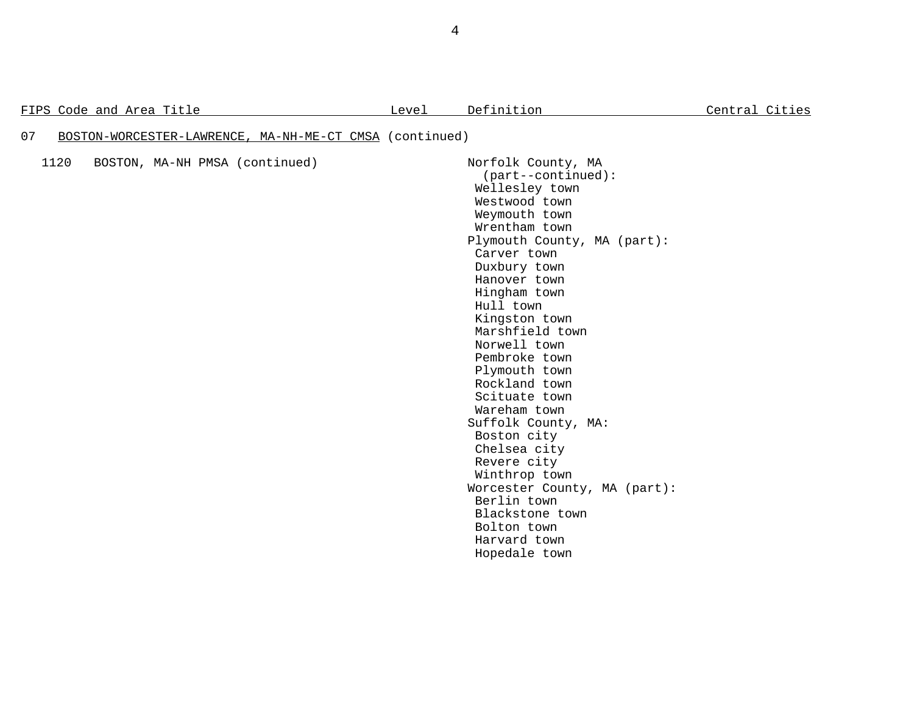|  |  | FIPS Code and Area Title |
|--|--|--------------------------|
|  |  |                          |

## 07 BOSTON-WORCESTER-LAWRENCE, MA-NH-ME-CT CMSA (continued)

1120 BOSTON, MA-NH PMSA (continued) Norfolk County, MA

 (part--continued): Wellesley town Westwood town Weymouth town Wrentham town Plymouth County, MA (part): Carver town Duxbury town Hanover town Hingham town Hull town Kingston town Marshfield town Norwell town Pembroke town Plymouth town Rockland town Scituate town Wareham town Suffolk County, MA: Boston city Chelsea city Revere city Winthrop town Worcester County, MA (part): Berlin town Blackstone town Bolton town Harvard town Hopedale town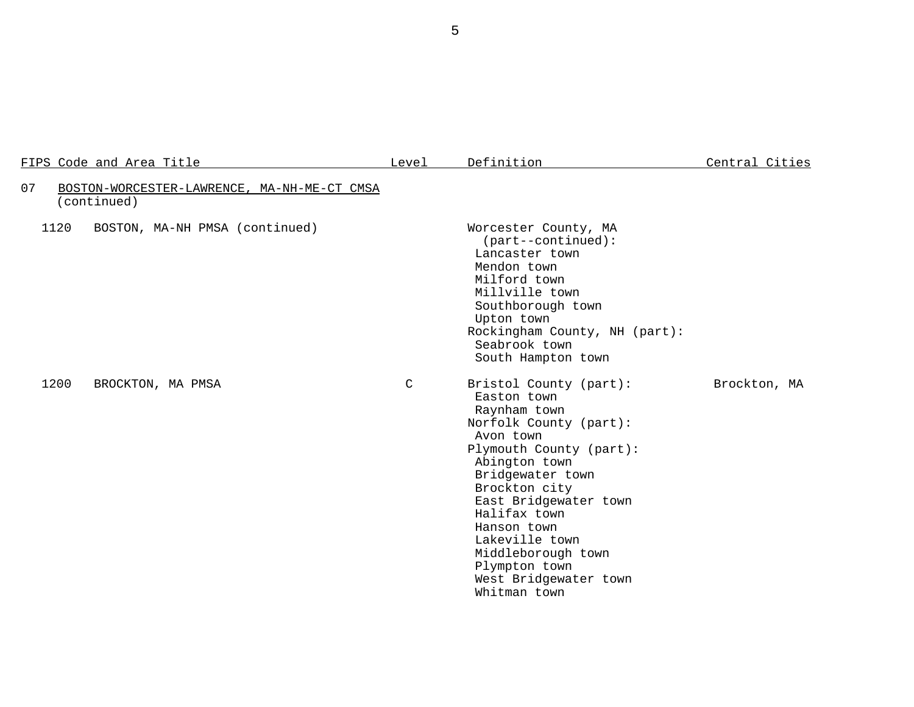| FIPS Code and Area Title                                         | Level | Definition                                                                                                                                                                                                                                                                                                                              | Central Cities |
|------------------------------------------------------------------|-------|-----------------------------------------------------------------------------------------------------------------------------------------------------------------------------------------------------------------------------------------------------------------------------------------------------------------------------------------|----------------|
| 07<br>BOSTON-WORCESTER-LAWRENCE, MA-NH-ME-CT CMSA<br>(continued) |       |                                                                                                                                                                                                                                                                                                                                         |                |
| 1120<br>BOSTON, MA-NH PMSA (continued)                           |       | Worcester County, MA<br>(part--continued):<br>Lancaster town<br>Mendon town<br>Milford town<br>Millville town<br>Southborough town<br>Upton town<br>Rockingham County, NH (part):<br>Seabrook town<br>South Hampton town                                                                                                                |                |
| 1200<br>BROCKTON, MA PMSA                                        | C     | Bristol County (part):<br>Easton town<br>Raynham town<br>Norfolk County (part):<br>Avon town<br>Plymouth County (part):<br>Abington town<br>Bridgewater town<br>Brockton city<br>East Bridgewater town<br>Halifax town<br>Hanson town<br>Lakeville town<br>Middleborough town<br>Plympton town<br>West Bridgewater town<br>Whitman town | Brockton, MA   |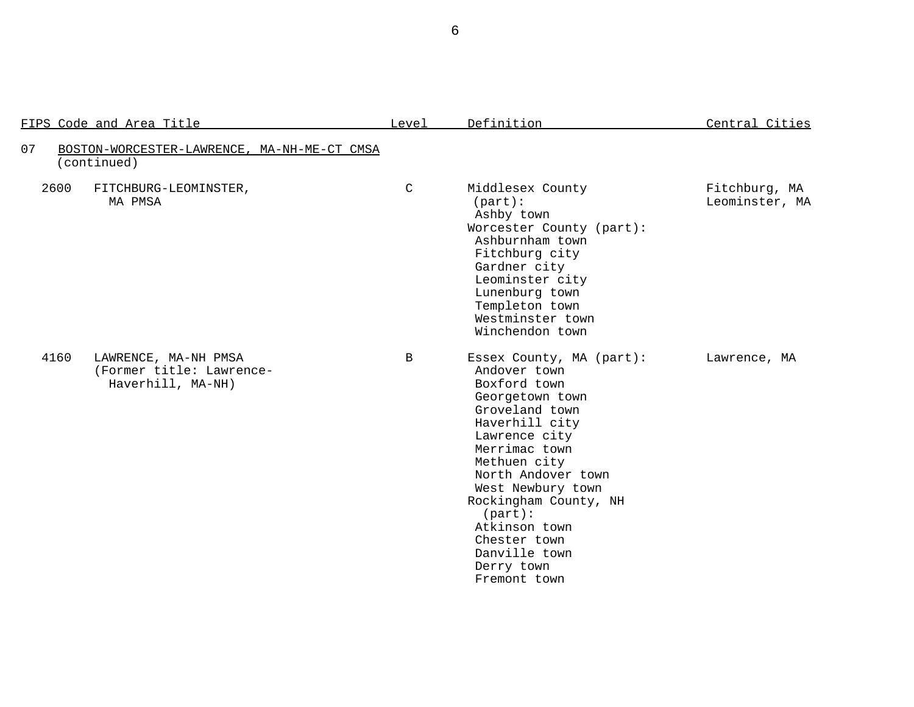|      | FIPS Code and Area Title                                              | Level        | Definition                                                                                                                                                                                                                                                                                                                       | Central Cities                  |
|------|-----------------------------------------------------------------------|--------------|----------------------------------------------------------------------------------------------------------------------------------------------------------------------------------------------------------------------------------------------------------------------------------------------------------------------------------|---------------------------------|
| 07   | BOSTON-WORCESTER-LAWRENCE, MA-NH-ME-CT CMSA<br>(continued)            |              |                                                                                                                                                                                                                                                                                                                                  |                                 |
| 2600 | FITCHBURG-LEOMINSTER,<br>MA PMSA                                      | $\mathsf{C}$ | Middlesex County<br>$(part)$ :<br>Ashby town<br>Worcester County (part):<br>Ashburnham town<br>Fitchburg city<br>Gardner city<br>Leominster city<br>Lunenburg town<br>Templeton town<br>Westminster town<br>Winchendon town                                                                                                      | Fitchburg, MA<br>Leominster, MA |
| 4160 | LAWRENCE, MA-NH PMSA<br>(Former title: Lawrence-<br>Haverhill, MA-NH) | B            | Essex County, MA (part):<br>Andover town<br>Boxford town<br>Georgetown town<br>Groveland town<br>Haverhill city<br>Lawrence city<br>Merrimac town<br>Methuen city<br>North Andover town<br>West Newbury town<br>Rockingham County, NH<br>(part):<br>Atkinson town<br>Chester town<br>Danville town<br>Derry town<br>Fremont town | Lawrence, MA                    |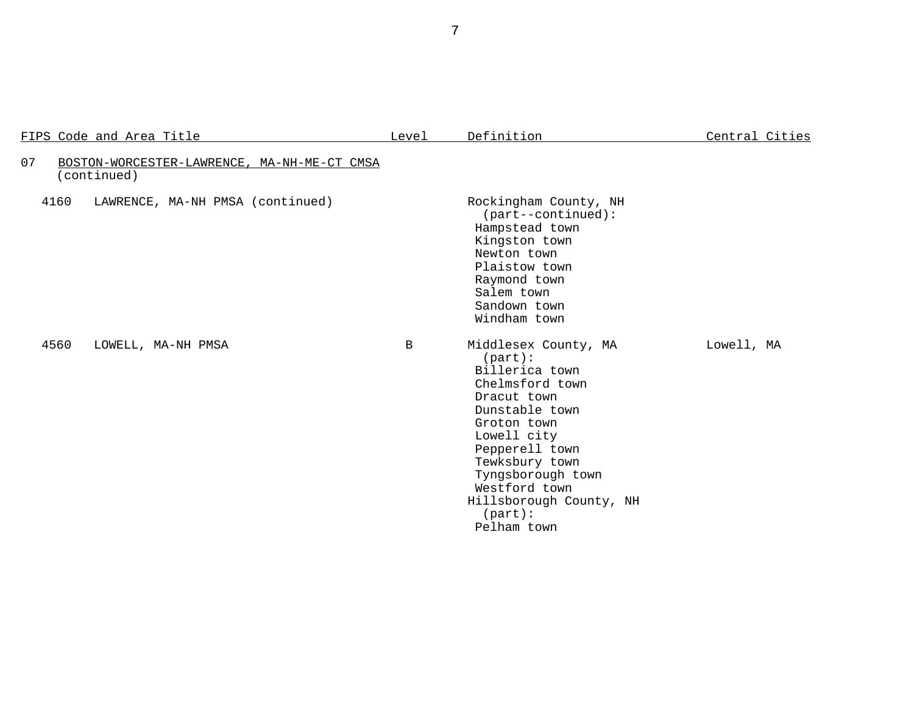| FIPS Code and Area Title |                                             | Level        | Definition                                                                                                                                                                                                                                                               | Central Cities |
|--------------------------|---------------------------------------------|--------------|--------------------------------------------------------------------------------------------------------------------------------------------------------------------------------------------------------------------------------------------------------------------------|----------------|
| 07<br>(continued)        | BOSTON-WORCESTER-LAWRENCE, MA-NH-ME-CT CMSA |              |                                                                                                                                                                                                                                                                          |                |
| 4160                     | LAWRENCE, MA-NH PMSA (continued)            |              | Rockingham County, NH<br>(part--continued):<br>Hampstead town<br>Kingston town<br>Newton town<br>Plaistow town<br>Raymond town<br>Salem town<br>Sandown town<br>Windham town                                                                                             |                |
| 4560                     | LOWELL, MA-NH PMSA                          | $\mathbf{B}$ | Middlesex County, MA<br>$(part)$ :<br>Billerica town<br>Chelmsford town<br>Dracut town<br>Dunstable town<br>Groton town<br>Lowell city<br>Pepperell town<br>Tewksbury town<br>Tyngsborough town<br>Westford town<br>Hillsborough County, NH<br>$(part)$ :<br>Pelham town | Lowell, MA     |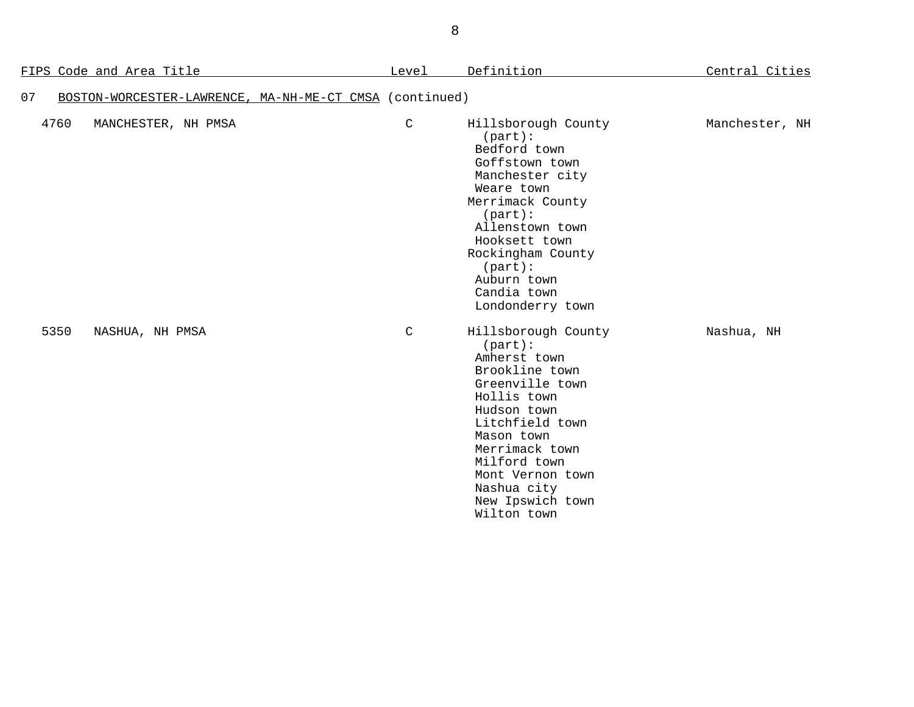|      | <u>FIPS Code and Area Title</u>                         | Level       | Definition                                                                                                                                                                                                                                                   | Central Cities |
|------|---------------------------------------------------------|-------------|--------------------------------------------------------------------------------------------------------------------------------------------------------------------------------------------------------------------------------------------------------------|----------------|
| 07   | BOSTON-WORCESTER-LAWRENCE, MA-NH-ME-CT CMSA (continued) |             |                                                                                                                                                                                                                                                              |                |
| 4760 | MANCHESTER, NH PMSA                                     | $\mathsf C$ | Hillsborough County<br>$(part)$ :<br>Bedford town<br>Goffstown town<br>Manchester city<br>Weare town<br>Merrimack County<br>(part):<br>Allenstown town<br>Hooksett town<br>Rockingham County<br>$(part)$ :<br>Auburn town<br>Candia town<br>Londonderry town | Manchester, NH |
| 5350 | NASHUA, NH PMSA                                         | $\mathsf C$ | Hillsborough County<br>(part):<br>Amherst town<br>Brookline town<br>Greenville town<br>Hollis town<br>Hudson town<br>Litchfield town<br>Mason town<br>Merrimack town<br>Milford town<br>Mont Vernon town<br>Nashua city<br>New Ipswich town<br>Wilton town   | Nashua, NH     |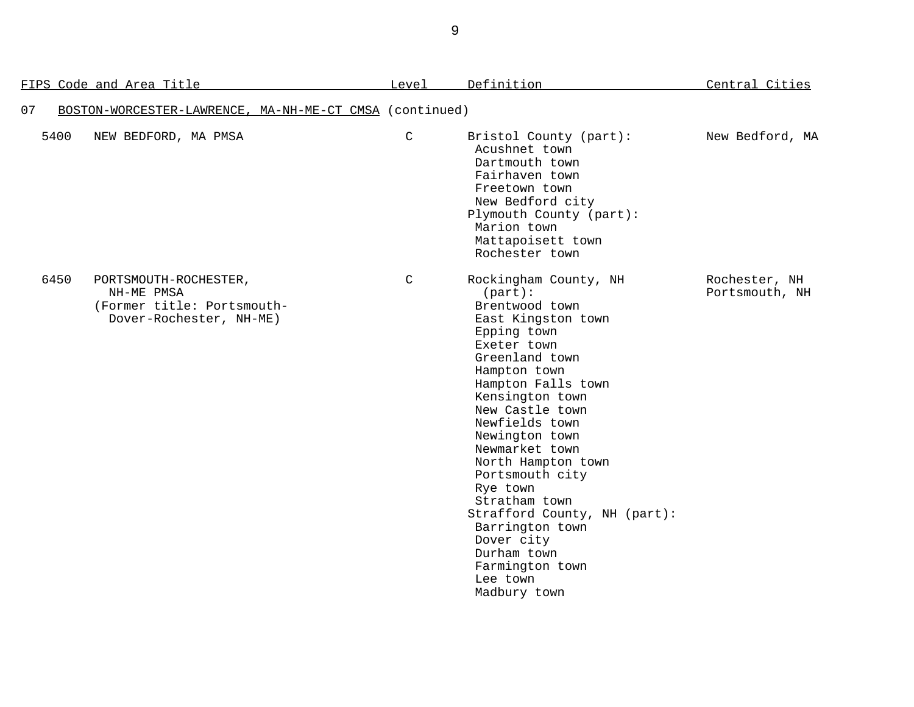| FIPS Code and Area Title |                                                                                              | Level       | Definition                                                                                                                                                                                                                                                                                                                                                                                                                                                      | Central Cities                  |
|--------------------------|----------------------------------------------------------------------------------------------|-------------|-----------------------------------------------------------------------------------------------------------------------------------------------------------------------------------------------------------------------------------------------------------------------------------------------------------------------------------------------------------------------------------------------------------------------------------------------------------------|---------------------------------|
| 07                       | BOSTON-WORCESTER-LAWRENCE, MA-NH-ME-CT CMSA (continued)                                      |             |                                                                                                                                                                                                                                                                                                                                                                                                                                                                 |                                 |
| 5400                     | NEW BEDFORD, MA PMSA                                                                         | $\mathsf C$ | Bristol County (part):<br>Acushnet town<br>Dartmouth town<br>Fairhaven town<br>Freetown town<br>New Bedford city<br>Plymouth County (part):<br>Marion town<br>Mattapoisett town<br>Rochester town                                                                                                                                                                                                                                                               | New Bedford, MA                 |
| 6450                     | PORTSMOUTH-ROCHESTER,<br>NH-ME PMSA<br>(Former title: Portsmouth-<br>Dover-Rochester, NH-ME) | C           | Rockingham County, NH<br>(part):<br>Brentwood town<br>East Kingston town<br>Epping town<br>Exeter town<br>Greenland town<br>Hampton town<br>Hampton Falls town<br>Kensington town<br>New Castle town<br>Newfields town<br>Newington town<br>Newmarket town<br>North Hampton town<br>Portsmouth city<br>Rye town<br>Stratham town<br>Strafford County, NH (part):<br>Barrington town<br>Dover city<br>Durham town<br>Farmington town<br>Lee town<br>Madbury town | Rochester, NH<br>Portsmouth, NH |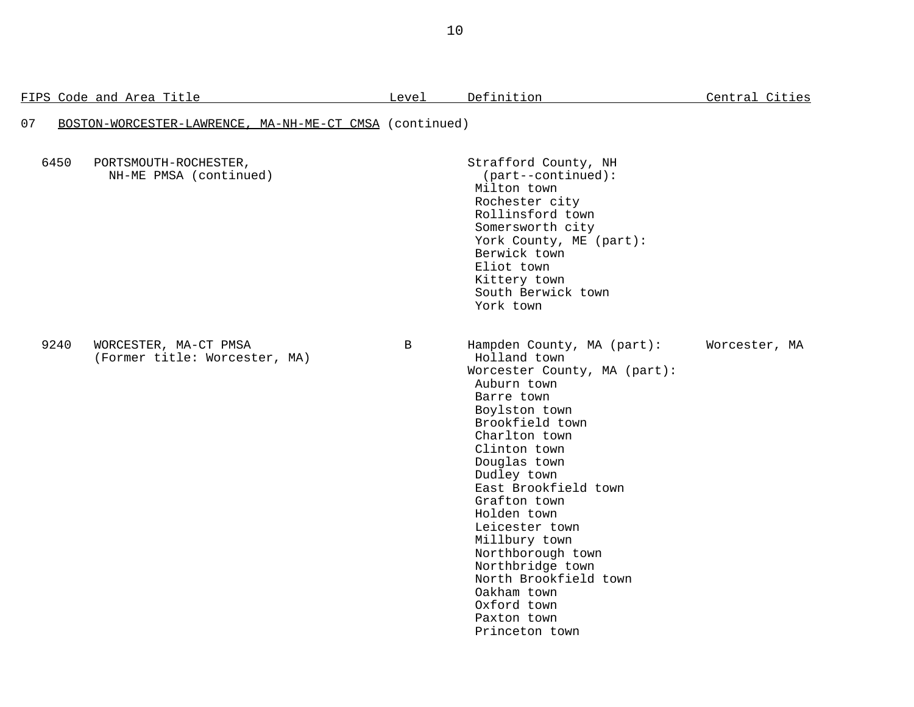|      | FIPS Code and Area Title                                | Level | Definition                                                                                                                                                                                                                                                                                                                                                                                                                             | Central Cities |
|------|---------------------------------------------------------|-------|----------------------------------------------------------------------------------------------------------------------------------------------------------------------------------------------------------------------------------------------------------------------------------------------------------------------------------------------------------------------------------------------------------------------------------------|----------------|
| 07   | BOSTON-WORCESTER-LAWRENCE, MA-NH-ME-CT CMSA (continued) |       |                                                                                                                                                                                                                                                                                                                                                                                                                                        |                |
| 6450 | PORTSMOUTH-ROCHESTER,<br>NH-ME PMSA (continued)         |       | Strafford County, NH<br>$(part--continued):$<br>Milton town<br>Rochester city<br>Rollinsford town<br>Somersworth city<br>York County, ME (part):<br>Berwick town<br>Eliot town<br>Kittery town<br>South Berwick town<br>York town                                                                                                                                                                                                      |                |
| 9240 | WORCESTER, MA-CT PMSA<br>(Former title: Worcester, MA)  | B     | Hampden County, MA (part):<br>Holland town<br>Worcester County, MA (part):<br>Auburn town<br>Barre town<br>Boylston town<br>Brookfield town<br>Charlton town<br>Clinton town<br>Douglas town<br>Dudley town<br>East Brookfield town<br>Grafton town<br>Holden town<br>Leicester town<br>Millbury town<br>Northborough town<br>Northbridge town<br>North Brookfield town<br>Oakham town<br>Oxford town<br>Paxton town<br>Princeton town | Worcester, MA  |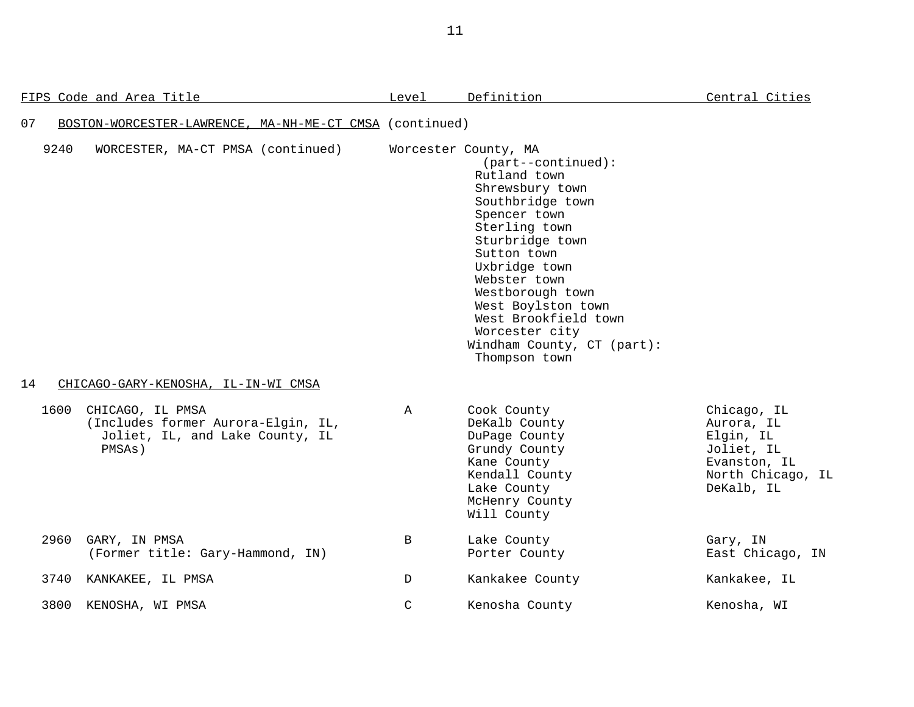|    |      | FIPS Code and Area Title                                                                            | Level         | Definition                                                                                                                                                                                                                                                                                                                                 | Central Cities                                                                                          |
|----|------|-----------------------------------------------------------------------------------------------------|---------------|--------------------------------------------------------------------------------------------------------------------------------------------------------------------------------------------------------------------------------------------------------------------------------------------------------------------------------------------|---------------------------------------------------------------------------------------------------------|
| 07 |      | BOSTON-WORCESTER-LAWRENCE, MA-NH-ME-CT CMSA (continued)                                             |               |                                                                                                                                                                                                                                                                                                                                            |                                                                                                         |
| 14 | 9240 | WORCESTER, MA-CT PMSA (continued)<br>CHICAGO-GARY-KENOSHA, IL-IN-WI CMSA                            |               | Worcester County, MA<br>$(part--continued):$<br>Rutland town<br>Shrewsbury town<br>Southbridge town<br>Spencer town<br>Sterling town<br>Sturbridge town<br>Sutton town<br>Uxbridge town<br>Webster town<br>Westborough town<br>West Boylston town<br>West Brookfield town<br>Worcester city<br>Windham County, CT (part):<br>Thompson town |                                                                                                         |
|    | 1600 | CHICAGO, IL PMSA<br>(Includes former Aurora-Elgin, IL,<br>Joliet, IL, and Lake County, IL<br>PMSAs) | $\mathbb A$   | Cook County<br>DeKalb County<br>DuPage County<br>Grundy County<br>Kane County<br>Kendall County<br>Lake County<br>McHenry County<br>Will County                                                                                                                                                                                            | Chicago, IL<br>Aurora, IL<br>Elgin, IL<br>Joliet, IL<br>Evanston, IL<br>North Chicago, IL<br>DeKalb, IL |
|    | 2960 | GARY, IN PMSA<br>(Former title: Gary-Hammond, IN)                                                   | B             | Lake County<br>Porter County                                                                                                                                                                                                                                                                                                               | Gary, IN<br>East Chicago, IN                                                                            |
|    | 3740 | KANKAKEE, IL PMSA                                                                                   | D             | Kankakee County                                                                                                                                                                                                                                                                                                                            | Kankakee, IL                                                                                            |
|    | 3800 | KENOSHA, WI PMSA                                                                                    | $\mathcal{C}$ | Kenosha County                                                                                                                                                                                                                                                                                                                             | Kenosha, WI                                                                                             |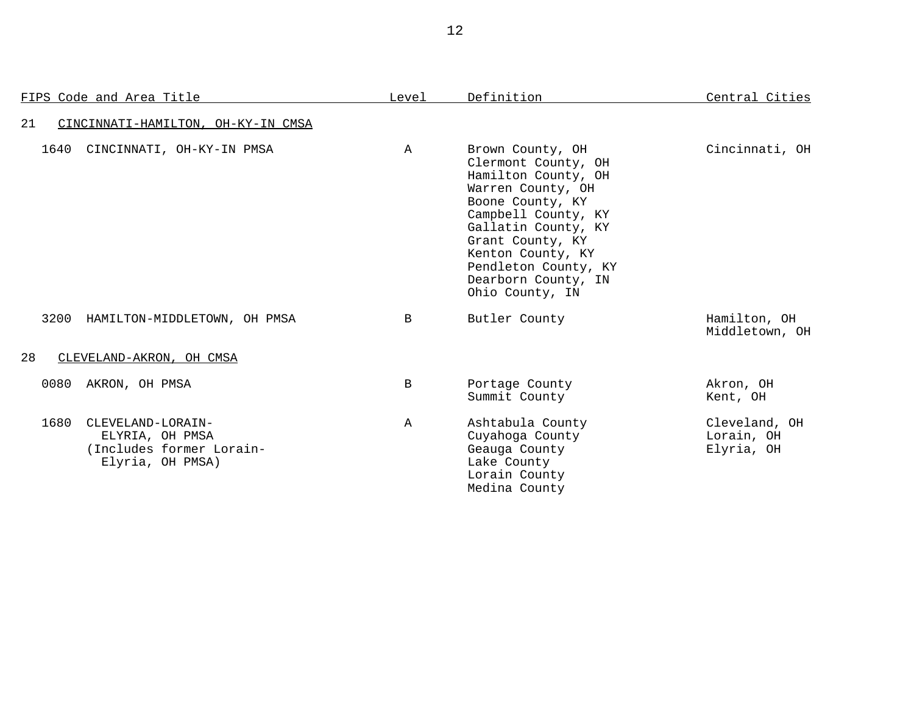| FIPS Code and Area Title                                                                     | Level        | Definition                                                                                                                                                                                                                                                       | Central Cities                            |
|----------------------------------------------------------------------------------------------|--------------|------------------------------------------------------------------------------------------------------------------------------------------------------------------------------------------------------------------------------------------------------------------|-------------------------------------------|
| 21<br>CINCINNATI-HAMILTON, OH-KY-IN CMSA                                                     |              |                                                                                                                                                                                                                                                                  |                                           |
| CINCINNATI, OH-KY-IN PMSA<br>1640                                                            | $\mathbb{A}$ | Brown County, OH<br>Clermont County, OH<br>Hamilton County, OH<br>Warren County, OH<br>Boone County, KY<br>Campbell County, KY<br>Gallatin County, KY<br>Grant County, KY<br>Kenton County, KY<br>Pendleton County, KY<br>Dearborn County, IN<br>Ohio County, IN | Cincinnati, OH                            |
| 3200<br>HAMILTON-MIDDLETOWN, OH PMSA                                                         | B            | Butler County                                                                                                                                                                                                                                                    | Hamilton, OH<br>Middletown, OH            |
| 28<br>CLEVELAND-AKRON, OH CMSA                                                               |              |                                                                                                                                                                                                                                                                  |                                           |
| 0080<br>AKRON, OH PMSA                                                                       | B            | Portage County<br>Summit County                                                                                                                                                                                                                                  | Akron, OH<br>Kent, OH                     |
| 1680<br>CLEVELAND-LORAIN-<br>ELYRIA, OH PMSA<br>(Includes former Lorain-<br>Elyria, OH PMSA) | Α            | Ashtabula County<br>Cuyahoga County<br>Geauga County<br>Lake County<br>Lorain County<br>Medina County                                                                                                                                                            | Cleveland, OH<br>Lorain, OH<br>Elyria, OH |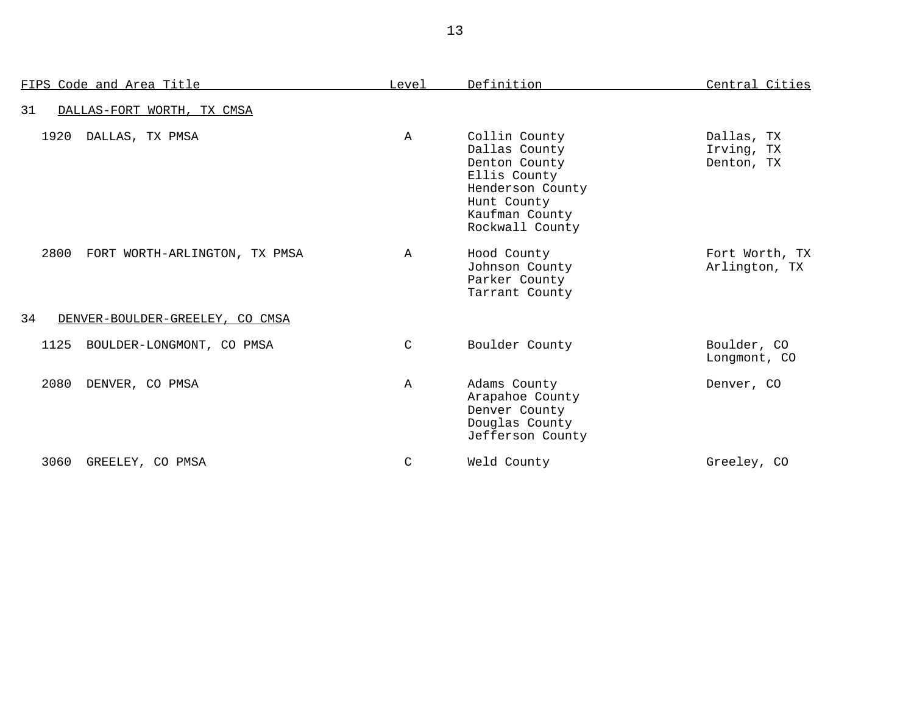| FIPS Code and Area Title              | Level        | Definition                                                                                                                              | Central Cities                         |
|---------------------------------------|--------------|-----------------------------------------------------------------------------------------------------------------------------------------|----------------------------------------|
| 31<br>DALLAS-FORT WORTH, TX CMSA      |              |                                                                                                                                         |                                        |
| 1920<br>DALLAS, TX PMSA               | $\mathbb A$  | Collin County<br>Dallas County<br>Denton County<br>Ellis County<br>Henderson County<br>Hunt County<br>Kaufman County<br>Rockwall County | Dallas, TX<br>Irving, TX<br>Denton, TX |
| 2800<br>FORT WORTH-ARLINGTON, TX PMSA | $\mathbb A$  | Hood County<br>Johnson County<br>Parker County<br>Tarrant County                                                                        | Fort Worth, TX<br>Arlington, TX        |
| 34<br>DENVER-BOULDER-GREELEY, CO CMSA |              |                                                                                                                                         |                                        |
| 1125<br>BOULDER-LONGMONT, CO PMSA     | C            | Boulder County                                                                                                                          | Boulder, CO<br>Longmont, CO            |
| 2080<br>DENVER, CO PMSA               | $\mathbb{A}$ | Adams County<br>Arapahoe County<br>Denver County<br>Douglas County<br>Jefferson County                                                  | Denver, CO                             |
| 3060<br>GREELEY, CO PMSA              | C            | Weld County                                                                                                                             | Greeley, CO                            |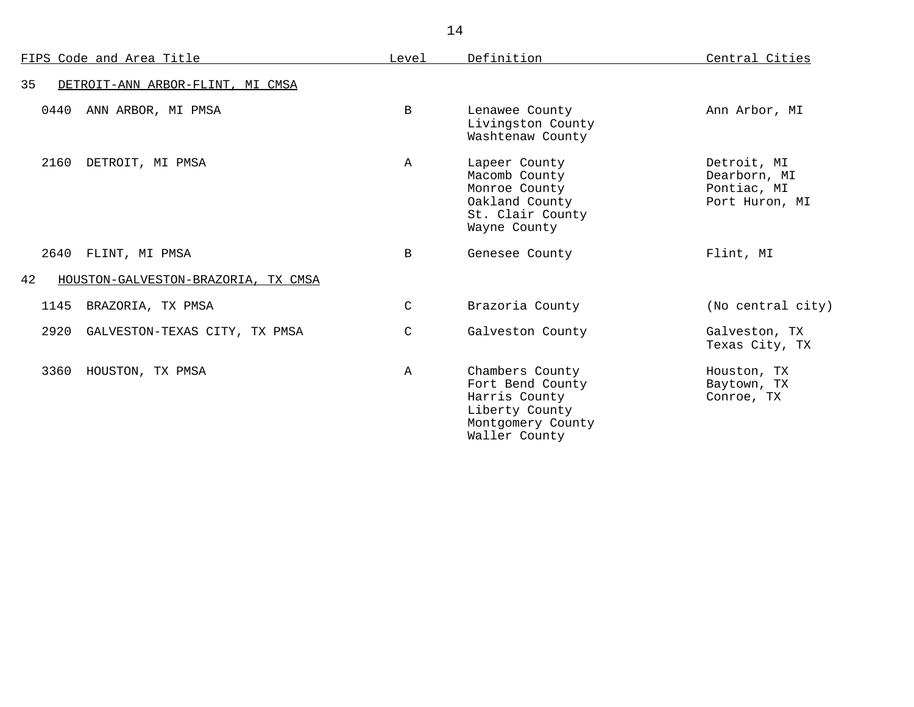|      | FIPS Code and Area Title            | Level         | Definition                                                                                                   | Central Cities                                               |
|------|-------------------------------------|---------------|--------------------------------------------------------------------------------------------------------------|--------------------------------------------------------------|
| 35   | DETROIT-ANN ARBOR-FLINT, MI CMSA    |               |                                                                                                              |                                                              |
| 0440 | ANN ARBOR, MI PMSA                  | $\mathbf B$   | Lenawee County<br>Livingston County<br>Washtenaw County                                                      | Ann Arbor, MI                                                |
| 2160 | DETROIT, MI PMSA                    | $\mathbb{A}$  | Lapeer County<br>Macomb County<br>Monroe County<br>Oakland County<br>St. Clair County<br>Wayne County        | Detroit, MI<br>Dearborn, MI<br>Pontiac, MI<br>Port Huron, MI |
| 2640 | FLINT, MI PMSA                      | <sub>B</sub>  | Genesee County                                                                                               | Flint, MI                                                    |
| 42   | HOUSTON-GALVESTON-BRAZORIA, TX CMSA |               |                                                                                                              |                                                              |
| 1145 | BRAZORIA, TX PMSA                   | $\mathcal{C}$ | Brazoria County                                                                                              | (No central city)                                            |
| 2920 | GALVESTON-TEXAS CITY, TX PMSA       | $\mathsf{C}$  | Galveston County                                                                                             | Galveston, TX<br>Texas City, TX                              |
| 3360 | HOUSTON, TX PMSA                    | A             | Chambers County<br>Fort Bend County<br>Harris County<br>Liberty County<br>Montgomery County<br>Waller County | Houston, TX<br>Baytown, TX<br>Conroe, TX                     |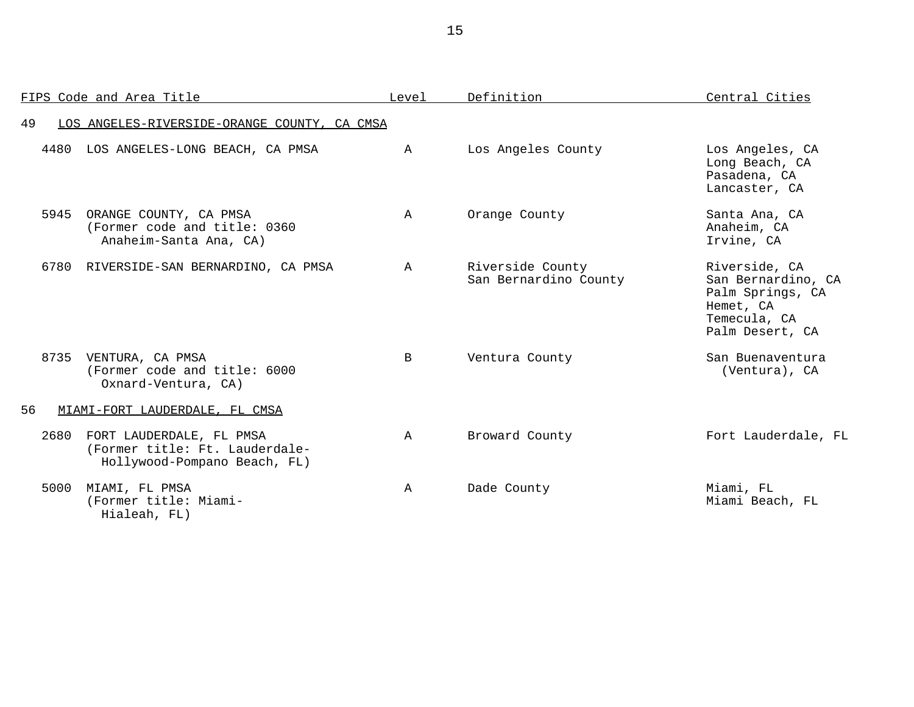|      | FIPS Code and Area Title                                                                   | Level        | Definition                                | Central Cities                                                                                          |
|------|--------------------------------------------------------------------------------------------|--------------|-------------------------------------------|---------------------------------------------------------------------------------------------------------|
| 49   | LOS ANGELES-RIVERSIDE-ORANGE COUNTY, CA CMSA                                               |              |                                           |                                                                                                         |
| 4480 | LOS ANGELES-LONG BEACH, CA PMSA                                                            | $\mathbb A$  | Los Angeles County                        | Los Angeles, CA<br>Long Beach, CA<br>Pasadena, CA<br>Lancaster, CA                                      |
| 5945 | ORANGE COUNTY, CA PMSA<br>(Former code and title: 0360<br>Anaheim-Santa Ana, CA)           | $\mathbb A$  | Orange County                             | Santa Ana, CA<br>Anaheim, CA<br>Irvine, CA                                                              |
|      | 6780 RIVERSIDE-SAN BERNARDINO, CA PMSA                                                     | $\mathbf{A}$ | Riverside County<br>San Bernardino County | Riverside, CA<br>San Bernardino, CA<br>Palm Springs, CA<br>Hemet, CA<br>Temecula, CA<br>Palm Desert, CA |
|      | 8735 VENTURA, CA PMSA<br>(Former code and title: 6000<br>Oxnard-Ventura, CA)               | $\mathbf{B}$ | Ventura County                            | San Buenaventura<br>(Ventura), CA                                                                       |
| 56   | MIAMI-FORT LAUDERDALE, FL CMSA                                                             |              |                                           |                                                                                                         |
| 2680 | FORT LAUDERDALE, FL PMSA<br>(Former title: Ft. Lauderdale-<br>Hollywood-Pompano Beach, FL) | $\mathbb{A}$ | Broward County                            | Fort Lauderdale, FL                                                                                     |
| 5000 | MIAMI, FL PMSA<br>(Former title: Miami-<br>Hialeah, FL)                                    | $\mathbb A$  | Dade County                               | Miami, FL<br>Miami Beach, FL                                                                            |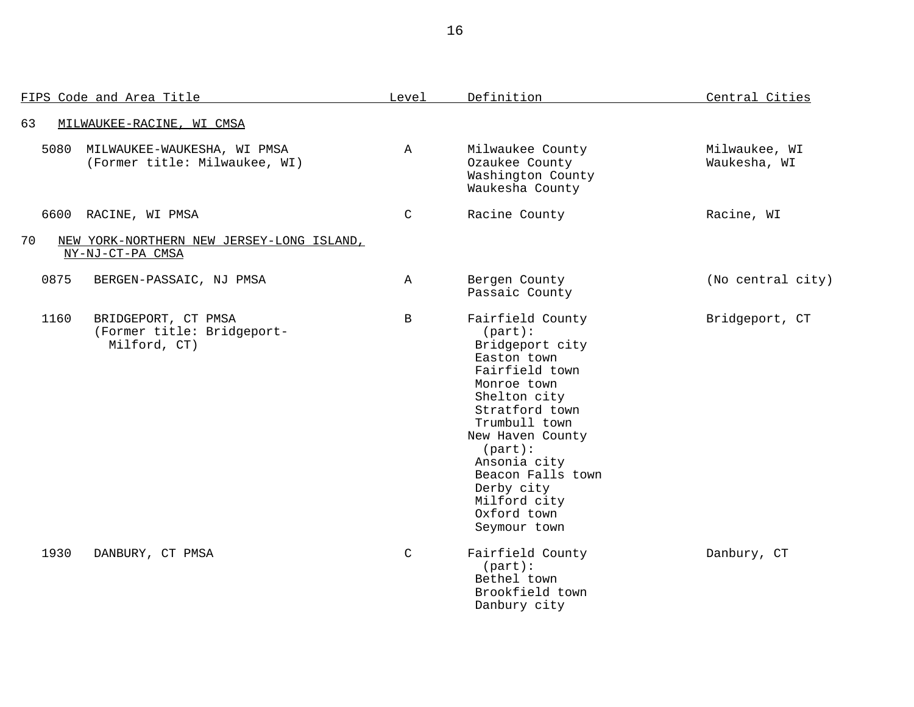|      | FIPS Code and Area Title                                          | Level        | Definition                                                                                                                                                                                                                                                                               | Central Cities                |  |
|------|-------------------------------------------------------------------|--------------|------------------------------------------------------------------------------------------------------------------------------------------------------------------------------------------------------------------------------------------------------------------------------------------|-------------------------------|--|
| 63   | MILWAUKEE-RACINE, WI CMSA                                         |              |                                                                                                                                                                                                                                                                                          |                               |  |
| 5080 | MILWAUKEE-WAUKESHA, WI PMSA<br>(Former title: Milwaukee, WI)      | $\mathbb A$  | Milwaukee County<br>Ozaukee County<br>Washington County<br>Waukesha County                                                                                                                                                                                                               | Milwaukee, WI<br>Waukesha, WI |  |
|      | 6600 RACINE, WI PMSA                                              | $\mathsf{C}$ | Racine County                                                                                                                                                                                                                                                                            | Racine, WI                    |  |
| 70   | NEW YORK-NORTHERN NEW JERSEY-LONG ISLAND,<br>NY-NJ-CT-PA CMSA     |              |                                                                                                                                                                                                                                                                                          |                               |  |
| 0875 | BERGEN-PASSAIC, NJ PMSA                                           | $\mathbb A$  | Bergen County<br>Passaic County                                                                                                                                                                                                                                                          | (No central city)             |  |
| 1160 | BRIDGEPORT, CT PMSA<br>(Former title: Bridgeport-<br>Milford, CT) | B            | Fairfield County<br>$(part)$ :<br>Bridgeport city<br>Easton town<br>Fairfield town<br>Monroe town<br>Shelton city<br>Stratford town<br>Trumbull town<br>New Haven County<br>$(part)$ :<br>Ansonia city<br>Beacon Falls town<br>Derby city<br>Milford city<br>Oxford town<br>Seymour town | Bridgeport, CT                |  |
| 1930 | DANBURY, CT PMSA                                                  | $\mathsf{C}$ | Fairfield County<br>$(part)$ :<br>Bethel town<br>Brookfield town<br>Danbury city                                                                                                                                                                                                         | Danbury, CT                   |  |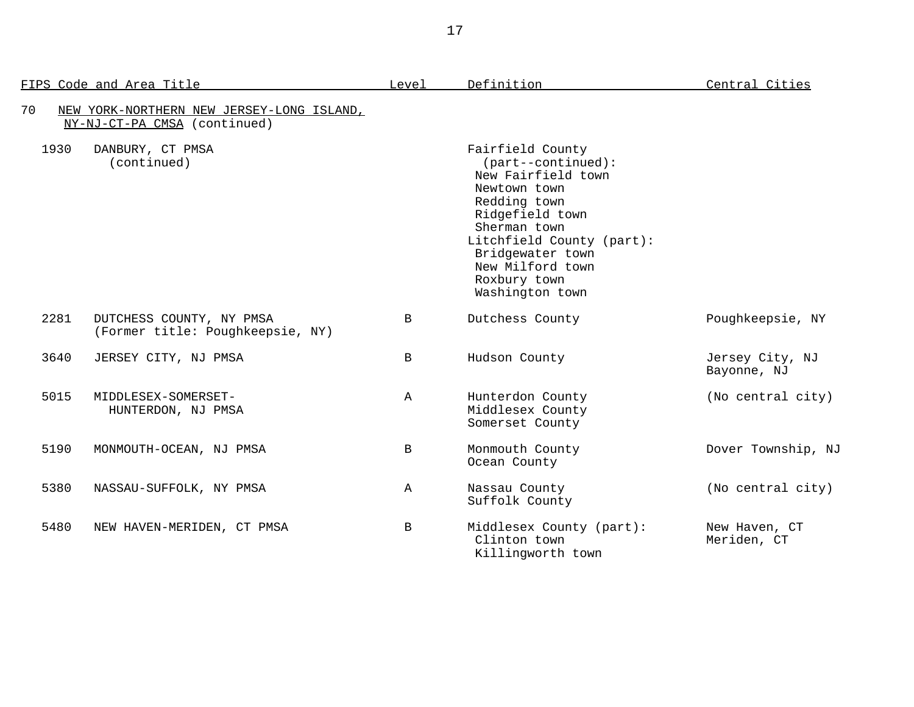| FIPS Code and Area Title                                                        | Level        | Definition                                                                                                                                                                                                                                | Central Cities                 |
|---------------------------------------------------------------------------------|--------------|-------------------------------------------------------------------------------------------------------------------------------------------------------------------------------------------------------------------------------------------|--------------------------------|
| 70<br>NEW YORK-NORTHERN NEW JERSEY-LONG ISLAND,<br>NY-NJ-CT-PA CMSA (continued) |              |                                                                                                                                                                                                                                           |                                |
| 1930<br>DANBURY, CT PMSA<br>(continued)                                         |              | Fairfield County<br>$(part--continued):$<br>New Fairfield town<br>Newtown town<br>Redding town<br>Ridgefield town<br>Sherman town<br>Litchfield County (part):<br>Bridgewater town<br>New Milford town<br>Roxbury town<br>Washington town |                                |
| 2281<br>DUTCHESS COUNTY, NY PMSA<br>(Former title: Poughkeepsie, NY)            | $\mathbf{B}$ | Dutchess County                                                                                                                                                                                                                           | Poughkeepsie, NY               |
| 3640<br>JERSEY CITY, NJ PMSA                                                    | $\mathbf B$  | Hudson County                                                                                                                                                                                                                             | Jersey City, NJ<br>Bayonne, NJ |
| 5015<br>MIDDLESEX-SOMERSET-<br>HUNTERDON, NJ PMSA                               | $\mathbb A$  | Hunterdon County<br>Middlesex County<br>Somerset County                                                                                                                                                                                   | (No central city)              |
| 5190<br>MONMOUTH-OCEAN, NJ PMSA                                                 | B            | Monmouth County<br>Ocean County                                                                                                                                                                                                           | Dover Township, NJ             |
| 5380<br>NASSAU-SUFFOLK, NY PMSA                                                 | $\mathbb{A}$ | Nassau County<br>Suffolk County                                                                                                                                                                                                           | (No central city)              |
| 5480<br>NEW HAVEN-MERIDEN, CT PMSA                                              | $\mathbf{B}$ | Middlesex County (part):<br>Clinton town<br>Killingworth town                                                                                                                                                                             | New Haven, CT<br>Meriden, CT   |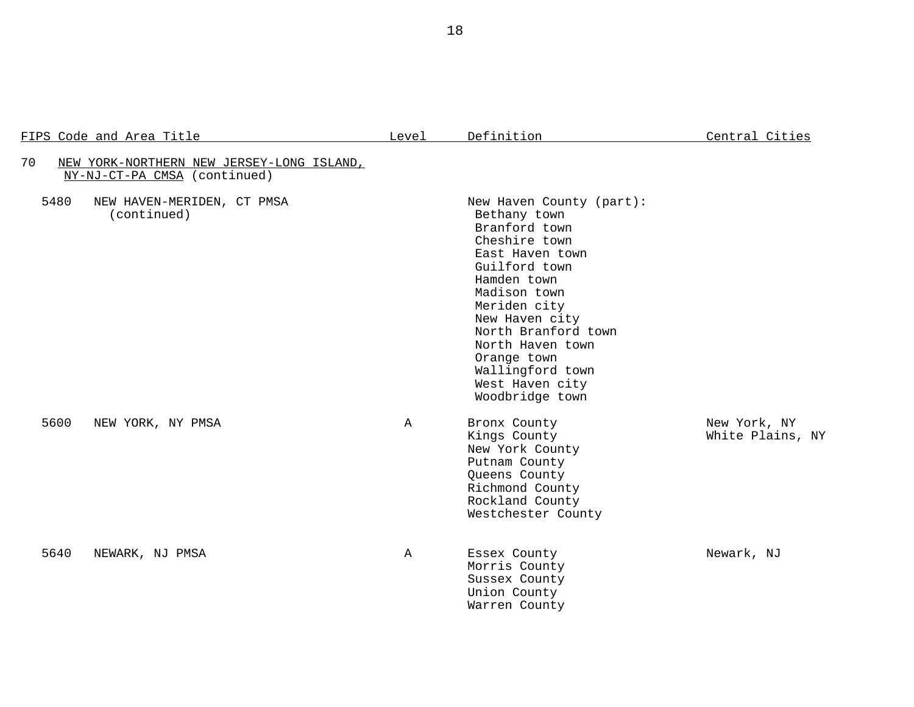## FIPS Code and Area Title **Level** Definition **Central Cities**

| 70   | NEW YORK-NORTHERN NEW JERSEY-LONG ISLAND,<br>NY-NJ-CT-PA CMSA (continued) |             |                                                                                                                                                                                                                                                                                                     |                                  |
|------|---------------------------------------------------------------------------|-------------|-----------------------------------------------------------------------------------------------------------------------------------------------------------------------------------------------------------------------------------------------------------------------------------------------------|----------------------------------|
| 5480 | NEW HAVEN-MERIDEN, CT PMSA<br>(continued)                                 |             | New Haven County (part):<br>Bethany town<br>Branford town<br>Cheshire town<br>East Haven town<br>Guilford town<br>Hamden town<br>Madison town<br>Meriden city<br>New Haven city<br>North Branford town<br>North Haven town<br>Orange town<br>Wallingford town<br>West Haven city<br>Woodbridge town |                                  |
| 5600 | NEW YORK, NY PMSA                                                         | $\mathbb A$ | Bronx County<br>Kings County<br>New York County<br>Putnam County<br>Queens County<br>Richmond County<br>Rockland County<br>Westchester County                                                                                                                                                       | New York, NY<br>White Plains, NY |
| 5640 | NEWARK, NJ PMSA                                                           | $\mathbb A$ | Essex County<br>Morris County<br>Sussex County<br>Union County<br>Warren County                                                                                                                                                                                                                     | Newark, NJ                       |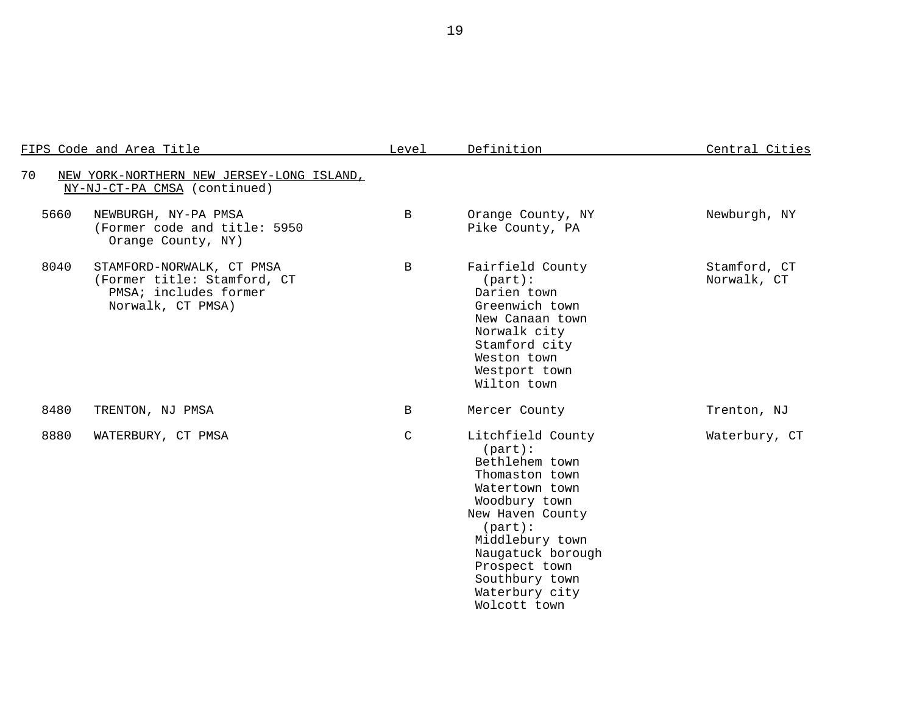| FIPS Code and Area Title                                                                                       | Level        | Definition                                                                                                                                                                                                                                            | Central Cities              |
|----------------------------------------------------------------------------------------------------------------|--------------|-------------------------------------------------------------------------------------------------------------------------------------------------------------------------------------------------------------------------------------------------------|-----------------------------|
| 70<br>NEW YORK-NORTHERN NEW JERSEY-LONG ISLAND,<br>NY-NJ-CT-PA CMSA (continued)                                |              |                                                                                                                                                                                                                                                       |                             |
| 5660<br>NEWBURGH, NY-PA PMSA<br>(Former code and title: 5950<br>Orange County, NY)                             | $\mathbf{B}$ | Orange County, NY<br>Pike County, PA                                                                                                                                                                                                                  | Newburgh, NY                |
| 8040<br>STAMFORD-NORWALK, CT PMSA<br>(Former title: Stamford, CT<br>PMSA; includes former<br>Norwalk, CT PMSA) | $\mathbf{B}$ | Fairfield County<br>$(part)$ :<br>Darien town<br>Greenwich town<br>New Canaan town<br>Norwalk city<br>Stamford city<br>Weston town<br>Westport town<br>Wilton town                                                                                    | Stamford, CT<br>Norwalk, CT |
| 8480<br>TRENTON, NJ PMSA                                                                                       | $\mathbf{B}$ | Mercer County                                                                                                                                                                                                                                         | Trenton, NJ                 |
| 8880<br>WATERBURY, CT PMSA                                                                                     | $\mathsf C$  | Litchfield County<br>$(part)$ :<br>Bethlehem town<br>Thomaston town<br>Watertown town<br>Woodbury town<br>New Haven County<br>$(part)$ :<br>Middlebury town<br>Naugatuck borough<br>Prospect town<br>Southbury town<br>Waterbury city<br>Wolcott town | Waterbury, CT               |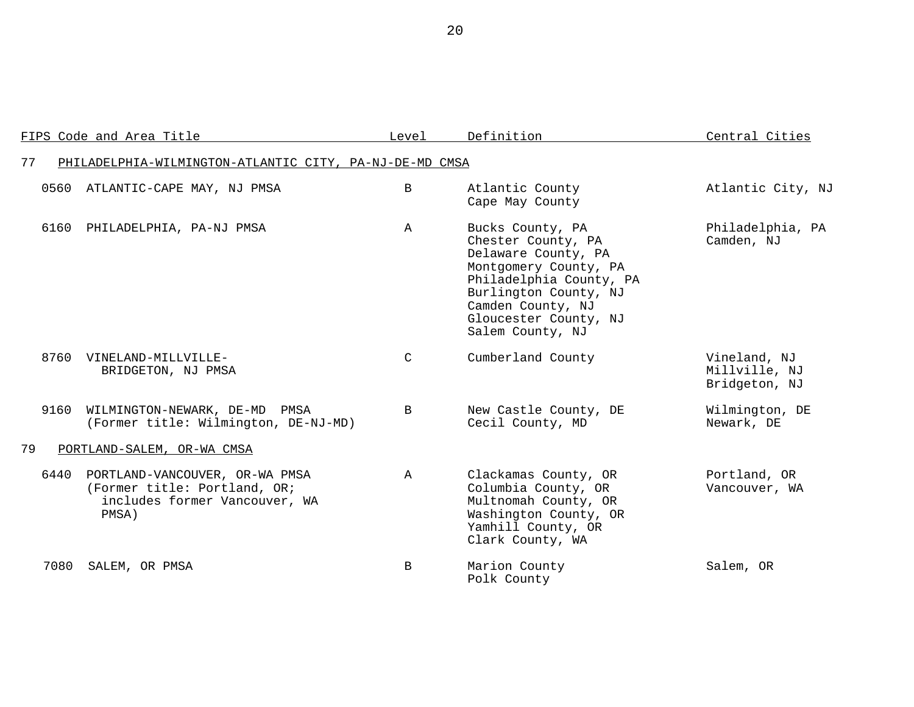|      | FIPS Code and Area Title                                                                                 | Level        | Definition                                                                                                                                                                                                   | Central Cities                                 |
|------|----------------------------------------------------------------------------------------------------------|--------------|--------------------------------------------------------------------------------------------------------------------------------------------------------------------------------------------------------------|------------------------------------------------|
| 77   | PHILADELPHIA-WILMINGTON-ATLANTIC CITY, PA-NJ-DE-MD CMSA                                                  |              |                                                                                                                                                                                                              |                                                |
|      | 0560 ATLANTIC-CAPE MAY, NJ PMSA                                                                          | $\mathbf{B}$ | Atlantic County<br>Cape May County                                                                                                                                                                           | Atlantic City, NJ                              |
| 6160 | PHILADELPHIA, PA-NJ PMSA                                                                                 | $\mathbb{A}$ | Bucks County, PA<br>Chester County, PA<br>Delaware County, PA<br>Montgomery County, PA<br>Philadelphia County, PA<br>Burlington County, NJ<br>Camden County, NJ<br>Gloucester County, NJ<br>Salem County, NJ | Philadelphia, PA<br>Camden, NJ                 |
| 8760 | VINELAND-MILLVILLE-<br>BRIDGETON, NJ PMSA                                                                | $\mathsf{C}$ | Cumberland County                                                                                                                                                                                            | Vineland, NJ<br>Millville, NJ<br>Bridgeton, NJ |
| 9160 | WILMINGTON-NEWARK, DE-MD PMSA<br>(Former title: Wilmington, DE-NJ-MD)                                    | B            | New Castle County, DE<br>Cecil County, MD                                                                                                                                                                    | Wilmington, DE<br>Newark, DE                   |
| 79   | PORTLAND-SALEM, OR-WA CMSA                                                                               |              |                                                                                                                                                                                                              |                                                |
| 6440 | PORTLAND-VANCOUVER, OR-WA PMSA<br>(Former title: Portland, OR;<br>includes former Vancouver, WA<br>PMSA) | $\mathbb{A}$ | Clackamas County, OR<br>Columbia County, OR<br>Multnomah County, OR<br>Washington County, OR<br>Yamhill County, OR<br>Clark County, WA                                                                       | Portland, OR<br>Vancouver, WA                  |
| 7080 | SALEM, OR PMSA                                                                                           | B            | Marion County<br>Polk County                                                                                                                                                                                 | Salem, OR                                      |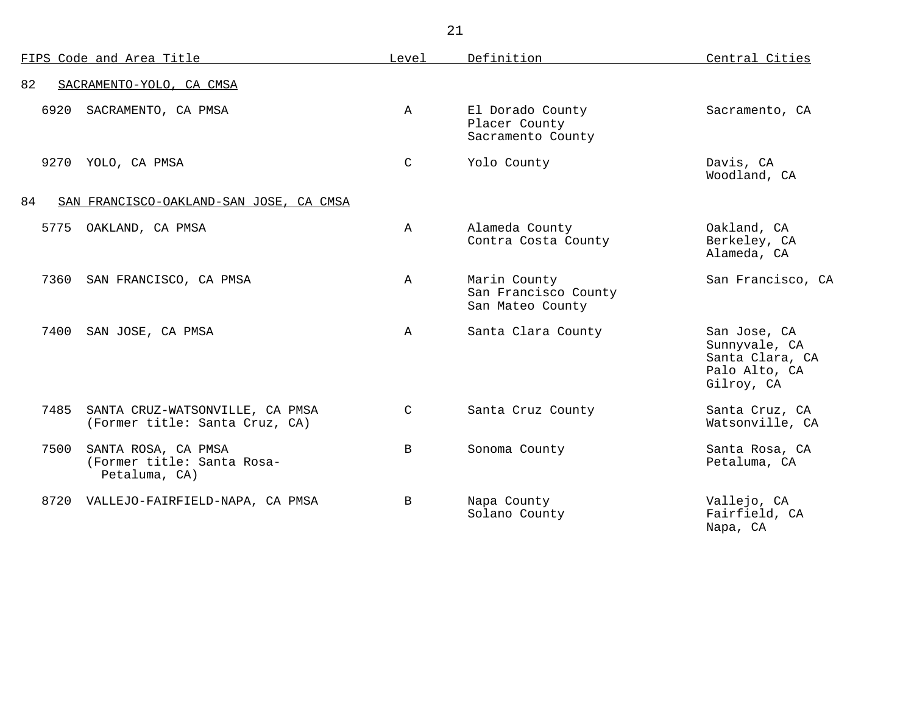| FIPS Code and Area Title                                                   | Level        | Definition                                               | Central Cities                                                                  |
|----------------------------------------------------------------------------|--------------|----------------------------------------------------------|---------------------------------------------------------------------------------|
| 82<br>SACRAMENTO-YOLO, CA CMSA                                             |              |                                                          |                                                                                 |
| 6920<br>SACRAMENTO, CA PMSA                                                | $\mathbb{A}$ | El Dorado County<br>Placer County<br>Sacramento County   | Sacramento, CA                                                                  |
| 9270 YOLO, CA PMSA                                                         | $\mathsf{C}$ | Yolo County                                              | Davis, CA<br>Woodland, CA                                                       |
| 84<br>SAN FRANCISCO-OAKLAND-SAN JOSE, CA CMSA                              |              |                                                          |                                                                                 |
| 5775<br>OAKLAND, CA PMSA                                                   | $\mathbf{A}$ | Alameda County<br>Contra Costa County                    | Oakland, CA<br>Berkeley, CA<br>Alameda, CA                                      |
| 7360<br>SAN FRANCISCO, CA PMSA                                             | $\mathbb{A}$ | Marin County<br>San Francisco County<br>San Mateo County | San Francisco, CA                                                               |
| 7400<br>SAN JOSE, CA PMSA                                                  | $\mathbf{A}$ | Santa Clara County                                       | San Jose, CA<br>Sunnyvale, CA<br>Santa Clara, CA<br>Palo Alto, CA<br>Gilroy, CA |
| 7485<br>SANTA CRUZ-WATSONVILLE, CA PMSA<br>(Former title: Santa Cruz, CA)  | $\mathsf{C}$ | Santa Cruz County                                        | Santa Cruz, CA<br>Watsonville, CA                                               |
| 7500<br>SANTA ROSA, CA PMSA<br>(Former title: Santa Rosa-<br>Petaluma, CA) | $\mathbf{B}$ | Sonoma County                                            | Santa Rosa, CA<br>Petaluma, CA                                                  |
| 8720 VALLEJO-FAIRFIELD-NAPA, CA PMSA                                       | B            | Napa County<br>Solano County                             | Vallejo, CA<br>Fairfield, CA<br>Napa, CA                                        |

21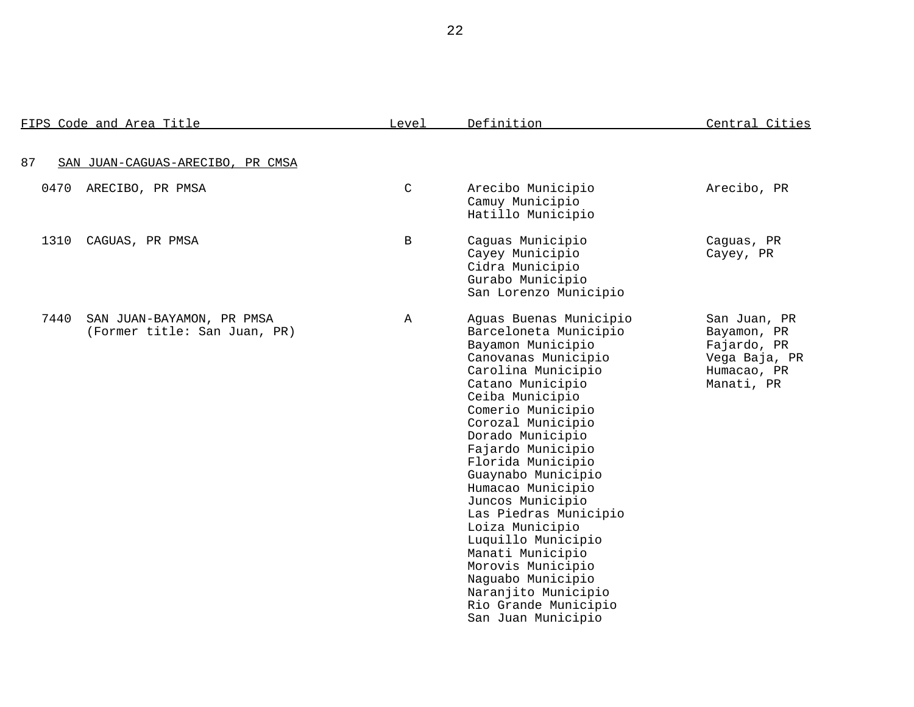|      | FIPS Code and Area Title                                  | Level         | Definition                                                                                                                                                                                                                                                                                                                                                                                                                                                                                                                           | Central Cities                                                                           |
|------|-----------------------------------------------------------|---------------|--------------------------------------------------------------------------------------------------------------------------------------------------------------------------------------------------------------------------------------------------------------------------------------------------------------------------------------------------------------------------------------------------------------------------------------------------------------------------------------------------------------------------------------|------------------------------------------------------------------------------------------|
| 87   | SAN JUAN-CAGUAS-ARECIBO, PR CMSA                          |               |                                                                                                                                                                                                                                                                                                                                                                                                                                                                                                                                      |                                                                                          |
| 0470 | ARECIBO, PR PMSA                                          | $\mathcal{C}$ | Arecibo Municipio<br>Camuy Municipio<br>Hatillo Municipio                                                                                                                                                                                                                                                                                                                                                                                                                                                                            | Arecibo, PR                                                                              |
| 1310 | CAGUAS, PR PMSA                                           | B             | Caguas Municipio<br>Cayey Municipio<br>Cidra Municipio<br>Gurabo Municipio<br>San Lorenzo Municipio                                                                                                                                                                                                                                                                                                                                                                                                                                  | Caguas, PR<br>Cayey, PR                                                                  |
| 7440 | SAN JUAN-BAYAMON, PR PMSA<br>(Former title: San Juan, PR) | $\mathbb{A}$  | Aguas Buenas Municipio<br>Barceloneta Municipio<br>Bayamon Municipio<br>Canovanas Municipio<br>Carolina Municipio<br>Catano Municipio<br>Ceiba Municipio<br>Comerio Municipio<br>Corozal Municipio<br>Dorado Municipio<br>Fajardo Municipio<br>Florida Municipio<br>Guaynabo Municipio<br>Humacao Municipio<br>Juncos Municipio<br>Las Piedras Municipio<br>Loiza Municipio<br>Luquillo Municipio<br>Manati Municipio<br>Morovis Municipio<br>Naguabo Municipio<br>Naranjito Municipio<br>Rio Grande Municipio<br>San Juan Municipio | San Juan, PR<br>Bayamon, PR<br>Fajardo, PR<br>Vega Baja, PR<br>Humacao, PR<br>Manati, PR |

22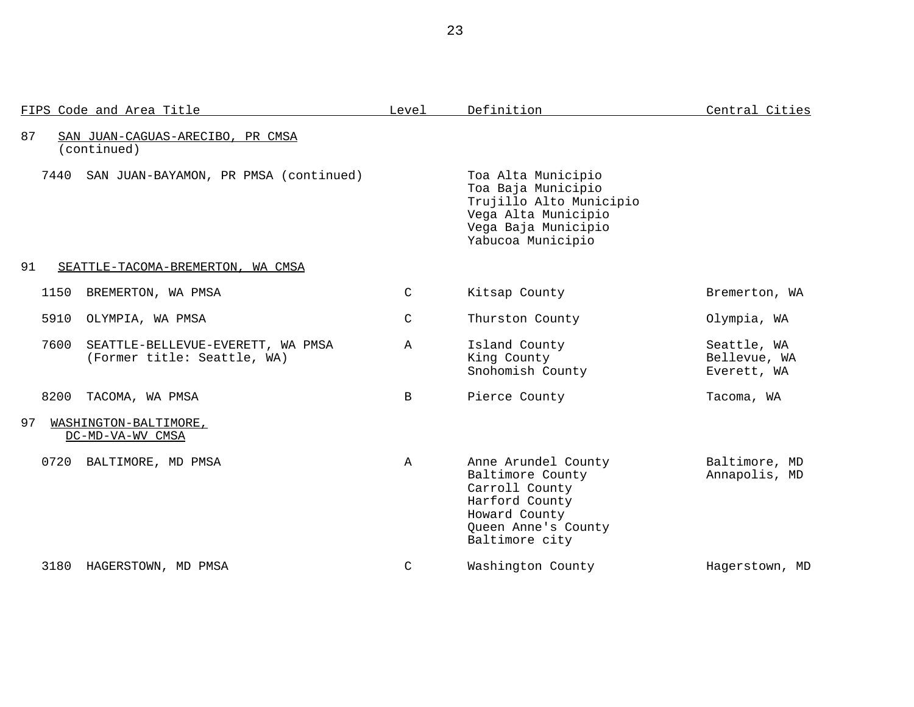|      | FIPS Code and Area Title                                         | Level         | Definition                                                                                                                             | Central Cities                             |
|------|------------------------------------------------------------------|---------------|----------------------------------------------------------------------------------------------------------------------------------------|--------------------------------------------|
| 87   | SAN JUAN-CAGUAS-ARECIBO, PR CMSA<br>(continued)                  |               |                                                                                                                                        |                                            |
| 7440 | SAN JUAN-BAYAMON, PR PMSA (continued)                            |               | Toa Alta Municipio<br>Toa Baja Municipio<br>Trujillo Alto Municipio<br>Vega Alta Municipio<br>Vega Baja Municipio<br>Yabucoa Municipio |                                            |
| 91   | SEATTLE-TACOMA-BREMERTON, WA CMSA                                |               |                                                                                                                                        |                                            |
| 1150 | BREMERTON, WA PMSA                                               | $\mathcal{C}$ | Kitsap County                                                                                                                          | Bremerton, WA                              |
| 5910 | OLYMPIA, WA PMSA                                                 | $\mathcal{C}$ | Thurston County                                                                                                                        | Olympia, WA                                |
| 7600 | SEATTLE-BELLEVUE-EVERETT, WA PMSA<br>(Former title: Seattle, WA) | A             | Island County<br>King County<br>Snohomish County                                                                                       | Seattle, WA<br>Bellevue, WA<br>Everett, WA |
| 8200 | TACOMA, WA PMSA                                                  | $\mathbf{B}$  | Pierce County                                                                                                                          | Tacoma, WA                                 |
| 97   | WASHINGTON-BALTIMORE,<br>DC-MD-VA-WV CMSA                        |               |                                                                                                                                        |                                            |
| 0720 | BALTIMORE, MD PMSA                                               | A             | Anne Arundel County<br>Baltimore County<br>Carroll County<br>Harford County<br>Howard County<br>Queen Anne's County<br>Baltimore city  | Baltimore, MD<br>Annapolis, MD             |
| 3180 | HAGERSTOWN, MD PMSA                                              | C             | Washington County                                                                                                                      | Hagerstown, MD                             |

23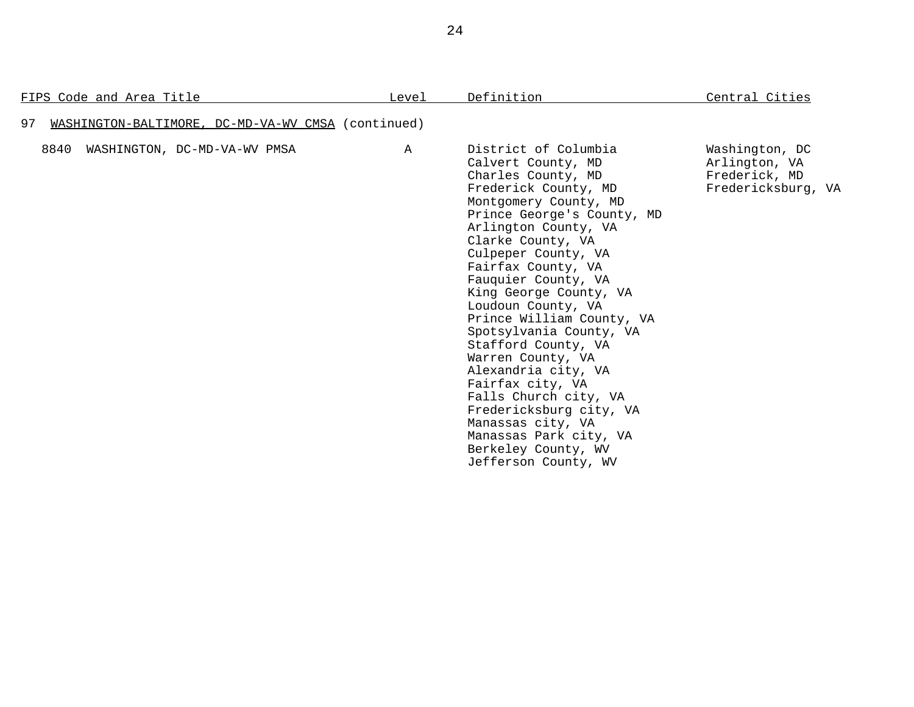| FIPS Code and Area Title                                 | Level        | Definition                                                                                                                                                                                                                                                                                                                                                                                                                                                                                                                                                                                                        | Central Cities                                                         |
|----------------------------------------------------------|--------------|-------------------------------------------------------------------------------------------------------------------------------------------------------------------------------------------------------------------------------------------------------------------------------------------------------------------------------------------------------------------------------------------------------------------------------------------------------------------------------------------------------------------------------------------------------------------------------------------------------------------|------------------------------------------------------------------------|
| 97<br>WASHINGTON-BALTIMORE, DC-MD-VA-WV CMSA (continued) |              |                                                                                                                                                                                                                                                                                                                                                                                                                                                                                                                                                                                                                   |                                                                        |
| 8840<br>WASHINGTON, DC-MD-VA-WV PMSA                     | $\mathbb{A}$ | District of Columbia<br>Calvert County, MD<br>Charles County, MD<br>Frederick County, MD<br>Montgomery County, MD<br>Prince George's County, MD<br>Arlington County, VA<br>Clarke County, VA<br>Culpeper County, VA<br>Fairfax County, VA<br>Fauquier County, VA<br>King George County, VA<br>Loudoun County, VA<br>Prince William County, VA<br>Spotsylvania County, VA<br>Stafford County, VA<br>Warren County, VA<br>Alexandria city, VA<br>Fairfax city, VA<br>Falls Church city, VA<br>Fredericksburg city, VA<br>Manassas city, VA<br>Manassas Park city, VA<br>Berkeley County, WV<br>Jefferson County, WV | Washington, DC<br>Arlington, VA<br>Frederick, MD<br>Fredericksburg, VA |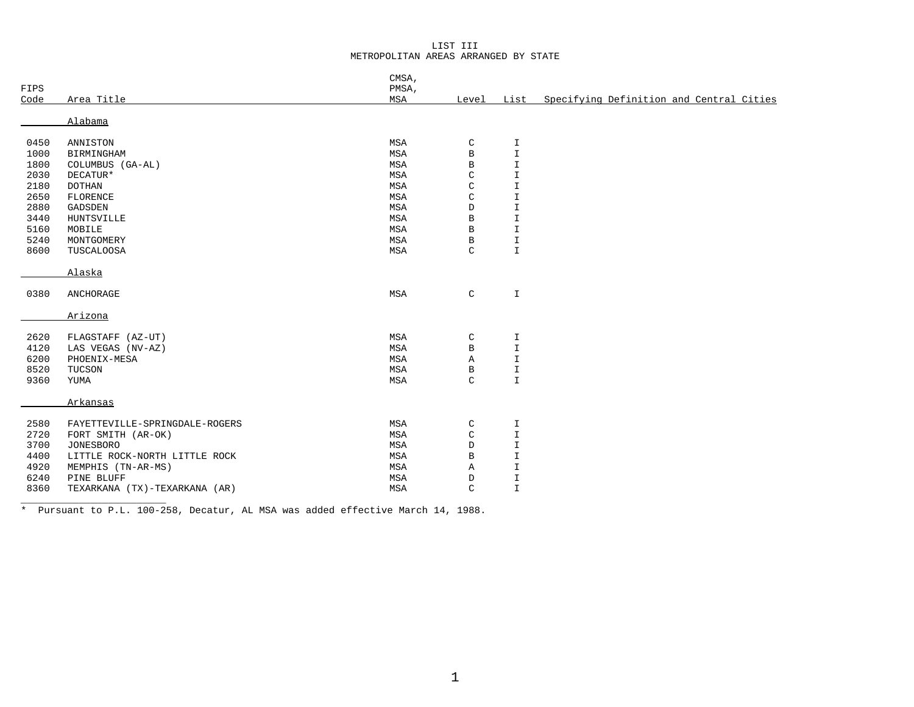## LIST III METROPOLITAN AREAS ARRANGED BY STATE

| FIPS |                                | CMSA,<br>PMSA, |              |               |                                          |
|------|--------------------------------|----------------|--------------|---------------|------------------------------------------|
| Code | Area Title                     | MSA            | Level        | List          | Specifying Definition and Central Cities |
|      | Alabama                        |                |              |               |                                          |
| 0450 | ANNISTON                       | MSA            | C            | I             |                                          |
| 1000 | BIRMINGHAM                     | MSA            | В            | $\mathbf T$   |                                          |
| 1800 | COLUMBUS (GA-AL)               | MSA            | В            | $\mathbbm{I}$ |                                          |
| 2030 | DECATUR*                       | MSA            | $\mathsf C$  | $\mathbf T$   |                                          |
| 2180 | <b>DOTHAN</b>                  | MSA            | $\mathsf C$  | I             |                                          |
| 2650 | FLORENCE                       | MSA            | $\mathsf C$  | I             |                                          |
| 2880 | GADSDEN                        | MSA            | D            | I             |                                          |
| 3440 | HUNTSVILLE                     | MSA            | $\, {\bf B}$ | I             |                                          |
| 5160 | MOBILE                         | MSA            | $\, {\bf B}$ | I             |                                          |
| 5240 | MONTGOMERY                     | MSA            | $\, {\bf B}$ | I             |                                          |
| 8600 | TUSCALOOSA                     | MSA            | C            | $\mathbb{I}$  |                                          |
|      | Alaska                         |                |              |               |                                          |
| 0380 | ANCHORAGE                      | MSA            | $\mathsf C$  | I             |                                          |
|      | Arizona                        |                |              |               |                                          |
| 2620 | FLAGSTAFF (AZ-UT)              | MSA            | C            | I             |                                          |
| 4120 | LAS VEGAS (NV-AZ)              | MSA            | В            | $\mathbbm{I}$ |                                          |
| 6200 | PHOENIX-MESA                   | MSA            | Α            | I             |                                          |
| 8520 | TUCSON                         | MSA            | $\, {\bf B}$ | I             |                                          |
| 9360 | YUMA                           | MSA            | $\mathsf{C}$ | $\mathbb{I}$  |                                          |
|      | Arkansas                       |                |              |               |                                          |
| 2580 | FAYETTEVILLE-SPRINGDALE-ROGERS | MSA            | $\mathsf C$  | I             |                                          |
| 2720 | FORT SMITH (AR-OK)             | MSA            | $\mathsf C$  | $\mathbf T$   |                                          |
| 3700 | <b>JONESBORO</b>               | MSA            | D            | I.            |                                          |
| 4400 | LITTLE ROCK-NORTH LITTLE ROCK  | MSA            | $\, {\bf B}$ | I             |                                          |
| 4920 | MEMPHIS (TN-AR-MS)             | MSA            | Α            | I             |                                          |
| 6240 | PINE BLUFF                     | MSA            | D            | I             |                                          |
| 8360 | TEXARKANA (TX)-TEXARKANA (AR)  | MSA            | C            | $\mathbbm{I}$ |                                          |

\* Pursuant to P.L. 100-258, Decatur, AL MSA was added effective March 14, 1988.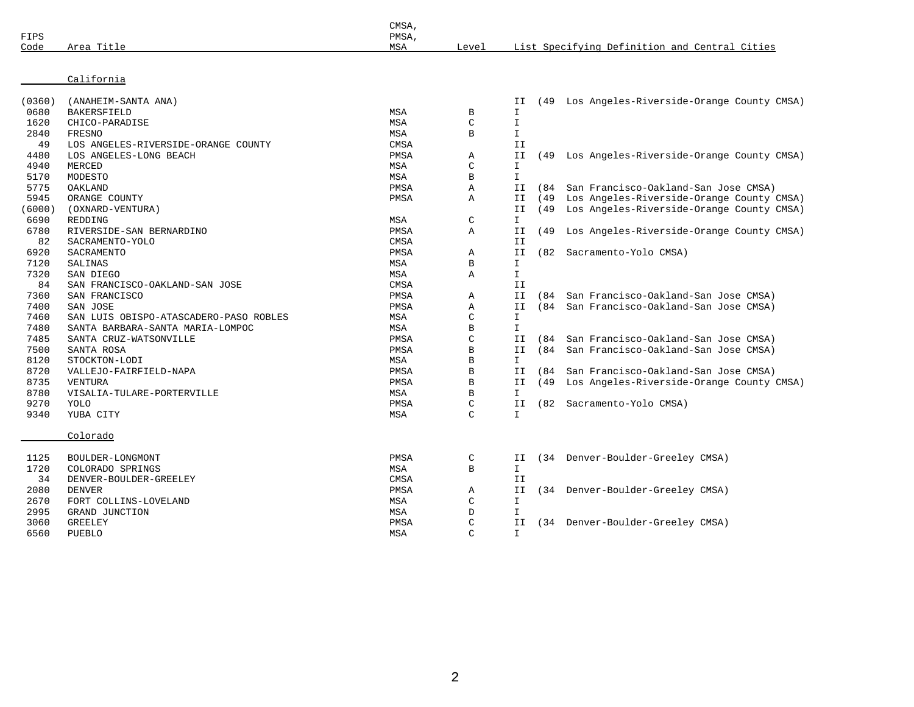| FIPS<br>Code | Area Title                             | CMSA,<br>PMSA,<br>MSA | Level         |               |      | List Specifying Definition and Central Cities |
|--------------|----------------------------------------|-----------------------|---------------|---------------|------|-----------------------------------------------|
|              |                                        |                       |               |               |      |                                               |
|              | California                             |                       |               |               |      |                                               |
| (0360)       | (ANAHEIM-SANTA ANA)                    |                       |               | ΙI            |      | (49 Los Angeles-Riverside-Orange County CMSA) |
| 0680         | <b>BAKERSFIELD</b>                     | MSA                   | B             | I.            |      |                                               |
| 1620         | CHICO-PARADISE                         | MSA                   | $\mathsf{C}$  | $\mathbbm{I}$ |      |                                               |
| 2840         | FRESNO                                 | MSA                   | B             | $\mathbbm{I}$ |      |                                               |
| 49           | LOS ANGELES-RIVERSIDE-ORANGE COUNTY    | <b>CMSA</b>           |               | II            |      |                                               |
| 4480         | LOS ANGELES-LONG BEACH                 | PMSA                  | Α             | II            | (49  | Los Angeles-Riverside-Orange County CMSA)     |
| 4940         | MERCED                                 | <b>MSA</b>            | $\mathsf{C}$  | $\mathbbm{I}$ |      |                                               |
| 5170         | MODESTO                                | MSA                   | B             | $\mathbbm{I}$ |      |                                               |
| 5775         | OAKLAND                                | PMSA                  | Α             | II            | (84  | San Francisco-Oakland-San Jose CMSA)          |
| 5945         | ORANGE COUNTY                          | PMSA                  | Α             | II            | (49  | Los Angeles-Riverside-Orange County CMSA)     |
| (6000)       | (OXNARD-VENTURA)                       |                       |               | II            | (49  | Los Angeles-Riverside-Orange County CMSA)     |
| 6690         | REDDING                                | MSA                   | $\mathsf{C}$  | $\mathbf{I}$  |      |                                               |
| 6780         | RIVERSIDE-SAN BERNARDINO               | PMSA                  | A             | II            | (49  | Los Angeles-Riverside-Orange County CMSA)     |
| 82           | SACRAMENTO-YOLO                        | CMSA                  |               | II            |      |                                               |
| 6920         | SACRAMENTO                             | PMSA                  | Α             | II            | (82  | Sacramento-Yolo CMSA)                         |
| 7120         | SALINAS                                | MSA                   | B             | $\mathbf{I}$  |      |                                               |
| 7320         | SAN DIEGO                              | MSA                   | Α             | I.            |      |                                               |
| 84           | SAN FRANCISCO-OAKLAND-SAN JOSE         | <b>CMSA</b>           |               | II            |      |                                               |
| 7360         | SAN FRANCISCO                          | PMSA                  | Α             | II            | (84  | San Francisco-Oakland-San Jose CMSA)          |
| 7400         | SAN JOSE                               | PMSA                  | A             | II            | (84) | San Francisco-Oakland-San Jose CMSA)          |
| 7460         | SAN LUIS OBISPO-ATASCADERO-PASO ROBLES | MSA                   | $\mathsf{C}$  | I.            |      |                                               |
| 7480         | SANTA BARBARA-SANTA MARIA-LOMPOC       | MSA                   | B             | $\mathbf{I}$  |      |                                               |
| 7485         | SANTA CRUZ-WATSONVILLE                 | PMSA                  | $\mathsf{C}$  | ΙI            | (84  | San Francisco-Oakland-San Jose CMSA)          |
| 7500         | SANTA ROSA                             | PMSA                  | B             | II            | (84) | San Francisco-Oakland-San Jose CMSA)          |
| 8120         | STOCKTON-LODI                          | MSA                   | B             | $\mathbf{I}$  |      |                                               |
| 8720         | VALLEJO-FAIRFIELD-NAPA                 | PMSA                  | $\mathbf B$   | II            | (84) | San Francisco-Oakland-San Jose CMSA)          |
| 8735         | VENTURA                                | PMSA                  | B             | II            | (49  | Los Angeles-Riverside-Orange County CMSA)     |
| 8780         | VISALIA-TULARE-PORTERVILLE             | MSA                   | $\, {\bf B}$  | $\mathbbm{I}$ |      |                                               |
| 9270         | YOLO                                   | PMSA                  | $\mathsf{C}$  | II            |      | (82 Sacramento-Yolo CMSA)                     |
| 9340         | YUBA CITY                              | MSA                   | $\mathcal{C}$ | $\mathbf{I}$  |      |                                               |
|              | Colorado                               |                       |               |               |      |                                               |
| 1125         | BOULDER-LONGMONT                       | PMSA                  | C             | ΙI            |      | (34 Denver-Boulder-Greeley CMSA)              |
| 1720         | COLORADO SPRINGS                       | MSA                   | $\, {\bf B}$  | $\mathbbm{I}$ |      |                                               |
| 34           | DENVER-BOULDER-GREELEY                 | <b>CMSA</b>           |               | ΙI            |      |                                               |
| 2080         | <b>DENVER</b>                          | PMSA                  | Α             | ΙI            |      | (34 Denver-Boulder-Greeley CMSA)              |
| 2670         | FORT COLLINS-LOVELAND                  | MSA                   | C             | I.            |      |                                               |
| 2995         | GRAND JUNCTION                         | MSA                   | D             | $\mathbf{I}$  |      |                                               |
| 3060         | <b>GREELEY</b>                         | PMSA                  | $\mathsf{C}$  | II            |      | (34 Denver-Boulder-Greeley CMSA)              |
| 6560         | <b>PUEBLO</b>                          | MSA                   | $\mathcal{C}$ | $\mathbb{I}$  |      |                                               |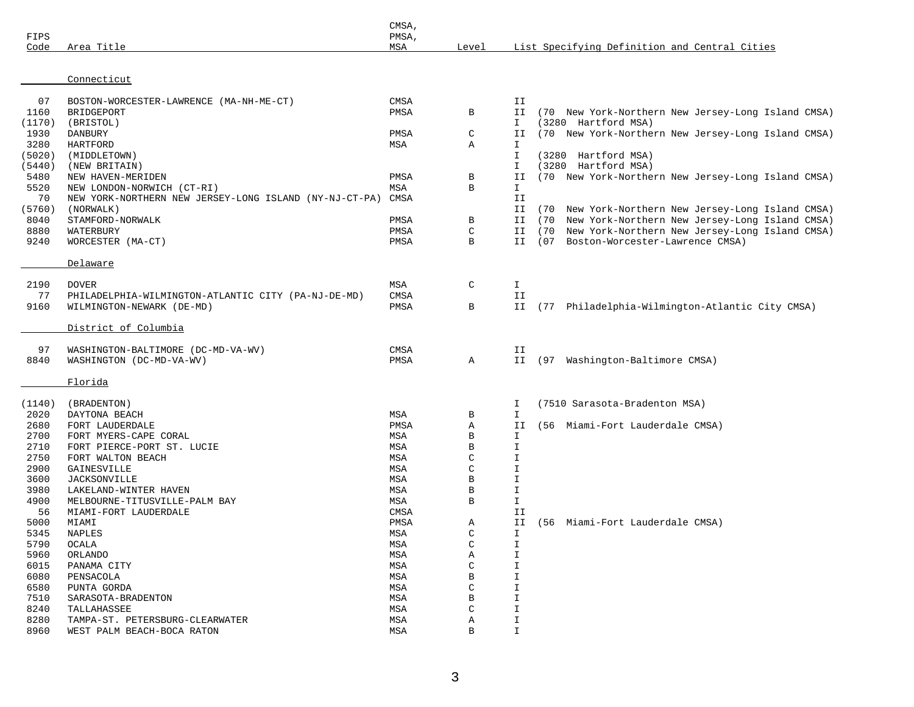| FIPS             |                                                        | CMSA,<br>PMSA,<br>MSA | Level             |                    | List Specifying Definition and Central Cities         |
|------------------|--------------------------------------------------------|-----------------------|-------------------|--------------------|-------------------------------------------------------|
| Code             | Area Title                                             |                       |                   |                    |                                                       |
|                  | Connecticut                                            |                       |                   |                    |                                                       |
| 07               | BOSTON-WORCESTER-LAWRENCE (MA-NH-ME-CT)                | CMSA                  |                   | II                 |                                                       |
| 1160             | BRIDGEPORT                                             | PMSA                  | В                 | II                 | (70 New York-Northern New Jersey-Long Island CMSA)    |
| (1170)           | (BRISTOL)                                              |                       |                   | I.                 | (3280 Hartford MSA)                                   |
| 1930             | DANBURY                                                | PMSA                  | $\mathsf C$       | II                 | (70 New York-Northern New Jersey-Long Island CMSA)    |
| 3280             | HARTFORD                                               | MSA                   | Α                 | I.                 |                                                       |
| (5020)<br>(5440) | (MIDDLETOWN)                                           |                       |                   | I<br>I             | (3280 Hartford MSA)<br>(3280 Hartford MSA)            |
| 5480             | (NEW BRITAIN)<br>NEW HAVEN-MERIDEN                     | PMSA                  | В                 | II                 | (70 New York-Northern New Jersey-Long Island CMSA)    |
| 5520             | NEW LONDON-NORWICH (CT-RI)                             | MSA                   | B                 | I                  |                                                       |
| 70               | NEW YORK-NORTHERN NEW JERSEY-LONG ISLAND (NY-NJ-CT-PA) | CMSA                  |                   | II                 |                                                       |
| (5760)           | (NORWALK)                                              |                       |                   | II                 | (70 New York-Northern New Jersey-Long Island CMSA)    |
| 8040             | STAMFORD-NORWALK                                       | PMSA                  | В                 | II                 | New York-Northern New Jersey-Long Island CMSA)<br>(70 |
| 8880             | WATERBURY                                              | PMSA                  | $\mathsf C$       | II                 | (70 New York-Northern New Jersey-Long Island CMSA)    |
| 9240             | WORCESTER (MA-CT)                                      | PMSA                  | В                 |                    | II (07 Boston-Worcester-Lawrence CMSA)                |
|                  | Delaware                                               |                       |                   |                    |                                                       |
| 2190             | <b>DOVER</b>                                           | MSA                   | $\mathsf{C}$      | Ι.                 |                                                       |
| 77               | PHILADELPHIA-WILMINGTON-ATLANTIC CITY (PA-NJ-DE-MD)    | CMSA                  |                   | II                 |                                                       |
| 9160             | WILMINGTON-NEWARK (DE-MD)                              | PMSA                  | $\, {\bf B}$      |                    | II (77 Philadelphia-Wilmington-Atlantic City CMSA)    |
|                  | District of Columbia                                   |                       |                   |                    |                                                       |
| 97               | WASHINGTON-BALTIMORE (DC-MD-VA-WV)                     | CMSA                  |                   | ΙI                 |                                                       |
| 8840             | WASHINGTON (DC-MD-VA-WV)                               | PMSA                  | Α                 |                    | II (97 Washington-Baltimore CMSA)                     |
|                  | Florida                                                |                       |                   |                    |                                                       |
| (1140)           | (BRADENTON)                                            |                       |                   | I                  | (7510 Sarasota-Bradenton MSA)                         |
| 2020             | DAYTONA BEACH                                          | MSA                   | В                 | I.                 |                                                       |
| 2680             | FORT LAUDERDALE                                        | PMSA                  | Α                 | ΙI                 | (56 Miami-Fort Lauderdale CMSA)                       |
| 2700             | FORT MYERS-CAPE CORAL                                  | MSA                   | B                 | $\mathbf I$        |                                                       |
| 2710             | FORT PIERCE-PORT ST. LUCIE                             | MSA                   | В                 | $\mathbbm{I}$      |                                                       |
| 2750             | FORT WALTON BEACH                                      | MSA                   | C                 | I                  |                                                       |
| 2900             | GAINESVILLE                                            | MSA                   | C                 | I                  |                                                       |
| 3600             | <b>JACKSONVILLE</b>                                    | MSA                   | В                 | I                  |                                                       |
| 3980<br>4900     | LAKELAND-WINTER HAVEN                                  | MSA                   | В<br>$\, {\bf B}$ | I<br>$\mathbbm{1}$ |                                                       |
| 56               | MELBOURNE-TITUSVILLE-PALM BAY<br>MIAMI-FORT LAUDERDALE | MSA<br>CMSA           |                   | ΙI                 |                                                       |
| 5000             | MIAMI                                                  | PMSA                  | Α                 | ΙI                 | (56 Miami-Fort Lauderdale CMSA)                       |
| 5345             | <b>NAPLES</b>                                          | MSA                   | C                 | I                  |                                                       |
| 5790             | OCALA                                                  | MSA                   | C                 | I                  |                                                       |
| 5960             | ORLANDO                                                | MSA                   | Α                 | I                  |                                                       |
| 6015             | PANAMA CITY                                            | MSA                   | C                 | I                  |                                                       |
| 6080             | PENSACOLA                                              | MSA                   | В                 | I                  |                                                       |
| 6580             | PUNTA GORDA                                            | MSA                   | C                 | I                  |                                                       |
| 7510             | SARASOTA-BRADENTON                                     | MSA                   | В                 | I                  |                                                       |
| 8240             | TALLAHASSEE                                            | MSA                   | С                 | I                  |                                                       |
| 8280             | TAMPA-ST. PETERSBURG-CLEARWATER                        | MSA                   | Α                 | I                  |                                                       |
| 8960             | WEST PALM BEACH-BOCA RATON                             | MSA                   | B                 | I                  |                                                       |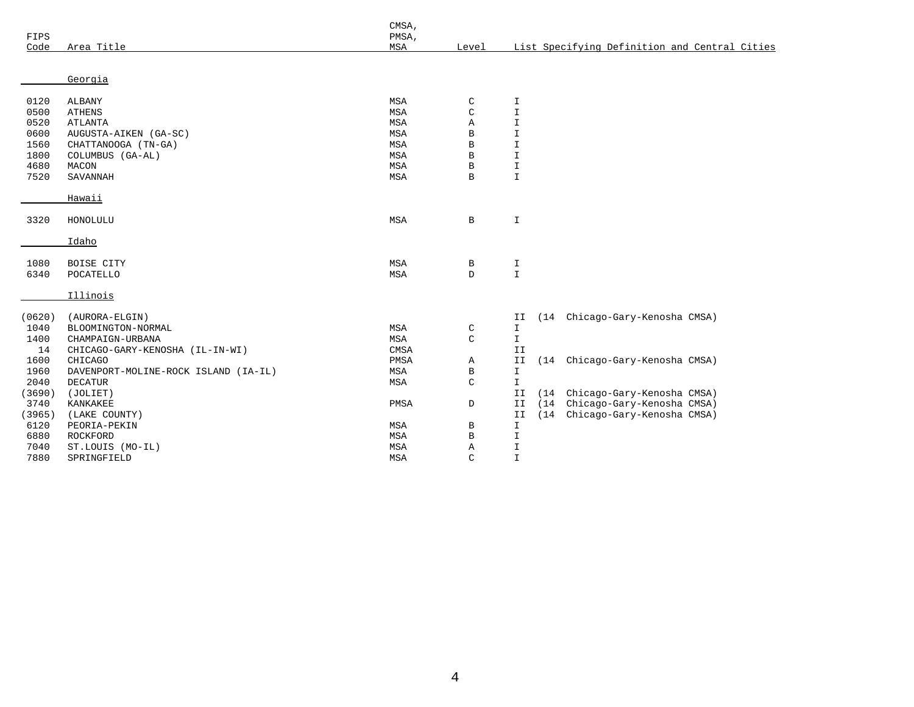|        |                                      | CMSA, |              |                    |      |                                               |  |
|--------|--------------------------------------|-------|--------------|--------------------|------|-----------------------------------------------|--|
| FIPS   |                                      | PMSA, |              |                    |      |                                               |  |
| Code   | Area Title                           | MSA   | Level        |                    |      | List Specifying Definition and Central Cities |  |
|        |                                      |       |              |                    |      |                                               |  |
|        | Georgia                              |       |              |                    |      |                                               |  |
| 0120   | ALBANY                               | MSA   | C            |                    |      |                                               |  |
| 0500   | <b>ATHENS</b>                        | MSA   | $\mathsf C$  | I<br>$\mathbbm{I}$ |      |                                               |  |
| 0520   | <b>ATLANTA</b>                       | MSA   | Α            | $\mathbbm{I}$      |      |                                               |  |
| 0600   | AUGUSTA-AIKEN (GA-SC)                | MSA   | $\, {\bf B}$ | $\mathbbm{I}$      |      |                                               |  |
| 1560   | CHATTANOOGA (TN-GA)                  | MSA   | $\, {\bf B}$ | $\mathbbm{I}$      |      |                                               |  |
| 1800   | COLUMBUS (GA-AL)                     | MSA   | $\mathbf B$  | $\mathbbm{I}$      |      |                                               |  |
| 4680   | MACON                                | MSA   | $\, {\bf B}$ | I                  |      |                                               |  |
| 7520   | SAVANNAH                             | MSA   | $\, {\bf B}$ | $\mathbbm{I}$      |      |                                               |  |
|        |                                      |       |              |                    |      |                                               |  |
|        | Hawaii                               |       |              |                    |      |                                               |  |
| 3320   | HONOLULU                             | MSA   | $\, {\bf B}$ | $\mathbbm{1}$      |      |                                               |  |
|        | Idaho                                |       |              |                    |      |                                               |  |
|        |                                      |       |              |                    |      |                                               |  |
| 1080   | BOISE CITY                           | MSA   | В            | I                  |      |                                               |  |
| 6340   | POCATELLO                            | MSA   | $\mathbb D$  | $\mathbbm{I}$      |      |                                               |  |
|        | Illinois                             |       |              |                    |      |                                               |  |
| (0620) | (AURORA-ELGIN)                       |       |              | ΙI                 |      | (14 Chicago-Gary-Kenosha CMSA)                |  |
| 1040   | BLOOMINGTON-NORMAL                   | MSA   | C            | I                  |      |                                               |  |
| 1400   | CHAMPAIGN-URBANA                     | MSA   | $\mathsf C$  | $\mathbbm{I}$      |      |                                               |  |
| 14     | CHICAGO-GARY-KENOSHA (IL-IN-WI)      | CMSA  |              | II                 |      |                                               |  |
| 1600   | CHICAGO                              | PMSA  | Α            | II                 |      | (14 Chicago-Gary-Kenosha CMSA)                |  |
| 1960   | DAVENPORT-MOLINE-ROCK ISLAND (IA-IL) | MSA   | B            | I                  |      |                                               |  |
| 2040   | <b>DECATUR</b>                       | MSA   | C            | $\mathbbm{1}$      |      |                                               |  |
| (3690) | (JOLIET)                             |       |              | II                 | (14) | Chicago-Gary-Kenosha CMSA)                    |  |
| 3740   | KANKAKEE                             | PMSA  | D            | II                 | (14) | Chicago-Gary-Kenosha CMSA)                    |  |
| (3965) | (LAKE COUNTY)                        |       |              | II                 | (14) | Chicago-Gary-Kenosha CMSA)                    |  |
| 6120   | PEORIA-PEKIN                         | MSA   | B            | I                  |      |                                               |  |
| 6880   | ROCKFORD                             | MSA   | B            | I                  |      |                                               |  |
| 7040   | ST.LOUIS (MO-IL)                     | MSA   | Α            | $\mathbbm{1}$      |      |                                               |  |
| 7880   | SPRINGFIELD                          | MSA   | $\mathsf{C}$ | $\mathbbm{I}$      |      |                                               |  |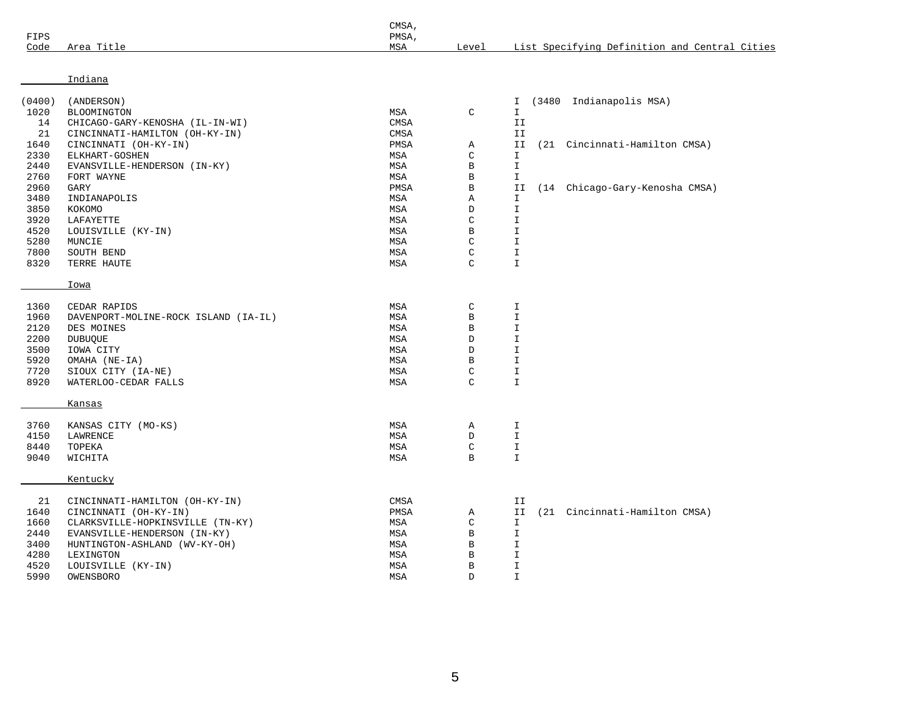| FIPS   |                                      | CMSA,<br>PMSA, |              |                                               |
|--------|--------------------------------------|----------------|--------------|-----------------------------------------------|
| Code   | Area Title                           | MSA            | Level        | List Specifying Definition and Central Cities |
|        |                                      |                |              |                                               |
|        | Indiana                              |                |              |                                               |
| (0400) | (ANDERSON)                           |                |              | (3480 Indianapolis MSA)<br>I                  |
| 1020   | BLOOMINGTON                          | MSA            | C            | $\mathbf I$                                   |
| 14     | CHICAGO-GARY-KENOSHA (IL-IN-WI)      | <b>CMSA</b>    |              | II                                            |
| 21     | CINCINNATI-HAMILTON (OH-KY-IN)       | CMSA           |              | II                                            |
| 1640   | CINCINNATI (OH-KY-IN)                | PMSA           | Α            | II<br>(21 Cincinnati-Hamilton CMSA)           |
| 2330   | ELKHART-GOSHEN                       | MSA            | $\mathsf C$  | $\mathbf I$                                   |
| 2440   | EVANSVILLE-HENDERSON (IN-KY)         | MSA            | $\, {\bf B}$ | $\mathbbm{1}$                                 |
| 2760   | FORT WAYNE                           | MSA            | $\, {\bf B}$ | $\mathbf I$                                   |
| 2960   | GARY                                 | PMSA           | $\, {\bf B}$ | (14 Chicago-Gary-Kenosha CMSA)<br>ΙI          |
| 3480   | INDIANAPOLIS                         | MSA            | Α            | $\mathbbm{1}$                                 |
| 3850   | KOKOMO                               | MSA            | D            | $\mathbf I$                                   |
| 3920   | LAFAYETTE                            | MSA            | C            | $\mathbf I$                                   |
| 4520   | LOUISVILLE (KY-IN)                   | MSA            | B            | $\mathbbm{1}$                                 |
| 5280   | MUNCIE                               | MSA            | C            | $\mathbbm{1}$                                 |
| 7800   | SOUTH BEND                           | MSA            | C            | $\mathbf I$                                   |
| 8320   | TERRE HAUTE                          | MSA            | C            | $\mathbf I$                                   |
|        |                                      |                |              |                                               |
|        | <b>Iowa</b>                          |                |              |                                               |
| 1360   | CEDAR RAPIDS                         | MSA            | $\mathsf C$  | $\mathbf I$                                   |
| 1960   | DAVENPORT-MOLINE-ROCK ISLAND (IA-IL) | MSA            | $\, {\bf B}$ | $\mathbf I$                                   |
| 2120   | DES MOINES                           | MSA            | $\, {\bf B}$ | $\mathbf I$                                   |
| 2200   | <b>DUBUQUE</b>                       | MSA            | $\mathbb D$  | $\mathbf I$                                   |
| 3500   | IOWA CITY                            | MSA            | $\mathbb D$  | $\mathbbm{1}$                                 |
| 5920   | OMAHA (NE-IA)                        | MSA            | $\, {\bf B}$ | $\mathbbm{1}$                                 |
| 7720   | SIOUX CITY (IA-NE)                   | MSA            | $\mathsf C$  | $\mathbf T$                                   |
| 8920   | WATERLOO-CEDAR FALLS                 | MSA            | C            | $\mathbf T$                                   |
|        |                                      |                |              |                                               |
|        | Kansas                               |                |              |                                               |
| 3760   | KANSAS CITY (MO-KS)                  | MSA            | Α            | $\mathbbm{I}$                                 |
| 4150   | LAWRENCE                             | MSA            | D            | $\mathbf I$                                   |
| 8440   | TOPEKA                               | MSA            | C            | $\mathbf T$                                   |
| 9040   | WICHITA                              | MSA            | B            | $\mathbf I$                                   |
|        | Kentucky                             |                |              |                                               |
|        |                                      |                |              |                                               |
| 21     | CINCINNATI-HAMILTON (OH-KY-IN)       | CMSA           |              | ΙI                                            |
| 1640   | CINCINNATI (OH-KY-IN)                | PMSA           | Α            | (21 Cincinnati-Hamilton CMSA)<br>II           |
| 1660   | CLARKSVILLE-HOPKINSVILLE (TN-KY)     | MSA            | $\mathsf C$  | $\mathbbm{I}$                                 |
| 2440   | EVANSVILLE-HENDERSON (IN-KY)         | MSA            | $\, {\bf B}$ | $\mathbf I$                                   |
| 3400   | HUNTINGTON-ASHLAND (WV-KY-OH)        | MSA            | $\, {\bf B}$ | $\mathbf I$                                   |
| 4280   | LEXINGTON                            | MSA            | $\, {\bf B}$ | $\mathbbm{1}$                                 |
| 4520   | LOUISVILLE (KY-IN)                   | MSA            | $\, {\bf B}$ | $\mathbf I$                                   |
| 5990   | OWENSBORO                            | MSA            | D            | $\mathbf I$                                   |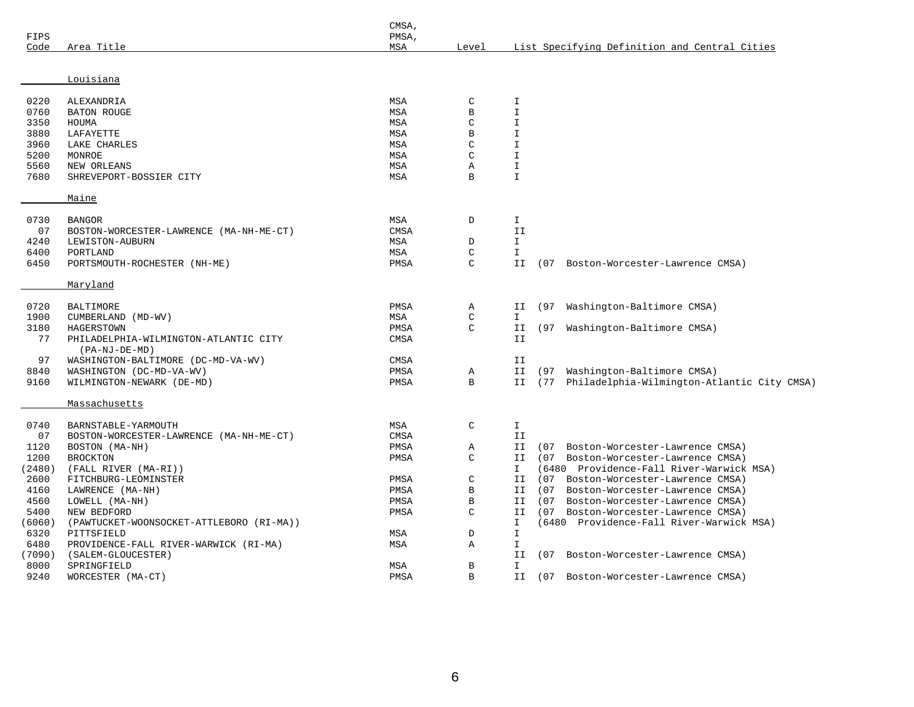| Louisiana<br>C<br>0220<br>ALEXANDRIA<br>MSA<br>I<br>$\mathbf I$<br>0760<br>MSA<br>B<br><b>BATON ROUGE</b><br>3350<br>MSA<br>$\mathcal{C}$<br>$\mathbf I$<br>HOUMA<br>3880<br>LAFAYETTE<br>B<br>$\mathbbm{I}$<br>MSA<br>3960<br>$\mathbf I$<br>LAKE CHARLES<br>MSA<br>C<br>5200<br>MONROE<br>$\mathcal{C}$<br>$\mathbf I$<br>MSA<br>5560<br>I<br>NEW ORLEANS<br>MSA<br>Α<br>7680<br>B<br>$\mathbf I$<br>SHREVEPORT-BOSSIER CITY<br>MSA<br>Maine<br>0730<br><b>BANGOR</b><br>MSA<br>D<br>I<br>07<br>CMSA<br>II<br>BOSTON-WORCESTER-LAWRENCE (MA-NH-ME-CT)<br>$\mathbbm{I}$<br>4240<br>MSA<br>D<br>LEWISTON-AUBURN<br>$\mathsf C$<br>$\mathbbm{I}$<br>6400<br>PORTLAND<br>MSA<br>6450<br>$\mathcal{C}$<br>PORTSMOUTH-ROCHESTER (NH-ME)<br>PMSA<br>ΙI<br>(07<br>Boston-Worcester-Lawrence CMSA)<br>Maryland<br>0720<br>Washington-Baltimore CMSA)<br><b>BALTIMORE</b><br>PMSA<br>Α<br>(97<br>ΙI<br>$\mathcal{C}$<br>$\mathbf I$<br>1900<br>CUMBERLAND<br>MSA<br>(MD-WV)<br>3180<br>PMSA<br>$\mathcal{C}$<br>HAGERSTOWN<br>II<br>(97<br>Washington-Baltimore CMSA)<br>77<br>PHILADELPHIA-WILMINGTON-ATLANTIC CITY<br>CMSA<br>II<br>$(PA-NJ-DE-MD)$<br>97<br>WASHINGTON-BALTIMORE (DC-MD-VA-WV)<br>CMSA<br>ΙI<br>8840<br>Washington-Baltimore CMSA)<br>WASHINGTON (DC-MD-VA-WV)<br>PMSA<br>Α<br>ΙI<br>(97<br>9160<br>B<br>(77 Philadelphia-Wilmington-Atlantic City CMSA)<br>WILMINGTON-NEWARK (DE-MD)<br>PMSA<br>ΙI<br>Massachusetts<br>0740<br>C<br>MSA<br>I<br>BARNSTABLE-YARMOUTH<br>07<br>CMSA<br>II<br>BOSTON-WORCESTER-LAWRENCE (MA-NH-ME-CT)<br>1120<br>II<br>Boston-Worcester-Lawrence CMSA)<br>BOSTON (MA-NH)<br>PMSA<br>Α<br>(07<br>$\mathsf C$<br>1200<br><b>BROCKTON</b><br>(07 Boston-Worcester-Lawrence CMSA)<br>PMSA<br>ΙI<br>(2480)<br>(FALL RIVER (MA-RI))<br>I<br>(6480 Providence-Fall River-Warwick MSA)<br>C<br>2600<br>FITCHBURG-LEOMINSTER<br>PMSA<br>II<br>(07<br>Boston-Worcester-Lawrence CMSA)<br>4160<br>B<br>LAWRENCE (MA-NH)<br>PMSA<br>ΙI<br>(07<br>Boston-Worcester-Lawrence CMSA)<br>4560<br>B<br>LOWELL (MA-NH)<br>PMSA<br>ΙI<br>(07<br>Boston-Worcester-Lawrence CMSA)<br>5400<br>PMSA<br>C<br>(07)<br>Boston-Worcester-Lawrence CMSA)<br>NEW BEDFORD<br>ΙI<br>(6480 Providence-Fall River-Warwick MSA)<br>(6060)<br>(PAWTUCKET-WOONSOCKET-ATTLEBORO (RI-MA))<br>I<br>$\mathbbm{I}$<br>6320<br>D<br>PITTSFIELD<br>MSA<br>6480<br>MSA<br>A<br>I<br>PROVIDENCE-FALL RIVER-WARWICK (RI-MA)<br>(7090)<br>(SALEM-GLOUCESTER)<br>II<br>(07 Boston-Worcester-Lawrence CMSA)<br>8000<br>B<br>SPRINGFIELD<br>MSA<br>I<br>PMSA<br>$\, {\bf B}$<br>9240<br>II<br>(07 Boston-Worcester-Lawrence CMSA) | FIPS<br>Code | Area Title        | CMSA,<br>PMSA,<br>MSA | Level | List Specifying Definition and Central Cities |
|-------------------------------------------------------------------------------------------------------------------------------------------------------------------------------------------------------------------------------------------------------------------------------------------------------------------------------------------------------------------------------------------------------------------------------------------------------------------------------------------------------------------------------------------------------------------------------------------------------------------------------------------------------------------------------------------------------------------------------------------------------------------------------------------------------------------------------------------------------------------------------------------------------------------------------------------------------------------------------------------------------------------------------------------------------------------------------------------------------------------------------------------------------------------------------------------------------------------------------------------------------------------------------------------------------------------------------------------------------------------------------------------------------------------------------------------------------------------------------------------------------------------------------------------------------------------------------------------------------------------------------------------------------------------------------------------------------------------------------------------------------------------------------------------------------------------------------------------------------------------------------------------------------------------------------------------------------------------------------------------------------------------------------------------------------------------------------------------------------------------------------------------------------------------------------------------------------------------------------------------------------------------------------------------------------------------------------------------------------------------------------------------------------------------------------------------------------------------------------------------------------------------------------------------------------------------------------------------------------------------------|--------------|-------------------|-----------------------|-------|-----------------------------------------------|
|                                                                                                                                                                                                                                                                                                                                                                                                                                                                                                                                                                                                                                                                                                                                                                                                                                                                                                                                                                                                                                                                                                                                                                                                                                                                                                                                                                                                                                                                                                                                                                                                                                                                                                                                                                                                                                                                                                                                                                                                                                                                                                                                                                                                                                                                                                                                                                                                                                                                                                                                                                                                                         |              |                   |                       |       |                                               |
|                                                                                                                                                                                                                                                                                                                                                                                                                                                                                                                                                                                                                                                                                                                                                                                                                                                                                                                                                                                                                                                                                                                                                                                                                                                                                                                                                                                                                                                                                                                                                                                                                                                                                                                                                                                                                                                                                                                                                                                                                                                                                                                                                                                                                                                                                                                                                                                                                                                                                                                                                                                                                         |              |                   |                       |       |                                               |
|                                                                                                                                                                                                                                                                                                                                                                                                                                                                                                                                                                                                                                                                                                                                                                                                                                                                                                                                                                                                                                                                                                                                                                                                                                                                                                                                                                                                                                                                                                                                                                                                                                                                                                                                                                                                                                                                                                                                                                                                                                                                                                                                                                                                                                                                                                                                                                                                                                                                                                                                                                                                                         |              |                   |                       |       |                                               |
|                                                                                                                                                                                                                                                                                                                                                                                                                                                                                                                                                                                                                                                                                                                                                                                                                                                                                                                                                                                                                                                                                                                                                                                                                                                                                                                                                                                                                                                                                                                                                                                                                                                                                                                                                                                                                                                                                                                                                                                                                                                                                                                                                                                                                                                                                                                                                                                                                                                                                                                                                                                                                         |              |                   |                       |       |                                               |
|                                                                                                                                                                                                                                                                                                                                                                                                                                                                                                                                                                                                                                                                                                                                                                                                                                                                                                                                                                                                                                                                                                                                                                                                                                                                                                                                                                                                                                                                                                                                                                                                                                                                                                                                                                                                                                                                                                                                                                                                                                                                                                                                                                                                                                                                                                                                                                                                                                                                                                                                                                                                                         |              |                   |                       |       |                                               |
|                                                                                                                                                                                                                                                                                                                                                                                                                                                                                                                                                                                                                                                                                                                                                                                                                                                                                                                                                                                                                                                                                                                                                                                                                                                                                                                                                                                                                                                                                                                                                                                                                                                                                                                                                                                                                                                                                                                                                                                                                                                                                                                                                                                                                                                                                                                                                                                                                                                                                                                                                                                                                         |              |                   |                       |       |                                               |
|                                                                                                                                                                                                                                                                                                                                                                                                                                                                                                                                                                                                                                                                                                                                                                                                                                                                                                                                                                                                                                                                                                                                                                                                                                                                                                                                                                                                                                                                                                                                                                                                                                                                                                                                                                                                                                                                                                                                                                                                                                                                                                                                                                                                                                                                                                                                                                                                                                                                                                                                                                                                                         |              |                   |                       |       |                                               |
|                                                                                                                                                                                                                                                                                                                                                                                                                                                                                                                                                                                                                                                                                                                                                                                                                                                                                                                                                                                                                                                                                                                                                                                                                                                                                                                                                                                                                                                                                                                                                                                                                                                                                                                                                                                                                                                                                                                                                                                                                                                                                                                                                                                                                                                                                                                                                                                                                                                                                                                                                                                                                         |              |                   |                       |       |                                               |
|                                                                                                                                                                                                                                                                                                                                                                                                                                                                                                                                                                                                                                                                                                                                                                                                                                                                                                                                                                                                                                                                                                                                                                                                                                                                                                                                                                                                                                                                                                                                                                                                                                                                                                                                                                                                                                                                                                                                                                                                                                                                                                                                                                                                                                                                                                                                                                                                                                                                                                                                                                                                                         |              |                   |                       |       |                                               |
|                                                                                                                                                                                                                                                                                                                                                                                                                                                                                                                                                                                                                                                                                                                                                                                                                                                                                                                                                                                                                                                                                                                                                                                                                                                                                                                                                                                                                                                                                                                                                                                                                                                                                                                                                                                                                                                                                                                                                                                                                                                                                                                                                                                                                                                                                                                                                                                                                                                                                                                                                                                                                         |              |                   |                       |       |                                               |
|                                                                                                                                                                                                                                                                                                                                                                                                                                                                                                                                                                                                                                                                                                                                                                                                                                                                                                                                                                                                                                                                                                                                                                                                                                                                                                                                                                                                                                                                                                                                                                                                                                                                                                                                                                                                                                                                                                                                                                                                                                                                                                                                                                                                                                                                                                                                                                                                                                                                                                                                                                                                                         |              |                   |                       |       |                                               |
|                                                                                                                                                                                                                                                                                                                                                                                                                                                                                                                                                                                                                                                                                                                                                                                                                                                                                                                                                                                                                                                                                                                                                                                                                                                                                                                                                                                                                                                                                                                                                                                                                                                                                                                                                                                                                                                                                                                                                                                                                                                                                                                                                                                                                                                                                                                                                                                                                                                                                                                                                                                                                         |              |                   |                       |       |                                               |
|                                                                                                                                                                                                                                                                                                                                                                                                                                                                                                                                                                                                                                                                                                                                                                                                                                                                                                                                                                                                                                                                                                                                                                                                                                                                                                                                                                                                                                                                                                                                                                                                                                                                                                                                                                                                                                                                                                                                                                                                                                                                                                                                                                                                                                                                                                                                                                                                                                                                                                                                                                                                                         |              |                   |                       |       |                                               |
|                                                                                                                                                                                                                                                                                                                                                                                                                                                                                                                                                                                                                                                                                                                                                                                                                                                                                                                                                                                                                                                                                                                                                                                                                                                                                                                                                                                                                                                                                                                                                                                                                                                                                                                                                                                                                                                                                                                                                                                                                                                                                                                                                                                                                                                                                                                                                                                                                                                                                                                                                                                                                         |              |                   |                       |       |                                               |
|                                                                                                                                                                                                                                                                                                                                                                                                                                                                                                                                                                                                                                                                                                                                                                                                                                                                                                                                                                                                                                                                                                                                                                                                                                                                                                                                                                                                                                                                                                                                                                                                                                                                                                                                                                                                                                                                                                                                                                                                                                                                                                                                                                                                                                                                                                                                                                                                                                                                                                                                                                                                                         |              |                   |                       |       |                                               |
|                                                                                                                                                                                                                                                                                                                                                                                                                                                                                                                                                                                                                                                                                                                                                                                                                                                                                                                                                                                                                                                                                                                                                                                                                                                                                                                                                                                                                                                                                                                                                                                                                                                                                                                                                                                                                                                                                                                                                                                                                                                                                                                                                                                                                                                                                                                                                                                                                                                                                                                                                                                                                         |              |                   |                       |       |                                               |
|                                                                                                                                                                                                                                                                                                                                                                                                                                                                                                                                                                                                                                                                                                                                                                                                                                                                                                                                                                                                                                                                                                                                                                                                                                                                                                                                                                                                                                                                                                                                                                                                                                                                                                                                                                                                                                                                                                                                                                                                                                                                                                                                                                                                                                                                                                                                                                                                                                                                                                                                                                                                                         |              |                   |                       |       |                                               |
|                                                                                                                                                                                                                                                                                                                                                                                                                                                                                                                                                                                                                                                                                                                                                                                                                                                                                                                                                                                                                                                                                                                                                                                                                                                                                                                                                                                                                                                                                                                                                                                                                                                                                                                                                                                                                                                                                                                                                                                                                                                                                                                                                                                                                                                                                                                                                                                                                                                                                                                                                                                                                         |              |                   |                       |       |                                               |
|                                                                                                                                                                                                                                                                                                                                                                                                                                                                                                                                                                                                                                                                                                                                                                                                                                                                                                                                                                                                                                                                                                                                                                                                                                                                                                                                                                                                                                                                                                                                                                                                                                                                                                                                                                                                                                                                                                                                                                                                                                                                                                                                                                                                                                                                                                                                                                                                                                                                                                                                                                                                                         |              |                   |                       |       |                                               |
|                                                                                                                                                                                                                                                                                                                                                                                                                                                                                                                                                                                                                                                                                                                                                                                                                                                                                                                                                                                                                                                                                                                                                                                                                                                                                                                                                                                                                                                                                                                                                                                                                                                                                                                                                                                                                                                                                                                                                                                                                                                                                                                                                                                                                                                                                                                                                                                                                                                                                                                                                                                                                         |              |                   |                       |       |                                               |
|                                                                                                                                                                                                                                                                                                                                                                                                                                                                                                                                                                                                                                                                                                                                                                                                                                                                                                                                                                                                                                                                                                                                                                                                                                                                                                                                                                                                                                                                                                                                                                                                                                                                                                                                                                                                                                                                                                                                                                                                                                                                                                                                                                                                                                                                                                                                                                                                                                                                                                                                                                                                                         |              |                   |                       |       |                                               |
|                                                                                                                                                                                                                                                                                                                                                                                                                                                                                                                                                                                                                                                                                                                                                                                                                                                                                                                                                                                                                                                                                                                                                                                                                                                                                                                                                                                                                                                                                                                                                                                                                                                                                                                                                                                                                                                                                                                                                                                                                                                                                                                                                                                                                                                                                                                                                                                                                                                                                                                                                                                                                         |              |                   |                       |       |                                               |
|                                                                                                                                                                                                                                                                                                                                                                                                                                                                                                                                                                                                                                                                                                                                                                                                                                                                                                                                                                                                                                                                                                                                                                                                                                                                                                                                                                                                                                                                                                                                                                                                                                                                                                                                                                                                                                                                                                                                                                                                                                                                                                                                                                                                                                                                                                                                                                                                                                                                                                                                                                                                                         |              |                   |                       |       |                                               |
|                                                                                                                                                                                                                                                                                                                                                                                                                                                                                                                                                                                                                                                                                                                                                                                                                                                                                                                                                                                                                                                                                                                                                                                                                                                                                                                                                                                                                                                                                                                                                                                                                                                                                                                                                                                                                                                                                                                                                                                                                                                                                                                                                                                                                                                                                                                                                                                                                                                                                                                                                                                                                         |              |                   |                       |       |                                               |
|                                                                                                                                                                                                                                                                                                                                                                                                                                                                                                                                                                                                                                                                                                                                                                                                                                                                                                                                                                                                                                                                                                                                                                                                                                                                                                                                                                                                                                                                                                                                                                                                                                                                                                                                                                                                                                                                                                                                                                                                                                                                                                                                                                                                                                                                                                                                                                                                                                                                                                                                                                                                                         |              |                   |                       |       |                                               |
|                                                                                                                                                                                                                                                                                                                                                                                                                                                                                                                                                                                                                                                                                                                                                                                                                                                                                                                                                                                                                                                                                                                                                                                                                                                                                                                                                                                                                                                                                                                                                                                                                                                                                                                                                                                                                                                                                                                                                                                                                                                                                                                                                                                                                                                                                                                                                                                                                                                                                                                                                                                                                         |              |                   |                       |       |                                               |
|                                                                                                                                                                                                                                                                                                                                                                                                                                                                                                                                                                                                                                                                                                                                                                                                                                                                                                                                                                                                                                                                                                                                                                                                                                                                                                                                                                                                                                                                                                                                                                                                                                                                                                                                                                                                                                                                                                                                                                                                                                                                                                                                                                                                                                                                                                                                                                                                                                                                                                                                                                                                                         |              |                   |                       |       |                                               |
|                                                                                                                                                                                                                                                                                                                                                                                                                                                                                                                                                                                                                                                                                                                                                                                                                                                                                                                                                                                                                                                                                                                                                                                                                                                                                                                                                                                                                                                                                                                                                                                                                                                                                                                                                                                                                                                                                                                                                                                                                                                                                                                                                                                                                                                                                                                                                                                                                                                                                                                                                                                                                         |              |                   |                       |       |                                               |
|                                                                                                                                                                                                                                                                                                                                                                                                                                                                                                                                                                                                                                                                                                                                                                                                                                                                                                                                                                                                                                                                                                                                                                                                                                                                                                                                                                                                                                                                                                                                                                                                                                                                                                                                                                                                                                                                                                                                                                                                                                                                                                                                                                                                                                                                                                                                                                                                                                                                                                                                                                                                                         |              |                   |                       |       |                                               |
|                                                                                                                                                                                                                                                                                                                                                                                                                                                                                                                                                                                                                                                                                                                                                                                                                                                                                                                                                                                                                                                                                                                                                                                                                                                                                                                                                                                                                                                                                                                                                                                                                                                                                                                                                                                                                                                                                                                                                                                                                                                                                                                                                                                                                                                                                                                                                                                                                                                                                                                                                                                                                         |              |                   |                       |       |                                               |
|                                                                                                                                                                                                                                                                                                                                                                                                                                                                                                                                                                                                                                                                                                                                                                                                                                                                                                                                                                                                                                                                                                                                                                                                                                                                                                                                                                                                                                                                                                                                                                                                                                                                                                                                                                                                                                                                                                                                                                                                                                                                                                                                                                                                                                                                                                                                                                                                                                                                                                                                                                                                                         |              |                   |                       |       |                                               |
|                                                                                                                                                                                                                                                                                                                                                                                                                                                                                                                                                                                                                                                                                                                                                                                                                                                                                                                                                                                                                                                                                                                                                                                                                                                                                                                                                                                                                                                                                                                                                                                                                                                                                                                                                                                                                                                                                                                                                                                                                                                                                                                                                                                                                                                                                                                                                                                                                                                                                                                                                                                                                         |              |                   |                       |       |                                               |
|                                                                                                                                                                                                                                                                                                                                                                                                                                                                                                                                                                                                                                                                                                                                                                                                                                                                                                                                                                                                                                                                                                                                                                                                                                                                                                                                                                                                                                                                                                                                                                                                                                                                                                                                                                                                                                                                                                                                                                                                                                                                                                                                                                                                                                                                                                                                                                                                                                                                                                                                                                                                                         |              |                   |                       |       |                                               |
|                                                                                                                                                                                                                                                                                                                                                                                                                                                                                                                                                                                                                                                                                                                                                                                                                                                                                                                                                                                                                                                                                                                                                                                                                                                                                                                                                                                                                                                                                                                                                                                                                                                                                                                                                                                                                                                                                                                                                                                                                                                                                                                                                                                                                                                                                                                                                                                                                                                                                                                                                                                                                         |              |                   |                       |       |                                               |
|                                                                                                                                                                                                                                                                                                                                                                                                                                                                                                                                                                                                                                                                                                                                                                                                                                                                                                                                                                                                                                                                                                                                                                                                                                                                                                                                                                                                                                                                                                                                                                                                                                                                                                                                                                                                                                                                                                                                                                                                                                                                                                                                                                                                                                                                                                                                                                                                                                                                                                                                                                                                                         |              |                   |                       |       |                                               |
|                                                                                                                                                                                                                                                                                                                                                                                                                                                                                                                                                                                                                                                                                                                                                                                                                                                                                                                                                                                                                                                                                                                                                                                                                                                                                                                                                                                                                                                                                                                                                                                                                                                                                                                                                                                                                                                                                                                                                                                                                                                                                                                                                                                                                                                                                                                                                                                                                                                                                                                                                                                                                         |              |                   |                       |       |                                               |
|                                                                                                                                                                                                                                                                                                                                                                                                                                                                                                                                                                                                                                                                                                                                                                                                                                                                                                                                                                                                                                                                                                                                                                                                                                                                                                                                                                                                                                                                                                                                                                                                                                                                                                                                                                                                                                                                                                                                                                                                                                                                                                                                                                                                                                                                                                                                                                                                                                                                                                                                                                                                                         |              |                   |                       |       |                                               |
|                                                                                                                                                                                                                                                                                                                                                                                                                                                                                                                                                                                                                                                                                                                                                                                                                                                                                                                                                                                                                                                                                                                                                                                                                                                                                                                                                                                                                                                                                                                                                                                                                                                                                                                                                                                                                                                                                                                                                                                                                                                                                                                                                                                                                                                                                                                                                                                                                                                                                                                                                                                                                         |              |                   |                       |       |                                               |
|                                                                                                                                                                                                                                                                                                                                                                                                                                                                                                                                                                                                                                                                                                                                                                                                                                                                                                                                                                                                                                                                                                                                                                                                                                                                                                                                                                                                                                                                                                                                                                                                                                                                                                                                                                                                                                                                                                                                                                                                                                                                                                                                                                                                                                                                                                                                                                                                                                                                                                                                                                                                                         |              |                   |                       |       |                                               |
|                                                                                                                                                                                                                                                                                                                                                                                                                                                                                                                                                                                                                                                                                                                                                                                                                                                                                                                                                                                                                                                                                                                                                                                                                                                                                                                                                                                                                                                                                                                                                                                                                                                                                                                                                                                                                                                                                                                                                                                                                                                                                                                                                                                                                                                                                                                                                                                                                                                                                                                                                                                                                         |              | WORCESTER (MA-CT) |                       |       |                                               |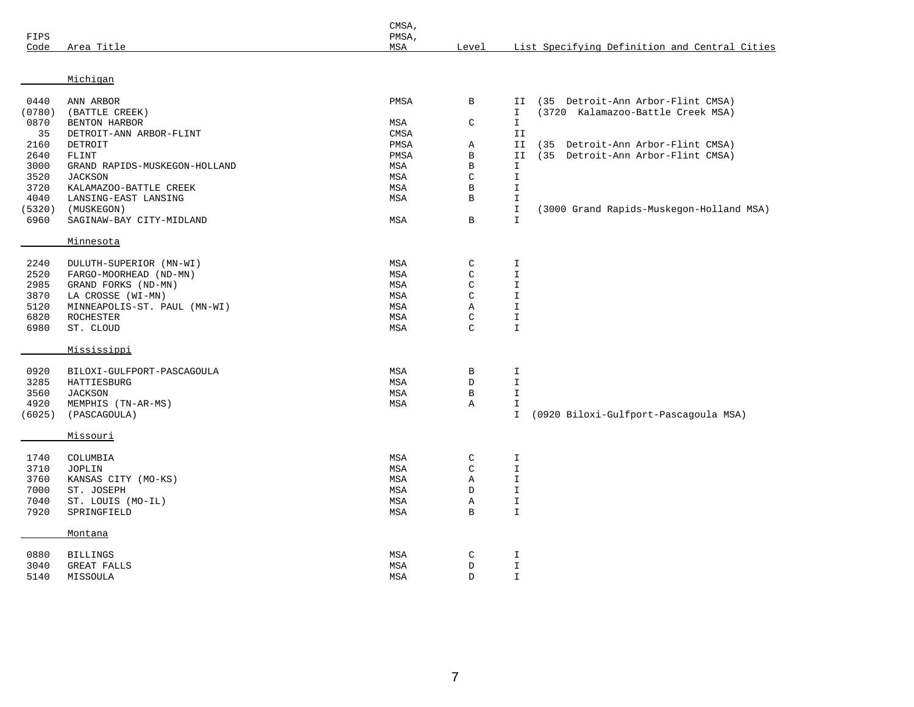| FIPS<br>Code | Area Title                        | CMSA,<br>PMSA,<br>MSA | Level        |               | List Specifying Definition and Central Cities |
|--------------|-----------------------------------|-----------------------|--------------|---------------|-----------------------------------------------|
|              |                                   |                       |              |               |                                               |
|              | Michigan                          |                       |              |               |                                               |
| 0440         | ANN ARBOR                         | PMSA                  | B            | II            | (35 Detroit-Ann Arbor-Flint CMSA)             |
| (0780)       | (BATTLE CREEK)                    |                       |              | $\mathbf{I}$  | (3720 Kalamazoo-Battle Creek MSA)             |
| 0870         | BENTON HARBOR                     | MSA                   | $\mathsf C$  | $\mathbbm{I}$ |                                               |
| 35           | DETROIT-ANN ARBOR-FLINT           | CMSA                  |              | II            |                                               |
| 2160         | DETROIT                           | PMSA                  | Α            | II            | Detroit-Ann Arbor-Flint CMSA)<br>(35)         |
| 2640         | FLINT                             | PMSA                  | $\, {\bf B}$ | II            | (35 Detroit-Ann Arbor-Flint CMSA)             |
| 3000         | GRAND RAPIDS-MUSKEGON-HOLLAND     | MSA                   | В            | I             |                                               |
| 3520         | <b>JACKSON</b>                    | MSA                   | $\mathsf C$  | I             |                                               |
| 3720         | KALAMAZOO-BATTLE CREEK            | MSA                   | B            | I             |                                               |
| 4040         | LANSING-EAST LANSING              | MSA                   | B            | $\mathbbm{I}$ |                                               |
| (5320)       | (MUSKEGON)                        |                       |              | $\mathbbm{I}$ | (3000 Grand Rapids-Muskegon-Holland MSA)      |
| 6960         | SAGINAW-BAY CITY-MIDLAND          | MSA                   | $\mathbf B$  | $\mathbbm{I}$ |                                               |
|              | Minnesota                         |                       |              |               |                                               |
|              |                                   | MSA                   |              |               |                                               |
| 2240         | DULUTH-SUPERIOR (MN-WI)           |                       | $\mathsf C$  | I             |                                               |
| 2520         | FARGO-MOORHEAD (ND-MN)            | MSA                   | $\mathsf C$  | $\mathbbm{I}$ |                                               |
| 2985         | GRAND FORKS (ND-MN)               | MSA                   | $\mathsf C$  | $\mathbbm{I}$ |                                               |
| 3870         | LA CROSSE (WI-MN)                 | MSA                   | $\mathsf C$  | $\mathbbm{I}$ |                                               |
| 5120         | MINNEAPOLIS-ST. PAUL (MN-WI)      | MSA                   | Α            | I             |                                               |
| 6820         | ROCHESTER                         | MSA                   | C            | I             |                                               |
| 6980         | ST. CLOUD                         | MSA                   | $\mathsf{C}$ | $\mathbbm{I}$ |                                               |
|              | Mississippi                       |                       |              |               |                                               |
| 0920         | BILOXI-GULFPORT-PASCAGOULA        | MSA                   | B            | $\mathbbm{I}$ |                                               |
| 3285         | HATTIESBURG                       | MSA                   | D            | I             |                                               |
| 3560         | <b>JACKSON</b>                    | MSA                   | $\, {\bf B}$ | $\mathbbm{I}$ |                                               |
| 4920         | MEMPHIS (TN-AR-MS)                | MSA                   | Α            | $\mathbbm{I}$ |                                               |
| (6025)       | (PASCAGOULA)                      |                       |              | $\mathbbm{I}$ | (0920 Biloxi-Gulfport-Pascagoula MSA)         |
|              | <u>Missouri</u>                   |                       |              |               |                                               |
| 1740         | COLUMBIA                          | MSA                   | C            | I             |                                               |
| 3710         | JOPLIN                            | MSA                   | $\mathsf C$  | I             |                                               |
| 3760         |                                   | MSA                   | Α            | I             |                                               |
| 7000         | KANSAS CITY (MO-KS)<br>ST. JOSEPH | MSA                   | D            | $\mathbbm{I}$ |                                               |
|              |                                   |                       |              |               |                                               |
| 7040         | ST. LOUIS (MO-IL)                 | MSA                   | Α            | I             |                                               |
| 7920         | SPRINGFIELD                       | MSA                   | B            | I             |                                               |
|              | Montana                           |                       |              |               |                                               |
| 0880         | <b>BILLINGS</b>                   | MSA                   | C            | I             |                                               |
| 3040         | GREAT FALLS                       | MSA                   | D            | I             |                                               |
| 5140         | MISSOULA                          | MSA                   | D            | I             |                                               |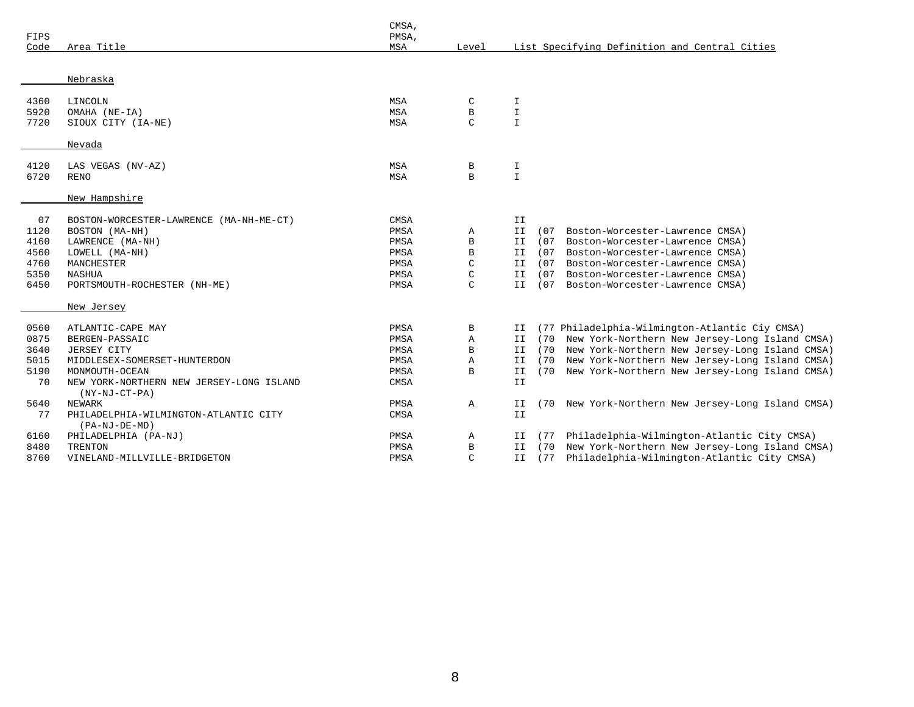| FIPS<br>Code | Area Title                                                  | CMSA,<br>PMSA,<br>MSA | Level        |               |      | List Specifying Definition and Central Cities  |
|--------------|-------------------------------------------------------------|-----------------------|--------------|---------------|------|------------------------------------------------|
|              |                                                             |                       |              |               |      |                                                |
|              | Nebraska                                                    |                       |              |               |      |                                                |
|              |                                                             |                       |              |               |      |                                                |
| 4360         | LINCOLN                                                     | MSA                   | C            | I             |      |                                                |
| 5920         | OMAHA (NE-IA)                                               | MSA                   | В            | I             |      |                                                |
| 7720         | SIOUX CITY (IA-NE)                                          | MSA                   | $\mathsf{C}$ | $\mathbf{I}$  |      |                                                |
|              | Nevada                                                      |                       |              |               |      |                                                |
|              |                                                             |                       |              |               |      |                                                |
| 4120         | LAS VEGAS (NV-AZ)                                           | MSA                   | В            | I             |      |                                                |
| 6720         | <b>RENO</b>                                                 | <b>MSA</b>            | B            | $\mathbbm{I}$ |      |                                                |
|              | New Hampshire                                               |                       |              |               |      |                                                |
|              |                                                             | CMSA                  |              | II            |      |                                                |
| 07<br>1120   | BOSTON-WORCESTER-LAWRENCE (MA-NH-ME-CT)<br>BOSTON (MA-NH)   | PMSA                  | Α            | ΙI            | (07  | Boston-Worcester-Lawrence CMSA)                |
| 4160         | LAWRENCE (MA-NH)                                            | PMSA                  | В            | II            | (07  | Boston-Worcester-Lawrence CMSA)                |
| 4560         | LOWELL (MA-NH)                                              | PMSA                  | В            | II.           | (07) | Boston-Worcester-Lawrence CMSA)                |
| 4760         | MANCHESTER                                                  | PMSA                  | C            | II.           | (07) | Boston-Worcester-Lawrence CMSA)                |
| 5350         | NASHUA                                                      | PMSA                  | C            | ΙI            | (07) | Boston-Worcester-Lawrence CMSA)                |
| 6450         | PORTSMOUTH-ROCHESTER (NH-ME)                                | PMSA                  | $\mathsf{C}$ | II.           | (07) | Boston-Worcester-Lawrence CMSA)                |
|              | New Jersey                                                  |                       |              |               |      |                                                |
| 0560         | ATLANTIC-CAPE MAY                                           | PMSA                  | В            | II.           |      | (77 Philadelphia-Wilmington-Atlantic Ciy CMSA) |
| 0875         | BERGEN-PASSAIC                                              | PMSA                  | Α            | II.           | (70  | New York-Northern New Jersey-Long Island CMSA) |
| 3640         | JERSEY CITY                                                 | PMSA                  | В            | II.           | (70  | New York-Northern New Jersey-Long Island CMSA) |
| 5015         | MIDDLESEX-SOMERSET-HUNTERDON                                | PMSA                  | Α            | II            | (70) | New York-Northern New Jersey-Long Island CMSA) |
| 5190         | MONMOUTH-OCEAN                                              | PMSA                  | B            | II.           | (70) | New York-Northern New Jersey-Long Island CMSA) |
| 70           | NEW YORK-NORTHERN NEW JERSEY-LONG ISLAND<br>$(NY-NJ-CT-PA)$ | CMSA                  |              | ΙI            |      |                                                |
| 5640         | NEWARK                                                      | PMSA                  | $\mathbb{A}$ | II.           | (70  | New York-Northern New Jersey-Long Island CMSA) |
| 77           | PHILADELPHIA-WILMINGTON-ATLANTIC CITY                       | CMSA                  |              | II            |      |                                                |
|              | $(PA-NJ-DE-MD)$                                             |                       |              |               |      |                                                |
| 6160         | PHILADELPHIA (PA-NJ)                                        | PMSA                  | Α            | II            | (77  | Philadelphia-Wilmington-Atlantic City CMSA)    |
| 8480         | TRENTON                                                     | PMSA                  | B            | II.           | (70  | New York-Northern New Jersey-Long Island CMSA) |
| 8760         | VINELAND-MILLVILLE-BRIDGETON                                | PMSA                  | $\mathsf{C}$ | II.           | (77) | Philadelphia-Wilmington-Atlantic City CMSA)    |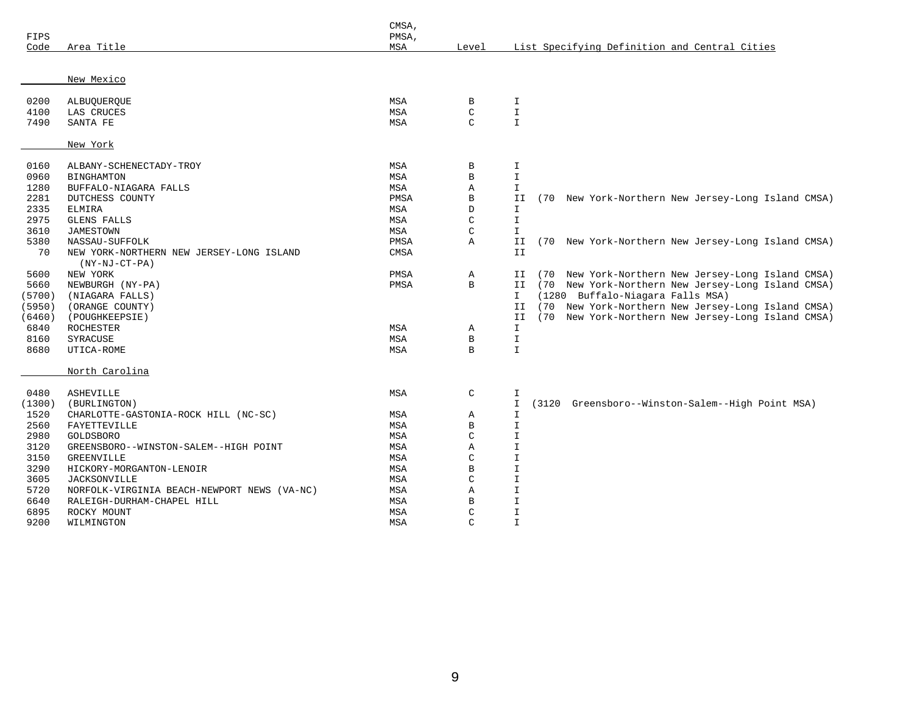| FIPS   |                                             | CMSA,<br>PMSA, |               |                                                                      |
|--------|---------------------------------------------|----------------|---------------|----------------------------------------------------------------------|
| Code   | Area Title                                  | MSA            | Level         | List Specifying Definition and Central Cities                        |
|        |                                             |                |               |                                                                      |
|        | New Mexico                                  |                |               |                                                                      |
| 0200   | ALBUQUERQUE                                 | MSA            | B             | I                                                                    |
| 4100   | LAS CRUCES                                  | MSA            | $\mathsf C$   | $\mathbbm{I}$                                                        |
| 7490   | SANTA FE                                    | MSA            | $\mathsf{C}$  | $\mathbbm{I}$                                                        |
|        | New York                                    |                |               |                                                                      |
| 0160   | ALBANY-SCHENECTADY-TROY                     | MSA            | В             | I                                                                    |
| 0960   | <b>BINGHAMTON</b>                           | MSA            | $\, {\bf B}$  | $\mathbbm{1}$                                                        |
| 1280   | BUFFALO-NIAGARA FALLS                       | MSA            | Α             | I.                                                                   |
| 2281   | DUTCHESS COUNTY                             | PMSA           | B             | II<br>New York-Northern New Jersey-Long Island CMSA)<br>(70          |
| 2335   | ELMIRA                                      | MSA            | D             | $\mathbf{I}$                                                         |
| 2975   | <b>GLENS FALLS</b>                          | MSA            | $\mathsf{C}$  | $\mathbbm{1}$                                                        |
| 3610   | <b>JAMESTOWN</b>                            | MSA            | $\mathsf C$   | I.                                                                   |
| 5380   | NASSAU-SUFFOLK                              | PMSA           | $\mathbb A$   | II<br>New York-Northern New Jersey-Long Island CMSA)<br>(70          |
| 70     | NEW YORK-NORTHERN NEW JERSEY-LONG ISLAND    | CMSA           |               | II                                                                   |
|        | $(NY-NJ-CT-PA)$                             |                |               |                                                                      |
| 5600   | NEW YORK                                    | PMSA           | Α             | New York-Northern New Jersey-Long Island CMSA)<br>IJ<br>(70          |
| 5660   | NEWBURGH (NY-PA)                            | PMSA           | $\mathbf B$   | (70<br>New York-Northern New Jersey-Long Island CMSA)<br>II          |
| (5700) | (NIAGARA FALLS)                             |                |               | (1280 Buffalo-Niagara Falls MSA)<br>I.                               |
| (5950) | (ORANGE COUNTY)                             |                |               | (70 New York-Northern New Jersey-Long Island CMSA)<br>ΙI             |
| (6460) | (POUGHKEEPSIE)                              |                |               | II<br>(70 New York-Northern New Jersey-Long Island CMSA)             |
| 6840   | <b>ROCHESTER</b>                            | MSA            | Α             | $\mathbf{I}$                                                         |
| 8160   | SYRACUSE                                    | MSA            | $\, {\bf B}$  | I                                                                    |
| 8680   | UTICA-ROME                                  | MSA            | B             | $\mathbf{I}$                                                         |
|        | North Carolina                              |                |               |                                                                      |
| 0480   | <b>ASHEVILLE</b>                            | MSA            | $\mathsf C$   | $\mathbf T$                                                          |
| (1300) | (BURLINGTON)                                |                |               | $\mathbbm{I}$<br>Greensboro--Winston-Salem--High Point MSA)<br>(3120 |
| 1520   | CHARLOTTE-GASTONIA-ROCK HILL (NC-SC)        | MSA            | Α             | I.                                                                   |
| 2560   | FAYETTEVILLE                                | MSA            | B             | I.                                                                   |
| 2980   | GOLDSBORO                                   | MSA            | $\mathsf C$   | $\mathbbm{I}$                                                        |
| 3120   | GREENSBORO--WINSTON-SALEM--HIGH POINT       | MSA            | Α             | $\mathbf T$                                                          |
| 3150   | GREENVILLE                                  | MSA            | $\mathcal{C}$ | I.                                                                   |
| 3290   | HICKORY-MORGANTON-LENOIR                    | MSA            | $\mathbf B$   | $\mathbbm{I}$                                                        |
| 3605   | <b>JACKSONVILLE</b>                         | MSA            | $\mathsf{C}$  | $\mathbbm{I}$                                                        |
| 5720   | NORFOLK-VIRGINIA BEACH-NEWPORT NEWS (VA-NC) | MSA            | Α             | I                                                                    |
| 6640   | RALEIGH-DURHAM-CHAPEL HILL                  | MSA            | $\, {\bf B}$  | $\mathbbm{I}$                                                        |
| 6895   | ROCKY MOUNT                                 | MSA            | C             | $\mathbf T$                                                          |
| 9200   | WILMINGTON                                  | MSA            | $\mathsf{C}$  | $\mathbf T$                                                          |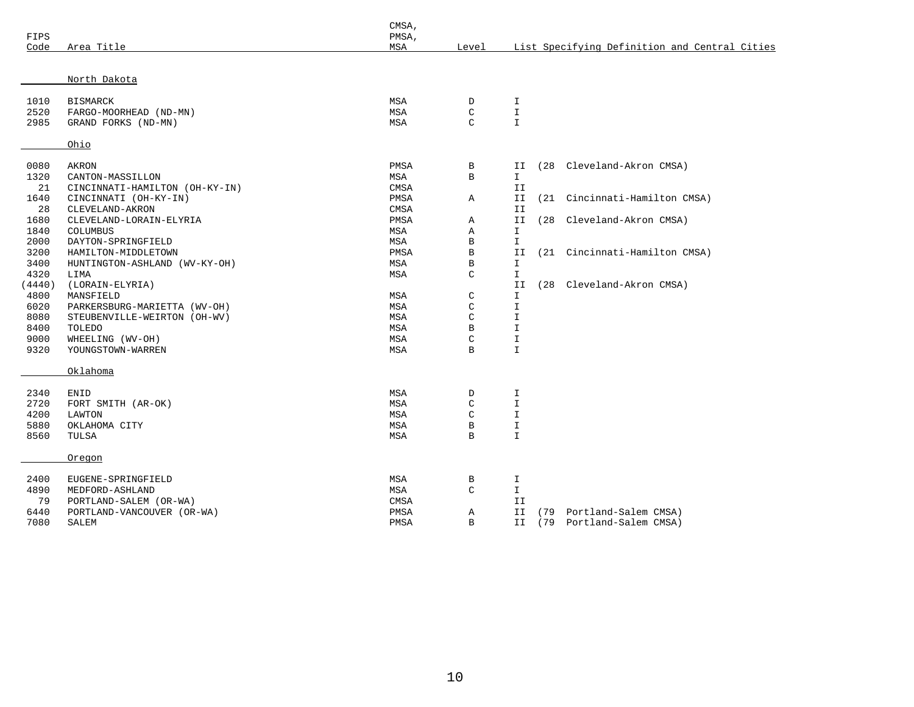| FIPS   |                                | CMSA,<br>PMSA, |               |               |      |                                               |
|--------|--------------------------------|----------------|---------------|---------------|------|-----------------------------------------------|
| Code   | Area Title                     | MSA            | Level         |               |      | List Specifying Definition and Central Cities |
|        |                                |                |               |               |      |                                               |
|        | North Dakota                   |                |               |               |      |                                               |
| 1010   | <b>BISMARCK</b>                | MSA            | D             | I             |      |                                               |
| 2520   | FARGO-MOORHEAD (ND-MN)         | MSA            | $\mathsf C$   | $\mathbbm{I}$ |      |                                               |
| 2985   | GRAND FORKS (ND-MN)            | MSA            | $\mathcal{C}$ | I             |      |                                               |
|        | Ohio                           |                |               |               |      |                                               |
| 0080   | AKRON                          | PMSA           | B             | II            | (28  | Cleveland-Akron CMSA)                         |
| 1320   | CANTON-MASSILLON               | MSA            | B             | $\mathbf{I}$  |      |                                               |
| 21     | CINCINNATI-HAMILTON (OH-KY-IN) | CMSA           |               | ΙI            |      |                                               |
| 1640   | CINCINNATI (OH-KY-IN)          | PMSA           | Α             | ΙI            |      | (21 Cincinnati-Hamilton CMSA)                 |
| 28     | CLEVELAND-AKRON                | CMSA           |               | II            |      |                                               |
| 1680   | CLEVELAND-LORAIN-ELYRIA        | PMSA           | Α             | II            | (28) | Cleveland-Akron CMSA)                         |
| 1840   | COLUMBUS                       | MSA            | Α             | I.            |      |                                               |
| 2000   | DAYTON-SPRINGFIELD             | MSA            | $\, {\bf B}$  | $\mathbbm{I}$ |      |                                               |
| 3200   | HAMILTON-MIDDLETOWN            | PMSA           | $\, {\bf B}$  | II            |      | (21 Cincinnati-Hamilton CMSA)                 |
| 3400   | HUNTINGTON-ASHLAND (WV-KY-OH)  | MSA            | В             | I.            |      |                                               |
| 4320   | LIMA                           | MSA            | $\mathcal{C}$ | I.            |      |                                               |
| (4440) | (LORAIN-ELYRIA)                |                |               | II            | (28  | Cleveland-Akron CMSA)                         |
| 4800   | MANSFIELD                      | MSA            | C             | I.            |      |                                               |
| 6020   | PARKERSBURG-MARIETTA (WV-OH)   | MSA            | $\mathcal{C}$ | $\mathbf I$   |      |                                               |
| 8080   | STEUBENVILLE-WEIRTON (OH-WV)   | MSA            | $\mathsf C$   | $\mathbbm{I}$ |      |                                               |
| 8400   | TOLEDO                         | MSA            | B             | I             |      |                                               |
| 9000   | WHEELING (WV-OH)               | MSA            | $\mathsf C$   | I             |      |                                               |
| 9320   | YOUNGSTOWN-WARREN              | MSA            | B             | $\mathbf I$   |      |                                               |
|        | Oklahoma                       |                |               |               |      |                                               |
| 2340   | <b>ENID</b>                    | MSA            | $\mathbb D$   | I             |      |                                               |
| 2720   | FORT SMITH (AR-OK)             | MSA            | $\mathsf C$   | I             |      |                                               |
| 4200   | LAWTON                         | MSA            | C             | $\mathbf I$   |      |                                               |
| 5880   | OKLAHOMA CITY                  | MSA            | $\, {\bf B}$  | $\mathbbm{I}$ |      |                                               |
| 8560   | TULSA                          | MSA            | $\mathbf B$   | $\mathbbm{I}$ |      |                                               |
|        | Oregon                         |                |               |               |      |                                               |
| 2400   | EUGENE-SPRINGFIELD             | MSA            | В             | I             |      |                                               |
| 4890   | MEDFORD-ASHLAND                | MSA            | $\mathcal{C}$ | $\mathbf{I}$  |      |                                               |
| 79     | PORTLAND-SALEM (OR-WA)         | CMSA           |               | II            |      |                                               |
| 6440   | PORTLAND-VANCOUVER (OR-WA)     | PMSA           | Α             | II            | (79  | Portland-Salem CMSA)                          |
| 7080   | SALEM                          | PMSA           | B             | II            |      | (79 Portland-Salem CMSA)                      |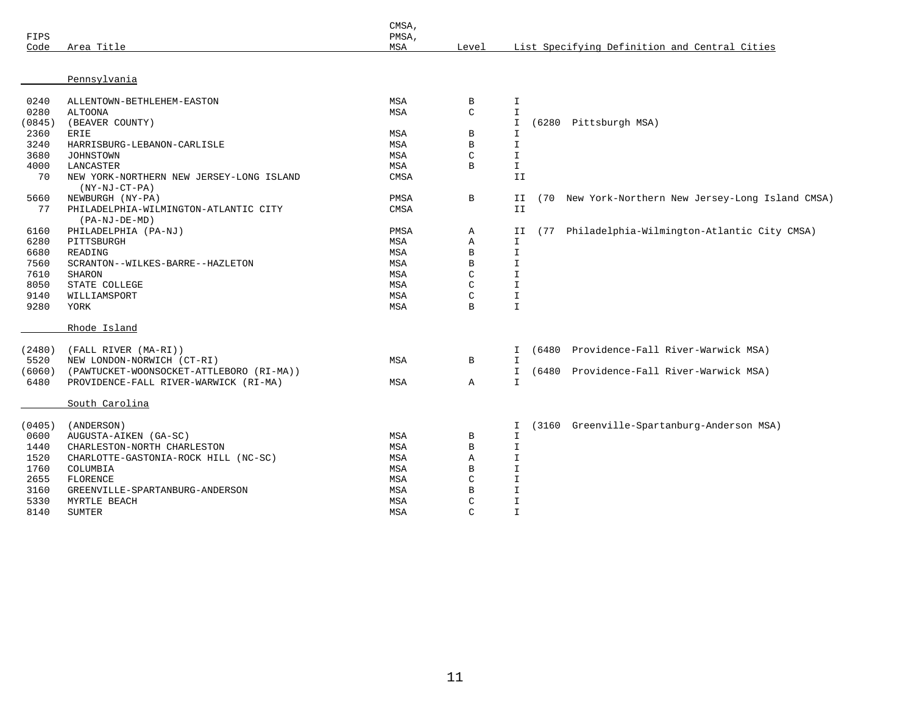| FIPS<br>Code | Area Title                                                  | CMSA,<br>PMSA,<br>MSA | Level         |               | List Specifying Definition and Central Cities      |
|--------------|-------------------------------------------------------------|-----------------------|---------------|---------------|----------------------------------------------------|
|              | Pennsylvania                                                |                       |               |               |                                                    |
| 0240         | ALLENTOWN-BETHLEHEM-EASTON                                  | MSA                   | В             | I             |                                                    |
| 0280         | <b>ALTOONA</b>                                              | MSA                   | $\mathsf C$   | $\mathbf I$   |                                                    |
| (0845)       | (BEAVER COUNTY)                                             |                       |               | $\mathbbm{1}$ | (6280 Pittsburgh MSA)                              |
| 2360         | <b>ERIE</b>                                                 | MSA                   | B             | $\mathbf I$   |                                                    |
| 3240         | HARRISBURG-LEBANON-CARLISLE                                 | MSA                   | B             | $\mathbbm{I}$ |                                                    |
| 3680         | <b>JOHNSTOWN</b>                                            | MSA                   | $\mathsf C$   | $\mathbbm{I}$ |                                                    |
| 4000         | LANCASTER                                                   | MSA                   | B             | $\mathbbm{I}$ |                                                    |
| 70           | NEW YORK-NORTHERN NEW JERSEY-LONG ISLAND<br>$(NY-NJ-CT-PA)$ | CMSA                  |               | II            |                                                    |
| 5660         | NEWBURGH (NY-PA)                                            | PMSA                  | B             | II            | (70 New York-Northern New Jersey-Long Island CMSA) |
| 77           | PHILADELPHIA-WILMINGTON-ATLANTIC CITY<br>$(PA-NJ-DE-MD)$    | CMSA                  |               | II            |                                                    |
| 6160         | PHILADELPHIA (PA-NJ)                                        | PMSA                  | Α             | ΙI            | (77 Philadelphia-Wilmington-Atlantic City CMSA)    |
| 6280         | PITTSBURGH                                                  | MSA                   | Α             | $\mathbbm{I}$ |                                                    |
| 6680         | READING                                                     | MSA                   | $\, {\bf B}$  | $\mathbbm{I}$ |                                                    |
| 7560         | SCRANTON--WILKES-BARRE--HAZLETON                            | MSA                   | B             | $\mathbbm{I}$ |                                                    |
| 7610         | <b>SHARON</b>                                               | MSA                   | $\mathsf C$   | I             |                                                    |
| 8050         | STATE COLLEGE                                               | MSA                   | $\mathsf C$   | $\mathbf I$   |                                                    |
| 9140         | WILLIAMSPORT                                                | MSA                   | $\mathsf{C}$  | $\mathbbm{I}$ |                                                    |
| 9280         | YORK                                                        | MSA                   | B             | $\mathbbm{1}$ |                                                    |
|              | Rhode Island                                                |                       |               |               |                                                    |
| (2480)       | (FALL RIVER (MA-RI))                                        |                       |               | I             | (6480 Providence-Fall River-Warwick MSA)           |
| 5520         | NEW LONDON-NORWICH (CT-RI)                                  | MSA                   | B             | $\mathbf I$   |                                                    |
| (6060)       | (PAWTUCKET-WOONSOCKET-ATTLEBORO (RI-MA))                    |                       |               | I             | (6480 Providence-Fall River-Warwick MSA)           |
| 6480         | PROVIDENCE-FALL RIVER-WARWICK (RI-MA)                       | MSA                   | Α             | $\mathbbm{I}$ |                                                    |
|              | South Carolina                                              |                       |               |               |                                                    |
| (0405)       | (ANDERSON)                                                  |                       |               | I             | (3160 Greenville-Spartanburg-Anderson MSA)         |
| 0600         | AUGUSTA-AIKEN (GA-SC)                                       | MSA                   | В             | $\mathbbm{I}$ |                                                    |
| 1440         | CHARLESTON-NORTH CHARLESTON                                 | MSA                   | B             | $\mathbf I$   |                                                    |
| 1520         | CHARLOTTE-GASTONIA-ROCK HILL (NC-SC)                        | MSA                   | Α             | $\mathbf T$   |                                                    |
| 1760         | COLUMBIA                                                    | MSA                   | В             | I             |                                                    |
| 2655         | FLORENCE                                                    | MSA                   | C             | $\mathbf I$   |                                                    |
| 3160         | GREENVILLE-SPARTANBURG-ANDERSON                             | MSA                   | B             | $\mathbf I$   |                                                    |
| 5330         | MYRTLE BEACH                                                | MSA                   | $\mathsf{C}$  | $\mathbf I$   |                                                    |
| 8140         | <b>SUMTER</b>                                               | MSA                   | $\mathcal{C}$ | $\mathbf I$   |                                                    |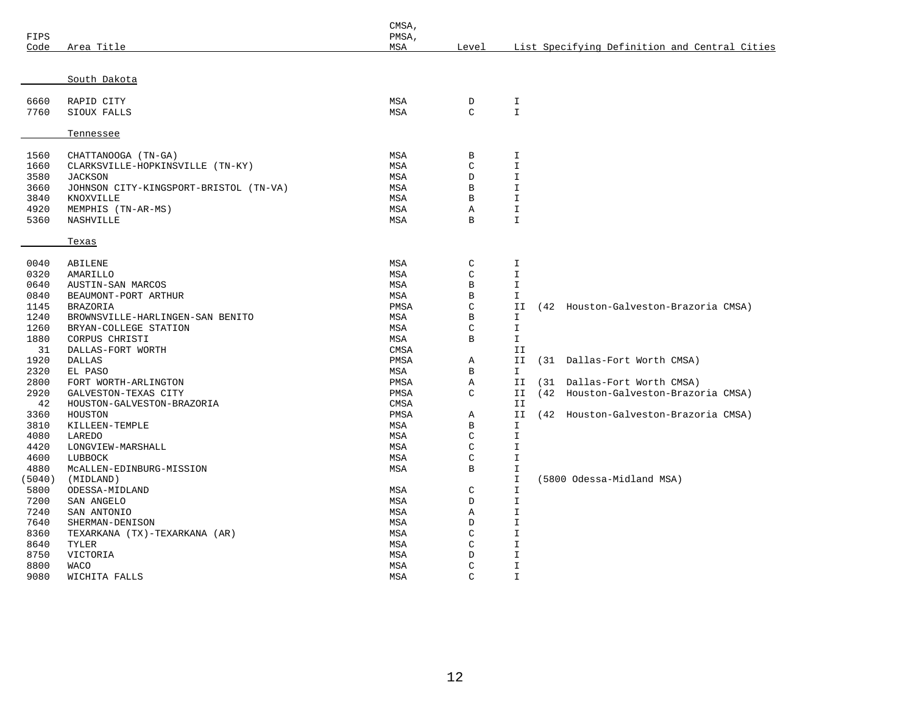|        |                                        | CMSA, |               |               |  |                                               |  |  |
|--------|----------------------------------------|-------|---------------|---------------|--|-----------------------------------------------|--|--|
| FIPS   |                                        | PMSA, |               |               |  |                                               |  |  |
| Code   | Area Title                             | MSA   | Level         |               |  | List Specifying Definition and Central Cities |  |  |
|        |                                        |       |               |               |  |                                               |  |  |
|        | South Dakota                           |       |               |               |  |                                               |  |  |
|        |                                        |       |               |               |  |                                               |  |  |
| 6660   | RAPID CITY                             | MSA   | D             | I.            |  |                                               |  |  |
| 7760   | SIOUX FALLS                            | MSA   | $\mathcal{C}$ | $\mathbf{I}$  |  |                                               |  |  |
|        |                                        |       |               |               |  |                                               |  |  |
|        | Tennessee                              |       |               |               |  |                                               |  |  |
|        |                                        |       |               |               |  |                                               |  |  |
| 1560   | CHATTANOOGA (TN-GA)                    | MSA   | B             | I             |  |                                               |  |  |
| 1660   | CLARKSVILLE-HOPKINSVILLE (TN-KY)       | MSA   | $\mathsf C$   | $\mathbf T$   |  |                                               |  |  |
| 3580   | <b>JACKSON</b>                         | MSA   | D             | $\mathbbm{1}$ |  |                                               |  |  |
| 3660   | JOHNSON CITY-KINGSPORT-BRISTOL (TN-VA) | MSA   | $\, {\bf B}$  | $\mathbf T$   |  |                                               |  |  |
| 3840   | KNOXVILLE                              | MSA   | $\, {\bf B}$  | $\mathbf T$   |  |                                               |  |  |
| 4920   | MEMPHIS (TN-AR-MS)                     | MSA   | Α             | I.            |  |                                               |  |  |
| 5360   | NASHVILLE                              | MSA   | B             | $\mathbf{I}$  |  |                                               |  |  |
|        |                                        |       |               |               |  |                                               |  |  |
|        | Texas                                  |       |               |               |  |                                               |  |  |
|        |                                        |       |               |               |  |                                               |  |  |
| 0040   | ABILENE                                | MSA   | $\mathsf C$   | I.            |  |                                               |  |  |
| 0320   | AMARILLO                               | MSA   | $\mathsf C$   | $\mathbf T$   |  |                                               |  |  |
| 0640   | AUSTIN-SAN MARCOS                      | MSA   | В             | I.            |  |                                               |  |  |
| 0840   | BEAUMONT-PORT ARTHUR                   | MSA   | $\, {\bf B}$  | I.            |  |                                               |  |  |
| 1145   | <b>BRAZORIA</b>                        | PMSA  | $\mathsf C$   | II            |  | (42 Houston-Galveston-Brazoria CMSA)          |  |  |
| 1240   | BROWNSVILLE-HARLINGEN-SAN BENITO       | MSA   | B             | I.            |  |                                               |  |  |
| 1260   | BRYAN-COLLEGE STATION                  | MSA   | $\mathsf C$   | $\mathbbm{1}$ |  |                                               |  |  |
| 1880   | CORPUS CHRISTI                         | MSA   | $\, {\bf B}$  | $\mathbbm{1}$ |  |                                               |  |  |
| 31     | DALLAS-FORT WORTH                      | CMSA  |               | II            |  |                                               |  |  |
| 1920   | <b>DALLAS</b>                          | PMSA  | Α             | II            |  | (31 Dallas-Fort Worth CMSA)                   |  |  |
| 2320   | EL PASO                                | MSA   | B             | $\mathbf{I}$  |  |                                               |  |  |
| 2800   | FORT WORTH-ARLINGTON                   | PMSA  | Α             | ΙI            |  | (31 Dallas-Fort Worth CMSA)                   |  |  |
| 2920   | GALVESTON-TEXAS CITY                   | PMSA  | C             | II            |  | (42 Houston-Galveston-Brazoria CMSA)          |  |  |
| 42     | HOUSTON-GALVESTON-BRAZORIA             | CMSA  |               | ΙI            |  |                                               |  |  |
| 3360   | HOUSTON                                | PMSA  | A             | II            |  | (42 Houston-Galveston-Brazoria CMSA)          |  |  |
| 3810   | KILLEEN-TEMPLE                         | MSA   | B             | $\mathbf{I}$  |  |                                               |  |  |
| 4080   | LAREDO                                 | MSA   | C             | I             |  |                                               |  |  |
| 4420   | LONGVIEW-MARSHALL                      | MSA   | $\mathsf C$   | I             |  |                                               |  |  |
| 4600   | LUBBOCK                                | MSA   | $\mathsf C$   | $\mathbf T$   |  |                                               |  |  |
| 4880   | MCALLEN-EDINBURG-MISSION               | MSA   | $\, {\bf B}$  | I.            |  |                                               |  |  |
| (5040) | (MIDLAND)                              |       |               | I.            |  | (5800 Odessa-Midland MSA)                     |  |  |
| 5800   | ODESSA-MIDLAND                         | MSA   | $\mathsf C$   | I.            |  |                                               |  |  |
| 7200   | SAN ANGELO                             | MSA   | D             | I.            |  |                                               |  |  |
| 7240   | SAN ANTONIO                            | MSA   | Α             | I.            |  |                                               |  |  |
| 7640   | SHERMAN-DENISON                        | MSA   | D             | I.            |  |                                               |  |  |
| 8360   | TEXARKANA (TX)-TEXARKANA (AR)          | MSA   | $\mathcal{C}$ | I.            |  |                                               |  |  |
| 8640   | TYLER                                  | MSA   | $\mathcal{C}$ | I.            |  |                                               |  |  |
| 8750   | VICTORIA                               | MSA   | D             | I             |  |                                               |  |  |
| 8800   | <b>WACO</b>                            | MSA   | $\mathsf C$   | I             |  |                                               |  |  |
| 9080   | WICHITA FALLS                          | MSA   | $\mathsf C$   | $\mathbbm{1}$ |  |                                               |  |  |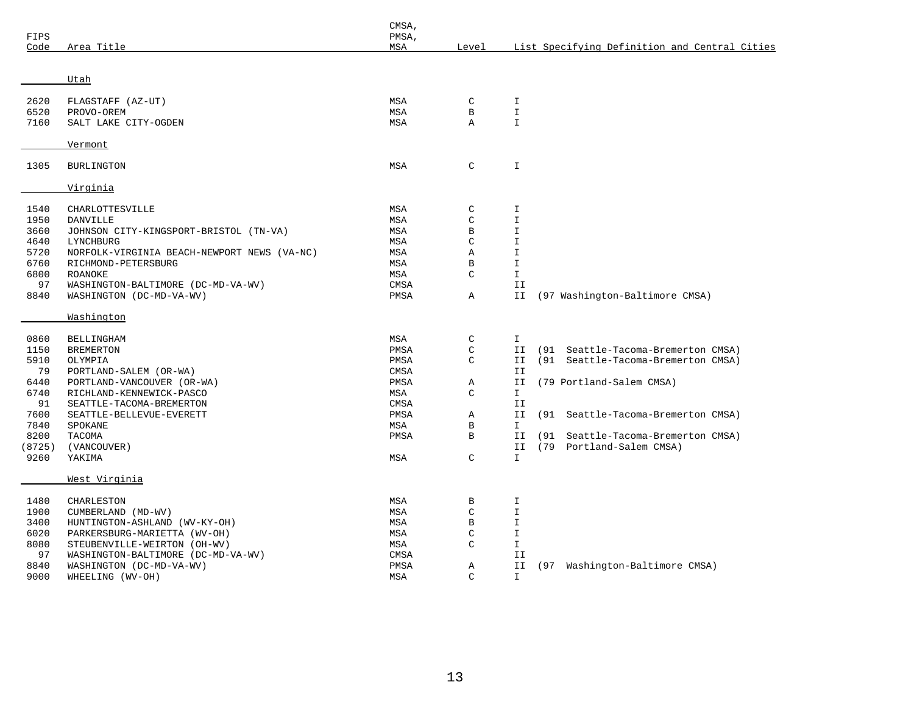| FIPS   |                                             | CMSA,<br>PMSA, |               |               |      |                                               |
|--------|---------------------------------------------|----------------|---------------|---------------|------|-----------------------------------------------|
| Code   | Area Title                                  | MSA            | Level         |               |      | List Specifying Definition and Central Cities |
|        |                                             |                |               |               |      |                                               |
|        | Utah                                        |                |               |               |      |                                               |
| 2620   | FLAGSTAFF (AZ-UT)                           | MSA            | $\mathsf C$   | I             |      |                                               |
| 6520   | PROVO-OREM                                  | MSA            | $\, {\bf B}$  | $\mathbbm{I}$ |      |                                               |
| 7160   | SALT LAKE CITY-OGDEN                        | MSA            | Α             | $\mathbf I$   |      |                                               |
|        | Vermont                                     |                |               |               |      |                                               |
| 1305   | <b>BURLINGTON</b>                           | MSA            | C             | I             |      |                                               |
|        |                                             |                |               |               |      |                                               |
|        | Virginia                                    |                |               |               |      |                                               |
| 1540   | CHARLOTTESVILLE                             | MSA            | C             | I             |      |                                               |
| 1950   | DANVILLE                                    | MSA            | $\mathsf{C}$  | $\mathbbm{I}$ |      |                                               |
| 3660   | JOHNSON CITY-KINGSPORT-BRISTOL (TN-VA)      | MSA            | $\, {\bf B}$  | I             |      |                                               |
| 4640   | LYNCHBURG                                   | MSA            | $\mathsf C$   | $\mathbbm{1}$ |      |                                               |
| 5720   | NORFOLK-VIRGINIA BEACH-NEWPORT NEWS (VA-NC) | MSA            | Α             | I             |      |                                               |
| 6760   | RICHMOND-PETERSBURG                         | MSA            | $\, {\bf B}$  | $\mathbbm{I}$ |      |                                               |
| 6800   | ROANOKE                                     | MSA            | $\mathcal{C}$ | I.            |      |                                               |
| 97     | WASHINGTON-BALTIMORE (DC-MD-VA-WV)          | CMSA           |               | II            |      |                                               |
| 8840   | WASHINGTON (DC-MD-VA-WV)                    | PMSA           | Α             | II            |      | (97 Washington-Baltimore CMSA)                |
|        | Washington                                  |                |               |               |      |                                               |
| 0860   | BELLINGHAM                                  | MSA            | C             | $\mathbf I$   |      |                                               |
| 1150   | <b>BREMERTON</b>                            | PMSA           | $\mathsf C$   | II            | (91  | Seattle-Tacoma-Bremerton CMSA)                |
| 5910   | OLYMPIA                                     | PMSA           | $\mathsf C$   | II            | (91  | Seattle-Tacoma-Bremerton CMSA)                |
| 79     | PORTLAND-SALEM (OR-WA)                      | CMSA           |               | II            |      |                                               |
| 6440   | PORTLAND-VANCOUVER (OR-WA)                  | PMSA           | Α             | ΙI            |      | (79 Portland-Salem CMSA)                      |
| 6740   | RICHLAND-KENNEWICK-PASCO                    | MSA            | $\mathsf{C}$  | $\mathbf{I}$  |      |                                               |
| 91     | SEATTLE-TACOMA-BREMERTON                    | CMSA           |               | II            |      |                                               |
| 7600   | SEATTLE-BELLEVUE-EVERETT                    | PMSA           | Α             | II            | (91  | Seattle-Tacoma-Bremerton CMSA)                |
| 7840   | SPOKANE                                     | MSA            | $\, {\bf B}$  | I.            |      |                                               |
| 8200   | TACOMA                                      | PMSA           | $\mathbf B$   | II            | (91) | Seattle-Tacoma-Bremerton CMSA)                |
| (8725) | (VANCOUVER)                                 |                |               | ΙI            |      | (79 Portland-Salem CMSA)                      |
| 9260   | YAKIMA                                      | MSA            | $\mathsf{C}$  | $\mathbf{I}$  |      |                                               |
|        | West Virginia                               |                |               |               |      |                                               |
| 1480   | CHARLESTON                                  | MSA            | $\, {\bf B}$  | I             |      |                                               |
| 1900   | CUMBERLAND (MD-WV)                          | MSA            | C             | I             |      |                                               |
| 3400   | HUNTINGTON-ASHLAND (WV-KY-OH)               | MSA            | $\, {\bf B}$  | I             |      |                                               |
| 6020   | PARKERSBURG-MARIETTA (WV-OH)                | MSA            | $\mathsf C$   | I             |      |                                               |
| 8080   | STEUBENVILLE-WEIRTON (OH-WV)                | MSA            | $\mathsf{C}$  | $\mathbbm{I}$ |      |                                               |
| 97     | WASHINGTON-BALTIMORE (DC-MD-VA-WV)          | CMSA           |               | II            |      |                                               |
| 8840   | WASHINGTON (DC-MD-VA-WV)                    | PMSA           | Α             | ΙI            |      | (97 Washington-Baltimore CMSA)                |
| 9000   | WHEELING (WV-OH)                            | MSA            | $\mathsf{C}$  | I.            |      |                                               |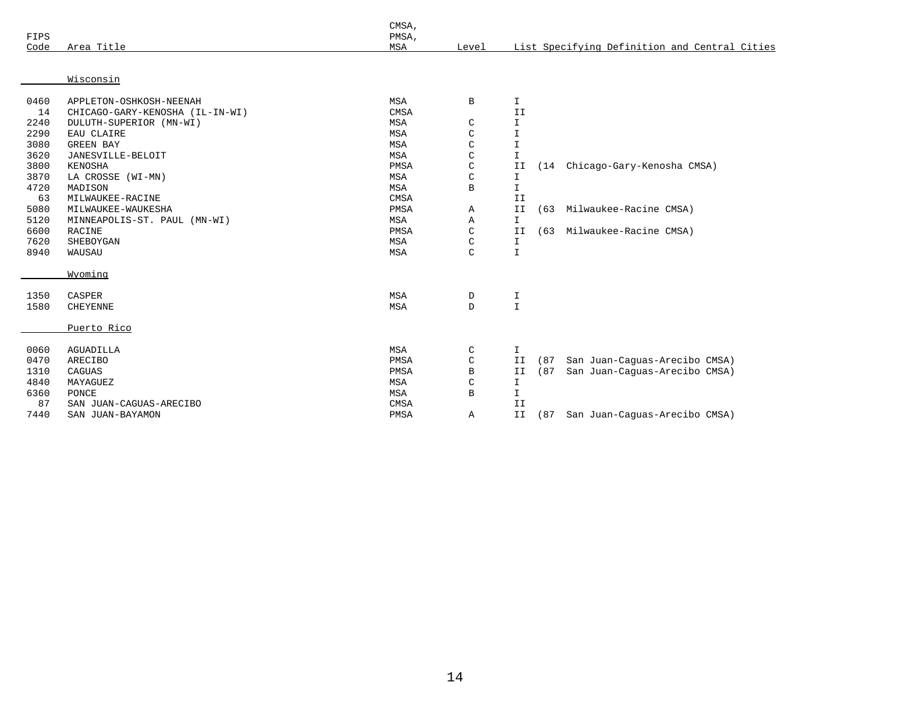|      |                                 | CMSA,      |               |               |      |                                               |
|------|---------------------------------|------------|---------------|---------------|------|-----------------------------------------------|
| FIPS |                                 | PMSA,      |               |               |      |                                               |
| Code | Area Title                      | MSA        | Level         |               |      | List Specifying Definition and Central Cities |
|      |                                 |            |               |               |      |                                               |
|      | Wisconsin                       |            |               |               |      |                                               |
| 0460 | APPLETON-OSHKOSH-NEENAH         | MSA        | $\mathbf B$   | I.            |      |                                               |
| 14   | CHICAGO-GARY-KENOSHA (IL-IN-WI) | CMSA       |               | II            |      |                                               |
| 2240 | DULUTH-SUPERIOR (MN-WI)         | <b>MSA</b> | C             | $\mathbf I$   |      |                                               |
| 2290 | EAU CLAIRE                      | MSA        | C             | $\mathbf T$   |      |                                               |
| 3080 | <b>GREEN BAY</b>                | MSA        | $\mathsf C$   | $\mathbbm{I}$ |      |                                               |
| 3620 | JANESVILLE-BELOIT               | <b>MSA</b> | $\mathcal{C}$ | $\mathbbm{I}$ |      |                                               |
| 3800 | KENOSHA                         | PMSA       | $\mathcal{C}$ | II            | (14) | Chicago-Gary-Kenosha CMSA)                    |
| 3870 | LA CROSSE (WI-MN)               | MSA        | $\mathcal{C}$ | I.            |      |                                               |
| 4720 | MADISON                         | <b>MSA</b> | B             | $\mathbbm{I}$ |      |                                               |
| 63   | MILWAUKEE-RACINE                | CMSA       |               | II            |      |                                               |
| 5080 | MILWAUKEE-WAUKESHA              | PMSA       | Α             | II            | (63) | Milwaukee-Racine CMSA)                        |
| 5120 | MINNEAPOLIS-ST. PAUL (MN-WI)    | MSA        | Α             | $\mathbf{I}$  |      |                                               |
| 6600 | RACINE                          | PMSA       | $\mathsf{C}$  | II            | (63) | Milwaukee-Racine CMSA)                        |
| 7620 | SHEBOYGAN                       | MSA        | $\mathcal{C}$ | I             |      |                                               |
| 8940 | WAUSAU                          | MSA        | $\mathcal{C}$ | $\mathbbm{I}$ |      |                                               |
|      | Wyoming                         |            |               |               |      |                                               |
|      |                                 |            |               |               |      |                                               |
| 1350 | CASPER                          | MSA        | D             | I             |      |                                               |
| 1580 | <b>CHEYENNE</b>                 | <b>MSA</b> | $\mathbf{D}$  | $\mathbf T$   |      |                                               |
|      | Puerto Rico                     |            |               |               |      |                                               |
| 0060 | <b>AGUADILLA</b>                | MSA        | C             | I             |      |                                               |
| 0470 | <b>ARECIBO</b>                  | PMSA       | $\mathsf C$   | II            | (87) | San Juan-Caguas-Arecibo CMSA)                 |
| 1310 | CAGUAS                          | PMSA       | B             | II            | (87) | San Juan-Caguas-Arecibo CMSA)                 |
| 4840 | MAYAGUEZ                        | MSA        | C             | I             |      |                                               |
| 6360 | PONCE                           | MSA        | $\mathbf B$   | I.            |      |                                               |
| 87   | SAN JUAN-CAGUAS-ARECIBO         | CMSA       |               | II            |      |                                               |
| 7440 | SAN JUAN-BAYAMON                | PMSA       | Α             | II            |      | (87 San Juan-Caguas-Arecibo CMSA)             |
|      |                                 |            |               |               |      |                                               |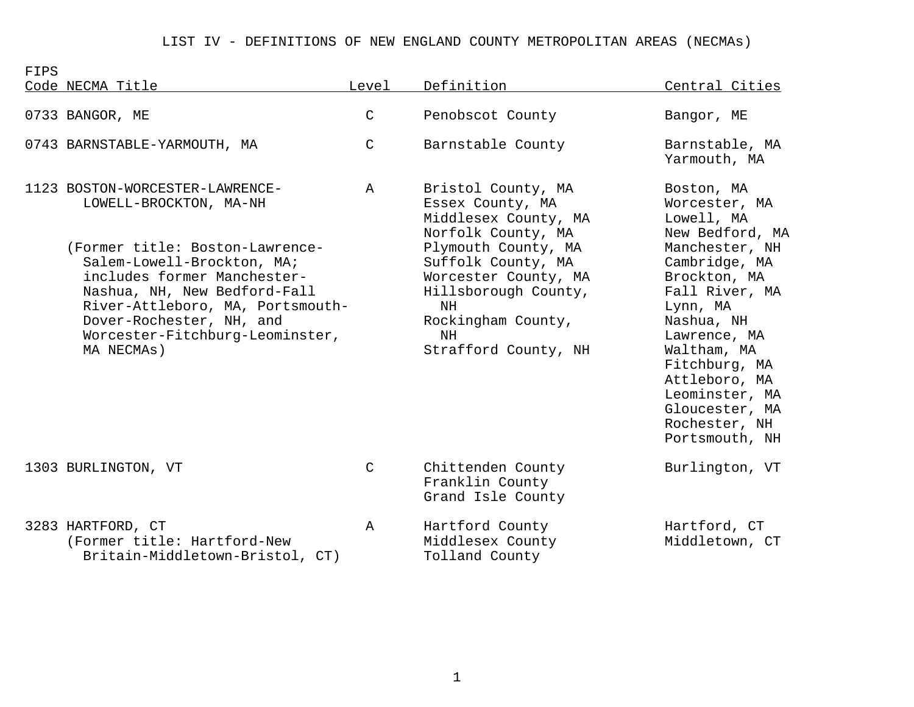## LIST IV - DEFINITIONS OF NEW ENGLAND COUNTY METROPOLITAN AREAS (NECMAs)

FIPS Code NECMA Title Level Definition Central Cities 0733 BANGOR, ME C Penobscot County Bangor, ME

|  | 0743 BARNSTABLE-YARMOUTH, MA |  |
|--|------------------------------|--|
|--|------------------------------|--|

1123 BOSTON-WORCESTER-LAWRENCE- A Bristol County, MA Boston, MA LOWELL-BROCKTON, MA-NH Essex County, MA Worcester, MA

(Former title: Boston-Lawrence- Plymouth County, MA Manchester, NH Salem-Lowell-Brockton, MA; Suffolk County, MA Cambridge, MA includes former Manchester- Worcester County, MA Brockton, MA<br>Nashua, NH, New Bedford-Fall Hillsborough County, Fall River, N Nashua, NH, New Bedford-Fall **Hillsborough County, Fall River, MA** River-Attleboro, MA, Portsmouth-  $N$ NH  $L$ ynn, MA Dover-Rochester, NH, and  $Rockingham$  County,  $Nashua$ , Nashua, NH Worcester-Fitchburg-Leominster, NH NH Lawrence, MA MA NECMAs) Strafford County, NH Waltham, MA

1303 BURLINGTON, VT C Chittenden County Burlington, VT Franklin County Grand Isle County

3283 HARTFORD, CT A Hartford County Hartford, CT (Former title: Hartford-New Middlesex County Middletown, CT<br>Britain-Middletown-Bristol, CT) Tolland County Britain-Middletown-Bristol, CT)

C Barnstable County Barnstable, MA

Middlesex County, MA Lowell, MA

Norfolk County, MA New Bedford, MA<br>Plymouth County, MA Manchester, NH

Yarmouth, MA

 Fitchburg, MA Attleboro, MA Leominster, MA Gloucester, MA Rochester, NH Portsmouth, NH